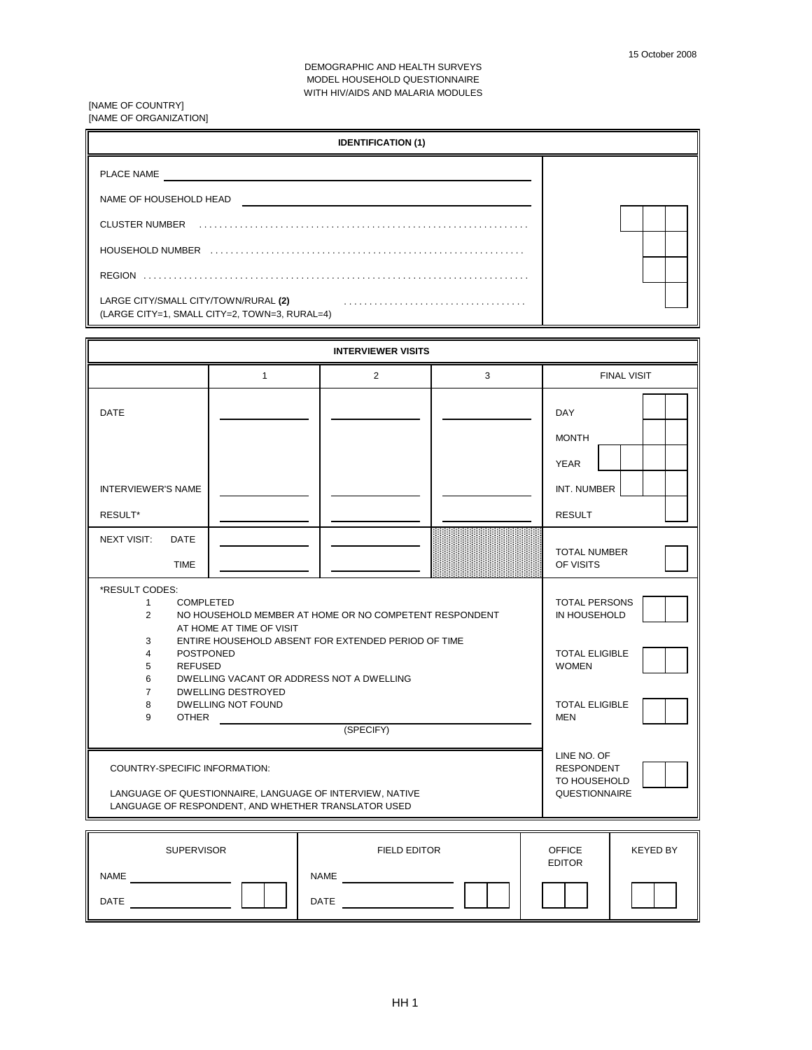DEMOGRAPHIC AND HEALTH SURVEYS MODEL HOUSEHOLD QUESTIONNAIRE WITH HIV/AIDS AND MALARIA MODULES

[NAME OF COUNTRY] [NAME OF ORGANIZATION]

|                                                                                                                                                                                                                                                                                                                                                                                                                                                                                                                                                                         |                                                                                                                 | <b>IDENTIFICATION (1)</b>                              |   |                                                                                 |                    |
|-------------------------------------------------------------------------------------------------------------------------------------------------------------------------------------------------------------------------------------------------------------------------------------------------------------------------------------------------------------------------------------------------------------------------------------------------------------------------------------------------------------------------------------------------------------------------|-----------------------------------------------------------------------------------------------------------------|--------------------------------------------------------|---|---------------------------------------------------------------------------------|--------------------|
| PLACE NAME<br>NAME OF HOUSEHOLD HEAD NAME OF HOUSE AND THE STATE OF THE STATE OF THE STATE OF THE STATE OF THE STATE OF THE STATE OF THE STATE OF THE STATE OF THE STATE OF THE STATE OF THE STATE OF THE STATE OF THE STATE OF THE STATE OF<br>HOUSEHOLD NUMBER (and according to the control of the control of the control of the control of the control of the control of the control of the control of the control of the control of the control of the control of the con<br>LARGE CITY/SMALL CITY/TOWN/RURAL (2)<br>(LARGE CITY=1, SMALL CITY=2, TOWN=3, RURAL=4) | <u> 1989 - Andrea Andrew Maria (b. 1989)</u>                                                                    |                                                        |   |                                                                                 |                    |
|                                                                                                                                                                                                                                                                                                                                                                                                                                                                                                                                                                         |                                                                                                                 | <b>INTERVIEWER VISITS</b>                              |   |                                                                                 |                    |
|                                                                                                                                                                                                                                                                                                                                                                                                                                                                                                                                                                         | $\mathbf{1}$                                                                                                    | 2                                                      | 3 |                                                                                 | <b>FINAL VISIT</b> |
| <b>DATE</b>                                                                                                                                                                                                                                                                                                                                                                                                                                                                                                                                                             |                                                                                                                 |                                                        |   | <b>DAY</b><br><b>MONTH</b><br><b>YEAR</b>                                       |                    |
| <b>INTERVIEWER'S NAME</b>                                                                                                                                                                                                                                                                                                                                                                                                                                                                                                                                               |                                                                                                                 |                                                        |   | INT. NUMBER                                                                     |                    |
| RESULT*                                                                                                                                                                                                                                                                                                                                                                                                                                                                                                                                                                 |                                                                                                                 |                                                        |   | <b>RESULT</b>                                                                   |                    |
| <b>NEXT VISIT:</b><br><b>DATE</b><br><b>TIME</b>                                                                                                                                                                                                                                                                                                                                                                                                                                                                                                                        |                                                                                                                 |                                                        |   | <b>TOTAL NUMBER</b><br>OF VISITS                                                |                    |
| *RESULT CODES:<br><b>COMPLETED</b><br>$\mathbf{1}$<br>$\overline{2}$                                                                                                                                                                                                                                                                                                                                                                                                                                                                                                    | AT HOME AT TIME OF VISIT                                                                                        | NO HOUSEHOLD MEMBER AT HOME OR NO COMPETENT RESPONDENT |   | <b>TOTAL PERSONS</b><br>IN HOUSEHOLD                                            |                    |
| 3<br>4<br><b>POSTPONED</b><br>5<br><b>REFUSED</b><br>6                                                                                                                                                                                                                                                                                                                                                                                                                                                                                                                  | DWELLING VACANT OR ADDRESS NOT A DWELLING                                                                       | ENTIRE HOUSEHOLD ABSENT FOR EXTENDED PERIOD OF TIME    |   | <b>TOTAL ELIGIBLE</b><br><b>WOMEN</b>                                           |                    |
| $\overline{7}$<br>8<br>9<br><b>OTHER</b>                                                                                                                                                                                                                                                                                                                                                                                                                                                                                                                                | DWELLING DESTROYED<br>DWELLING NOT FOUND                                                                        | (SPECIFY)                                              |   | <b>TOTAL ELIGIBLE</b><br><b>MEN</b>                                             |                    |
| COUNTRY-SPECIFIC INFORMATION:                                                                                                                                                                                                                                                                                                                                                                                                                                                                                                                                           | LANGUAGE OF QUESTIONNAIRE, LANGUAGE OF INTERVIEW, NATIVE<br>LANGUAGE OF RESPONDENT, AND WHETHER TRANSLATOR USED |                                                        |   | LINE NO. OF<br><b>RESPONDENT</b><br><b>TO HOUSEHOLD</b><br><b>QUESTIONNAIRE</b> |                    |
| <b>SUPERVISOR</b>                                                                                                                                                                                                                                                                                                                                                                                                                                                                                                                                                       |                                                                                                                 | <b>FIELD EDITOR</b>                                    |   | <b>OFFICE</b><br><b>EDITOR</b>                                                  | KEYED BY           |
| <b>NAME</b><br>DATE                                                                                                                                                                                                                                                                                                                                                                                                                                                                                                                                                     |                                                                                                                 | <b>NAME</b><br>DATE                                    |   |                                                                                 |                    |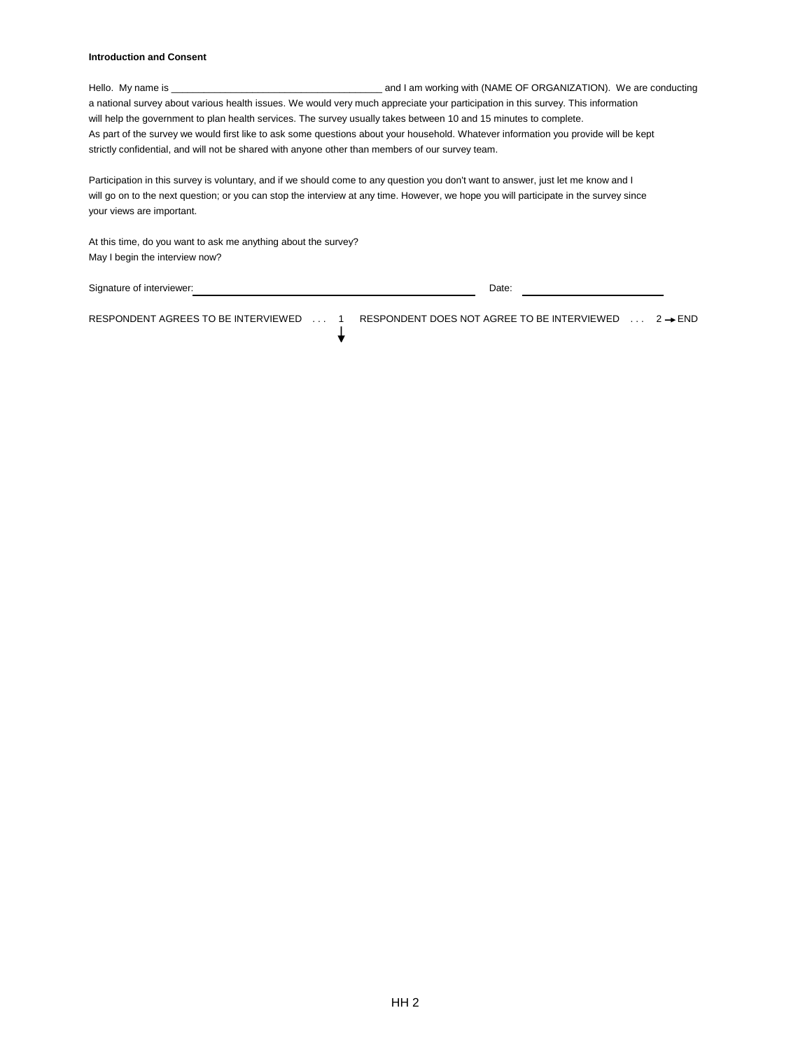## **Introduction and Consent**

Hello. My name is \_\_\_\_\_\_\_\_\_\_\_\_\_\_\_\_\_\_\_\_\_\_\_\_\_\_\_\_\_\_\_\_\_\_\_\_\_\_\_ and I am working with (NAME OF ORGANIZATION). We are conducting a national survey about various health issues. We would very much appreciate your participation in this survey. This information will help the government to plan health services. The survey usually takes between 10 and 15 minutes to complete. As part of the survey we would first like to ask some questions about your household. Whatever information you provide will be kept strictly confidential, and will not be shared with anyone other than members of our survey team.

| Participation in this survey is voluntary, and if we should come to any question you don't want to answer, just let me know and I     |
|---------------------------------------------------------------------------------------------------------------------------------------|
| will go on to the next question; or you can stop the interview at any time. However, we hope you will participate in the survey since |
| vour views are important.                                                                                                             |

↓

At this time, do you want to ask me anything about the survey? May I begin the interview now?

Signature of interviewer:  $\blacksquare$ 

RESPONDENT AGREES TO BE INTERVIEWED ... 1 RESPONDENT DOES NOT AGREE TO BE INTERVIEWED ... 2 → END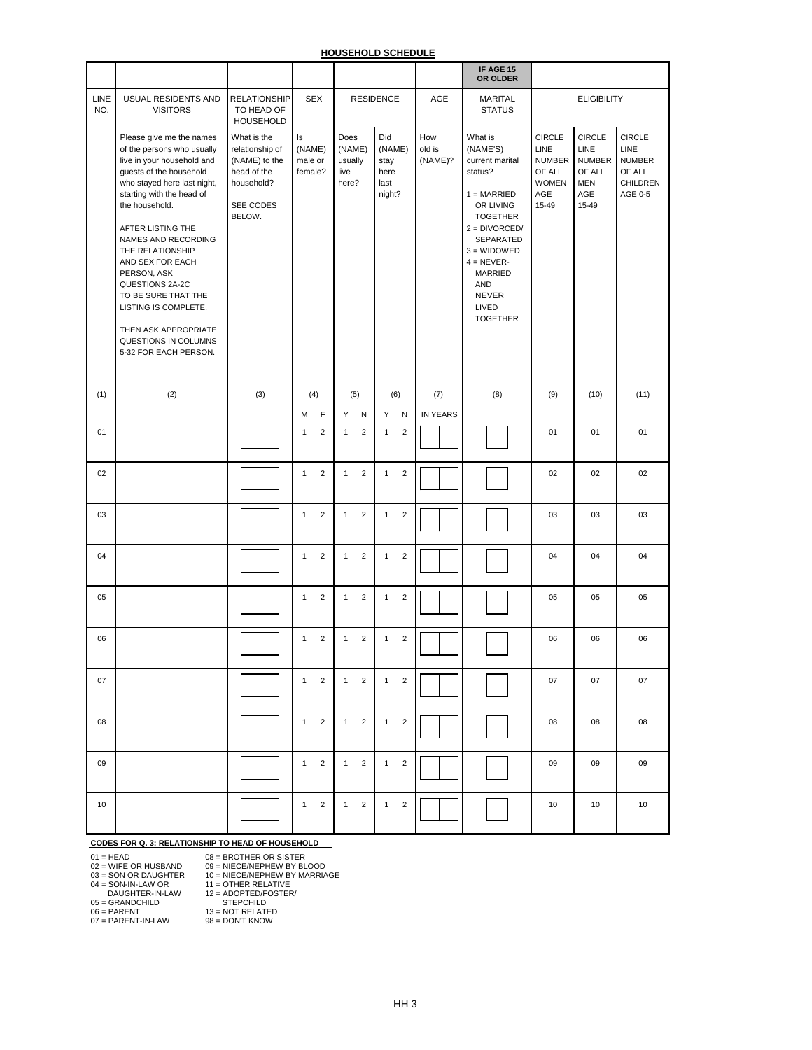|             |                                                                                                                                                                                                                                                                                                                                                                                                                                             |                                                                                                     |                                                  |                                                  |                                                 |                          | IF AGE 15<br>OR OLDER                                                                                                                                                                                                                   |                                                                                  |                                                                         |                                                                                |
|-------------|---------------------------------------------------------------------------------------------------------------------------------------------------------------------------------------------------------------------------------------------------------------------------------------------------------------------------------------------------------------------------------------------------------------------------------------------|-----------------------------------------------------------------------------------------------------|--------------------------------------------------|--------------------------------------------------|-------------------------------------------------|--------------------------|-----------------------------------------------------------------------------------------------------------------------------------------------------------------------------------------------------------------------------------------|----------------------------------------------------------------------------------|-------------------------------------------------------------------------|--------------------------------------------------------------------------------|
| LINE<br>NO. | USUAL RESIDENTS AND<br><b>VISITORS</b>                                                                                                                                                                                                                                                                                                                                                                                                      | <b>RELATIONSHIP</b><br>TO HEAD OF<br>HOUSEHOLD                                                      | <b>SEX</b>                                       |                                                  | <b>RESIDENCE</b>                                | AGE                      | <b>MARITAL</b><br><b>STATUS</b>                                                                                                                                                                                                         |                                                                                  | <b>ELIGIBILITY</b>                                                      |                                                                                |
|             | Please give me the names<br>of the persons who usually<br>live in your household and<br>guests of the household<br>who stayed here last night,<br>starting with the head of<br>the household.<br>AFTER LISTING THE<br>NAMES AND RECORDING<br>THE RELATIONSHIP<br>AND SEX FOR EACH<br>PERSON, ASK<br>QUESTIONS 2A-2C<br>TO BE SURE THAT THE<br>LISTING IS COMPLETE.<br>THEN ASK APPROPRIATE<br>QUESTIONS IN COLUMNS<br>5-32 FOR EACH PERSON. | What is the<br>relationship of<br>(NAME) to the<br>head of the<br>household?<br>SEE CODES<br>BELOW. | Is<br>(NAME)<br>male or<br>female?               | Does<br>(NAME)<br>usually<br>live<br>here?       | Did<br>(NAME)<br>stay<br>here<br>last<br>night? | How<br>old is<br>(NAME)? | What is<br>(NAME'S)<br>current marital<br>status?<br>$1 = MARKIED$<br>OR LIVING<br><b>TOGETHER</b><br>$2 = DIVORCED/$<br>SEPARATED<br>$3 = WIDOWED$<br>$4 = NEVER$<br>MARRIED<br><b>AND</b><br><b>NEVER</b><br>LIVED<br><b>TOGETHER</b> | <b>CIRCLE</b><br>LINE<br><b>NUMBER</b><br>OF ALL<br><b>WOMEN</b><br>AGE<br>15-49 | <b>CIRCLE</b><br>LINE<br><b>NUMBER</b><br>OF ALL<br>MEN<br>AGE<br>15-49 | <b>CIRCLE</b><br><b>LINE</b><br><b>NUMBER</b><br>OF ALL<br>CHILDREN<br>AGE 0-5 |
| (1)         | (2)                                                                                                                                                                                                                                                                                                                                                                                                                                         | (3)                                                                                                 | (4)                                              | (5)                                              | (6)                                             | (7)                      | (8)                                                                                                                                                                                                                                     | (9)                                                                              | (10)                                                                    | (11)                                                                           |
| 01          |                                                                                                                                                                                                                                                                                                                                                                                                                                             |                                                                                                     | $\mathsf F$<br>M<br>$\mathbf{2}$<br>$\mathbf{1}$ | Y<br>${\sf N}$<br>$\overline{2}$<br>$\mathbf{1}$ | Y N<br>$\overline{2}$<br>$\mathbf{1}$           | <b>IN YEARS</b>          |                                                                                                                                                                                                                                         | 01                                                                               | 01                                                                      | 01                                                                             |
| 02          |                                                                                                                                                                                                                                                                                                                                                                                                                                             |                                                                                                     | $\overline{2}$<br>$\mathbf{1}$                   | $\overline{2}$<br>$\mathbf{1}$                   | $\overline{2}$<br>$\mathbf{1}$                  |                          |                                                                                                                                                                                                                                         | 02                                                                               | 02                                                                      | 02                                                                             |
| 03          |                                                                                                                                                                                                                                                                                                                                                                                                                                             |                                                                                                     | $\sqrt{2}$<br>$\mathbf{1}$                       | $\overline{2}$<br>$\mathbf{1}$                   | $\sqrt{2}$<br>$\mathbf{1}$                      |                          |                                                                                                                                                                                                                                         | 03                                                                               | 03                                                                      | 03                                                                             |
| 04          |                                                                                                                                                                                                                                                                                                                                                                                                                                             |                                                                                                     | $\overline{1}$<br>$\overline{2}$                 | $\overline{c}$<br>1                              | $\overline{2}$<br>$\mathbf{1}$                  |                          |                                                                                                                                                                                                                                         | 04                                                                               | 04                                                                      | 04                                                                             |
| 05          |                                                                                                                                                                                                                                                                                                                                                                                                                                             |                                                                                                     | $\overline{2}$<br>$\mathbf{1}$                   | $\overline{2}$<br>1                              | $\overline{2}$<br>$\mathbf{1}$                  |                          |                                                                                                                                                                                                                                         | 05                                                                               | 05                                                                      | 05                                                                             |
| 06          |                                                                                                                                                                                                                                                                                                                                                                                                                                             |                                                                                                     | $\overline{2}$<br>$\mathbf{1}$                   | $\overline{2}$<br>$\mathbf{1}$                   | $\overline{2}$<br>$\mathbf{1}$                  |                          |                                                                                                                                                                                                                                         | 06                                                                               | 06                                                                      | 06                                                                             |
| 07          |                                                                                                                                                                                                                                                                                                                                                                                                                                             |                                                                                                     | $\overline{2}$<br>$\mathbf{1}$                   | $\overline{2}$<br>1                              | $1 \quad$<br>$\overline{2}$                     |                          |                                                                                                                                                                                                                                         | 07                                                                               | 07                                                                      | 07                                                                             |
| 08          |                                                                                                                                                                                                                                                                                                                                                                                                                                             |                                                                                                     | $\overline{2}$<br>$\mathbf{1}$                   | $\overline{2}$<br>1                              | $\overline{2}$<br>$\mathbf{1}$                  |                          |                                                                                                                                                                                                                                         | 08                                                                               | 08                                                                      | 08                                                                             |
| 09          |                                                                                                                                                                                                                                                                                                                                                                                                                                             |                                                                                                     | $\overline{2}$<br>$\mathbf{1}$                   | $\overline{2}$<br>$\mathbf{1}$                   | 1<br>$\overline{2}$                             |                          |                                                                                                                                                                                                                                         | 09                                                                               | 09                                                                      | 09                                                                             |
| 10          |                                                                                                                                                                                                                                                                                                                                                                                                                                             |                                                                                                     | 2<br>$\mathbf{1}$                                | 2<br>1                                           | 1<br>$\overline{2}$                             |                          |                                                                                                                                                                                                                                         | 10 <sup>1</sup>                                                                  | 10                                                                      | 10 <sup>1</sup>                                                                |

# **CODES FOR Q. 3: RELATIONSHIP TO HEAD OF HOUSEHOLD**

01 = HEAD 08 = BROTHER OR SISTER 02 = WIFE OR HUSBAND 09 = NIECE/NEPHEW BY BLOOD

03 = SON OR DAUGHTER 10 = NIECE/NEPHEW BY MARRIAGE

04 = SON-IN-LAW OR 11 = OTHER RELATIVE

DAUGHTER-IN-LAW 12 = ADOPTED/FOSTER/

05 = GRANDCHILD STEPCHILD

06 = PARENT 13 = NOT RELATED

07 = PARENT-IN-LAW 98 = DON'T KNOW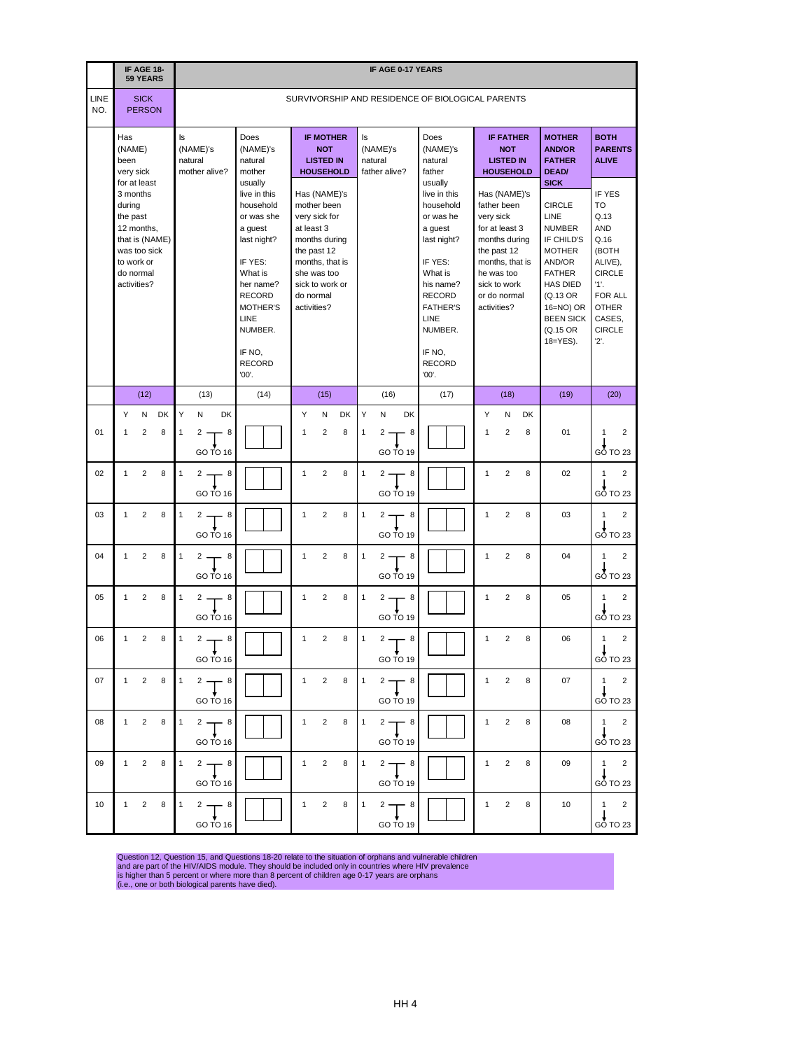|                    |                                    | IF AGE 18-                                                                                             |                |                                                  |                                      |                                                            |                                                                            |                                                                                                                                     |  |              |                                                                                                                                                               |                |                   |                                      |                                                            | <b>IF AGE 0-17 YEARS</b>                                                                                                                                                                                  |      |                   |                                                                                                                                                                            |                     |         |                                                                                                                                                                                                              |                                                                                                                                                                   |
|--------------------|------------------------------------|--------------------------------------------------------------------------------------------------------|----------------|--------------------------------------------------|--------------------------------------|------------------------------------------------------------|----------------------------------------------------------------------------|-------------------------------------------------------------------------------------------------------------------------------------|--|--------------|---------------------------------------------------------------------------------------------------------------------------------------------------------------|----------------|-------------------|--------------------------------------|------------------------------------------------------------|-----------------------------------------------------------------------------------------------------------------------------------------------------------------------------------------------------------|------|-------------------|----------------------------------------------------------------------------------------------------------------------------------------------------------------------------|---------------------|---------|--------------------------------------------------------------------------------------------------------------------------------------------------------------------------------------------------------------|-------------------------------------------------------------------------------------------------------------------------------------------------------------------|
|                    |                                    | <b>59 YEARS</b>                                                                                        |                |                                                  |                                      |                                                            |                                                                            |                                                                                                                                     |  |              |                                                                                                                                                               |                |                   |                                      |                                                            |                                                                                                                                                                                                           |      |                   |                                                                                                                                                                            |                     |         |                                                                                                                                                                                                              |                                                                                                                                                                   |
| <b>LINE</b><br>NO. |                                    | <b>SICK</b><br><b>PERSON</b>                                                                           |                | SURVIVORSHIP AND RESIDENCE OF BIOLOGICAL PARENTS |                                      |                                                            |                                                                            |                                                                                                                                     |  |              |                                                                                                                                                               |                |                   |                                      |                                                            |                                                                                                                                                                                                           |      |                   |                                                                                                                                                                            |                     |         |                                                                                                                                                                                                              |                                                                                                                                                                   |
|                    | Has<br>(NAME)<br>been<br>very sick |                                                                                                        |                | ls                                               | (NAME)'s<br>natural<br>mother alive? |                                                            | Does<br>natural<br>mother                                                  | (NAME)'s                                                                                                                            |  |              | <b>IF MOTHER</b><br><b>NOT</b><br><b>LISTED IN</b><br><b>HOUSEHOLD</b>                                                                                        |                | ls                | (NAME)'s<br>natural<br>father alive? |                                                            | Does<br>(NAME)'s<br>natural<br>father                                                                                                                                                                     |      |                   | <b>IF FATHER</b><br><b>LISTED IN</b><br><b>HOUSEHOLD</b>                                                                                                                   | <b>NOT</b>          |         | <b>MOTHER</b><br><b>AND/OR</b><br><b>FATHER</b><br><b>DEAD/</b>                                                                                                                                              | <b>BOTH</b><br><b>PARENTS</b><br><b>ALIVE</b>                                                                                                                     |
|                    | 3 months<br>during<br>the past     | for at least<br>12 months,<br>that is (NAME)<br>was too sick<br>to work or<br>do normal<br>activities? |                |                                                  |                                      |                                                            | usually<br>a guest<br>IF YES:<br>What is<br><b>LINE</b><br>IF NO.<br>'00'. | live in this<br>household<br>or was she<br>last night?<br>her name?<br><b>RECORD</b><br><b>MOTHER'S</b><br>NUMBER.<br><b>RECORD</b> |  | at least 3   | Has (NAME)'s<br>mother been<br>very sick for<br>months during<br>the past 12<br>months, that is<br>she was too<br>sick to work or<br>do normal<br>activities? |                |                   |                                      |                                                            | usually<br>live in this<br>household<br>or was he<br>a guest<br>last night?<br>IF YES:<br>What is<br>his name?<br><b>RECORD</b><br><b>FATHER'S</b><br>LINE<br>NUMBER.<br>IF NO,<br><b>RECORD</b><br>'00'. |      |                   | Has (NAME)'s<br>father been<br>very sick<br>for at least 3<br>months during<br>the past 12<br>months, that is<br>he was too<br>sick to work<br>or do normal<br>activities? |                     |         | <b>SICK</b><br><b>CIRCLE</b><br>LINE<br><b>NUMBER</b><br>IF CHILD'S<br><b>MOTHER</b><br>AND/OR<br><b>FATHER</b><br><b>HAS DIED</b><br>(Q.13 OR<br>$16 = NO$ ) OR<br><b>BEEN SICK</b><br>(Q.15 OR<br>18=YES). | <b>IF YES</b><br><b>TO</b><br>Q.13<br><b>AND</b><br>Q.16<br>(BOTH<br>ALIVE),<br><b>CIRCLE</b><br>1'.<br>FOR ALL<br><b>OTHER</b><br>CASES,<br><b>CIRCLE</b><br>2'. |
|                    |                                    | (12)                                                                                                   |                |                                                  | (13)                                 |                                                            |                                                                            | (14)                                                                                                                                |  |              | (15)                                                                                                                                                          |                |                   | (16)                                 |                                                            |                                                                                                                                                                                                           | (17) |                   |                                                                                                                                                                            | (18)                |         | (19)                                                                                                                                                                                                         | (20)                                                                                                                                                              |
| 01                 | Y<br>1                             | N<br>$\overline{2}$                                                                                    | <b>DK</b><br>8 | Y<br>$\mathbf{1}$                                | Ν<br>2                               | <b>DK</b><br>- 8<br>GO TO 16                               |                                                                            |                                                                                                                                     |  | Y<br>1       | N<br>$\overline{2}$                                                                                                                                           | <b>DK</b><br>8 | Υ<br>$\mathbf{1}$ | N<br>2                               | <b>DK</b><br>8<br>GO TO 19                                 |                                                                                                                                                                                                           |      | Y<br>$\mathbf{1}$ |                                                                                                                                                                            | N<br>$\overline{2}$ | DK<br>8 | 01                                                                                                                                                                                                           | $\overline{2}$<br>1<br>$GO$ TO 23                                                                                                                                 |
| 02                 | 1                                  | $\overline{2}$                                                                                         | 8              | $\mathbf{1}$                                     | 2                                    | - 8<br>GO TO 16                                            |                                                                            |                                                                                                                                     |  | $\mathbf{1}$ | 2                                                                                                                                                             | 8              | $\mathbf{1}$      | 2 -                                  | - 8<br>GO TO 19                                            |                                                                                                                                                                                                           |      | 1                 |                                                                                                                                                                            | $\overline{2}$      | 8       | 02                                                                                                                                                                                                           | 2<br>1<br>GO TO 23                                                                                                                                                |
| 03                 | 1                                  | $\overline{c}$                                                                                         | 8              | $\mathbf{1}$                                     |                                      | $2 - 8$<br>$GO\overset{\blacklozenge}{TO}16$               |                                                                            |                                                                                                                                     |  | $\mathbf{1}$ | $\overline{2}$                                                                                                                                                | 8              | $\mathbf{1}$      | $2 -$                                | - 8<br>GO TO 19                                            |                                                                                                                                                                                                           |      | 1                 |                                                                                                                                                                            | $\overline{2}$      | 8       | 03                                                                                                                                                                                                           | $\mathbf{1}$<br>$\overline{2}$<br>$G\ddot{o}$ TO 23                                                                                                               |
| 04                 |                                    | $1 \qquad 2 \qquad 8$                                                                                  |                |                                                  |                                      | $1 \t2 \t 8$<br>GO TO 16                                   |                                                                            |                                                                                                                                     |  |              |                                                                                                                                                               |                |                   |                                      | 1 2 8 $1$ 2 $\rightarrow$ 8<br>GO TO 19                    |                                                                                                                                                                                                           |      |                   | $1 \qquad 2 \qquad 8$                                                                                                                                                      |                     |         | 04                                                                                                                                                                                                           | $1 \quad 2$<br>$GO$ TO 23                                                                                                                                         |
| 05                 |                                    | $1 \qquad 2 \qquad 8$                                                                                  |                | $1 -$                                            |                                      | $2$ $\frac{1}{2}$ $8$<br>GO TO 16                          |                                                                            |                                                                                                                                     |  |              |                                                                                                                                                               |                |                   |                                      | $1 \quad 2 \quad 8 \quad 1 \quad 2 \quad 8$<br>$GO$ TO 19  |                                                                                                                                                                                                           |      |                   | $1 \qquad 2 \qquad 8$                                                                                                                                                      |                     |         | 05                                                                                                                                                                                                           | $1 \quad 2$<br>$GO$ TO 23                                                                                                                                         |
| 06                 |                                    | $1 \qquad 2 \qquad 8$                                                                                  |                |                                                  |                                      | $\begin{vmatrix} 1 & 2 \\ 1 & 1 \end{vmatrix}$<br>GO TO 16 |                                                                            |                                                                                                                                     |  |              | $1 \qquad 2 \qquad 8$                                                                                                                                         |                |                   |                                      | $\begin{vmatrix} 1 & 2 \\ 1 & 1 \end{vmatrix}$<br>GO TO 19 |                                                                                                                                                                                                           |      |                   | $1 \qquad 2 \qquad 8$                                                                                                                                                      |                     |         | 06                                                                                                                                                                                                           | $1 \quad 2$<br>$G\ddot{O}$ TO 23                                                                                                                                  |
| 07                 |                                    | $1 \qquad 2 \qquad 8$                                                                                  |                |                                                  |                                      | $1 \quad 2 \rightarrow 8$<br>GO TO 16                      |                                                                            |                                                                                                                                     |  |              |                                                                                                                                                               |                |                   |                                      | 1 2 8 $1$ 2 $\rightarrow$ 8<br>GO TO 19                    |                                                                                                                                                                                                           |      |                   | $1 \qquad 2 \qquad 8$                                                                                                                                                      |                     |         | 07                                                                                                                                                                                                           | $1 \quad 2$<br>$G\dot{\mathrm{O}}$ TO 23                                                                                                                          |
| 08                 |                                    | $1 \qquad 2 \qquad 8$                                                                                  |                | $1 -$                                            |                                      | 2T8<br>GOTO 16                                             |                                                                            |                                                                                                                                     |  |              |                                                                                                                                                               |                |                   |                                      | $\overline{1}$ 2 8 $\left 1$ 2 $\right $ 8<br>GOTO19       |                                                                                                                                                                                                           |      |                   | $1 \quad 2 \quad 8$                                                                                                                                                        |                     |         | 08                                                                                                                                                                                                           | $1 \quad 2$<br>$GO$ TO 23                                                                                                                                         |
| 09                 |                                    | $1 \qquad 2 \qquad 8$                                                                                  |                | $1 -$                                            |                                      | $2^{8}$<br>GO TO 16                                        |                                                                            |                                                                                                                                     |  |              | $1 \qquad 2 \qquad 8$                                                                                                                                         |                |                   |                                      | $\begin{vmatrix} 1 & 2 \\ 1 & 6 \end{vmatrix}$<br>GO TO 19 |                                                                                                                                                                                                           |      |                   | $1 \qquad 2 \qquad 8$                                                                                                                                                      |                     |         | 09                                                                                                                                                                                                           | $1 \quad 2$<br>$G\dot{\mathrm{O}}$ TO 23                                                                                                                          |
| 10 <sup>1</sup>    |                                    | $1 \qquad 2 \qquad 8$                                                                                  |                | 1                                                |                                      | $2T^{8}$<br>GO TO 16                                       |                                                                            |                                                                                                                                     |  |              |                                                                                                                                                               |                |                   |                                      | 1 2 8 1 2 $\rightarrow$ 8<br>GO TO 19                      |                                                                                                                                                                                                           |      |                   | $1 \qquad 2 \qquad 8$                                                                                                                                                      |                     |         | 10                                                                                                                                                                                                           | $1 \quad 2$<br>$G\dot{\mathrm{O}}$ TO 23                                                                                                                          |

Question 12, Question 15, and Questions 18-20 relate to the situation of orphans and vulnerable children and are part of the HIV/AIDS module. They should be included only in countries where HIV prevalence is higher than 5 percent or where more than 8 percent of children age 0-17 years are orphans (i.e., one or both biological parents have died).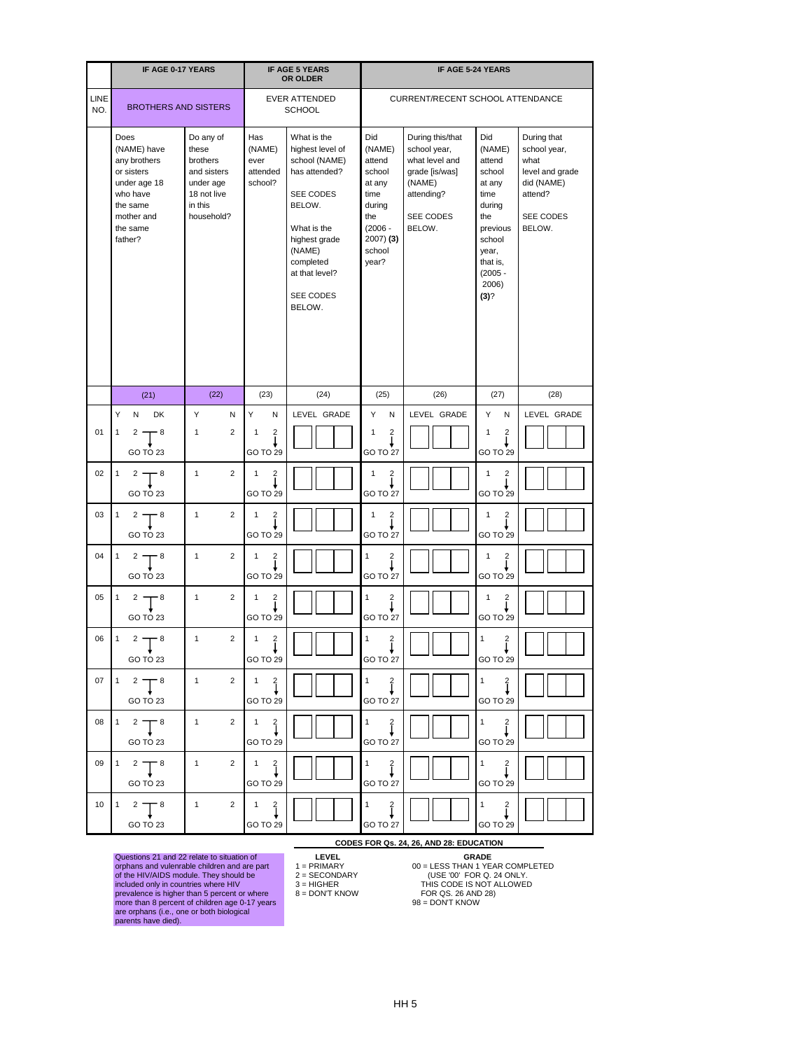|             | <b>IF AGE 0-17 YEARS</b>                                                                                                       |                                                                                                    |                                                                                  | <b>IF AGE 5 YEARS</b><br>OR OLDER                                                                                                                                                        |                                                                                                                     | <b>IF AGE 5-24 YEARS</b>                                                                                            |                                                                                                                                                           |                                                                                                        |
|-------------|--------------------------------------------------------------------------------------------------------------------------------|----------------------------------------------------------------------------------------------------|----------------------------------------------------------------------------------|------------------------------------------------------------------------------------------------------------------------------------------------------------------------------------------|---------------------------------------------------------------------------------------------------------------------|---------------------------------------------------------------------------------------------------------------------|-----------------------------------------------------------------------------------------------------------------------------------------------------------|--------------------------------------------------------------------------------------------------------|
| LINE<br>NO. | <b>BROTHERS AND SISTERS</b>                                                                                                    |                                                                                                    |                                                                                  | <b>EVER ATTENDED</b><br><b>SCHOOL</b>                                                                                                                                                    |                                                                                                                     | CURRENT/RECENT SCHOOL ATTENDANCE                                                                                    |                                                                                                                                                           |                                                                                                        |
|             | Does<br>(NAME) have<br>any brothers<br>or sisters<br>under age 18<br>who have<br>the same<br>mother and<br>the same<br>father? | Do any of<br>these<br>brothers<br>and sisters<br>under age<br>18 not live<br>in this<br>household? | Has<br>(NAME)<br>ever<br>attended<br>school?                                     | What is the<br>highest level of<br>school (NAME)<br>has attended?<br>SEE CODES<br>BELOW.<br>What is the<br>highest grade<br>(NAME)<br>completed<br>at that level?<br>SEE CODES<br>BELOW. | Did<br>(NAME)<br>attend<br>school<br>at any<br>time<br>during<br>the<br>$(2006 -$<br>$2007)$ (3)<br>school<br>year? | During this/that<br>school year,<br>what level and<br>grade [is/was]<br>(NAME)<br>attending?<br>SEE CODES<br>BELOW. | Did<br>(NAME)<br>attend<br>school<br>at any<br>time<br>during<br>the<br>previous<br>school<br>year,<br>that is,<br>$(2005 -$<br>2006)<br>(3) <sup>2</sup> | During that<br>school year,<br>what<br>level and grade<br>did (NAME)<br>attend?<br>SEE CODES<br>BELOW. |
|             | (21)                                                                                                                           | (22)                                                                                               | (23)                                                                             | (24)                                                                                                                                                                                     | (25)                                                                                                                | (26)                                                                                                                | (27)                                                                                                                                                      | (28)                                                                                                   |
|             | Y<br>DK<br>N                                                                                                                   | Y<br>N                                                                                             | Y<br>N                                                                           | LEVEL GRADE                                                                                                                                                                              | Y<br>N                                                                                                              | LEVEL GRADE                                                                                                         | Y<br>N                                                                                                                                                    | LEVEL GRADE                                                                                            |
| 01          | 2<br>- 8<br>1<br>GO TO 23                                                                                                      | $\overline{2}$<br>$\mathbf{1}$                                                                     | $\overline{2}$<br>$\mathbf 1$<br>GO TO 29                                        |                                                                                                                                                                                          | $\overline{2}$<br>1<br><b>GO TO 27</b>                                                                              |                                                                                                                     | $\mathbf{1}$<br>$\overline{c}$<br>GO TO 29                                                                                                                |                                                                                                        |
| 02          | $2 -$<br>- 8<br>1<br>GO TO 23                                                                                                  | $\mathbf{1}$<br>$\overline{2}$                                                                     | $\overline{2}$<br>$\mathbf{1}$<br>GO TO 29                                       |                                                                                                                                                                                          | $\overline{c}$<br>1<br>GO TO 27                                                                                     |                                                                                                                     | $\overline{2}$<br>$\mathbf{1}$<br>GO TO 29                                                                                                                |                                                                                                        |
| 03          | $2 - 8$<br>$\mathbf{1}$<br>GO TO 23                                                                                            | $\overline{2}$<br>$\mathbf{1}$                                                                     | $\frac{2}{1}$<br>$\mathbf{1}$<br><b>Y</b><br>GO TO 29                            |                                                                                                                                                                                          | $\frac{2}{1}$<br>$\mathbf{1}$<br>GO TO 27                                                                           |                                                                                                                     | $\frac{2}{1}$<br>$\mathbf{1}$<br>GO TO 29                                                                                                                 |                                                                                                        |
|             | $^{04}$ $1^2$ $\frac{1}{1^8}$<br>GO TO 23                                                                                      | $\blacksquare$ 1                                                                                   | $\begin{array}{ c c c c }\n\hline\n2 & 1 & 2 \\ \hline\n\end{array}$<br>GO TO 29 |                                                                                                                                                                                          | $\begin{matrix} 1 & 2 \\ & \downarrow \end{matrix}$<br>GO TO 27                                                     |                                                                                                                     | $\begin{array}{cc} 1 & 2 \\ 1 & 1 \end{array}$<br>GO TO 29                                                                                                |                                                                                                        |
|             | $05 \begin{bmatrix} 1 & 2 \\ 1 & 5 \end{bmatrix}$ 8<br>GO TO 23                                                                | $\mathbf 1$<br>$2^{\circ}$                                                                         | $\begin{pmatrix} 1 & 2 \\ 1 & 1 \end{pmatrix}$<br>GO TO 29                       |                                                                                                                                                                                          | $\begin{pmatrix} 1 & 2 \\ 1 & 1 \end{pmatrix}$<br>GO TO 27                                                          |                                                                                                                     | $1 \quad 2$<br>GO TO 29                                                                                                                                   |                                                                                                        |
|             | $06 \begin{bmatrix} 1 & 2 \\ 1 & 5 \end{bmatrix}$ 8<br>GO TO 23                                                                | $\sim$ 1                                                                                           | $\begin{array}{ c c c c }\n\hline\n2 & 1 & 2 \\ \hline\n\end{array}$<br>GO TO 29 |                                                                                                                                                                                          | $\begin{pmatrix} 1 & 2 \\ 1 & 1 \end{pmatrix}$<br>GO TO 27                                                          |                                                                                                                     | $\begin{matrix} 1 & 2 \\ 1 & 1 \end{matrix}$<br>GO TO 29                                                                                                  |                                                                                                        |
|             | $07 \begin{bmatrix} 1 & 2 \\ 1 & 5 \end{bmatrix}$ 8<br>GO TO 23                                                                | $\begin{array}{ c c c c c }\n\hline\n1 & 2 & 1 & 2 \\ \hline\n\end{array}$                         | GO TO 29                                                                         |                                                                                                                                                                                          | $\begin{pmatrix} 1 & 2 \\ 1 & 1 \end{pmatrix}$<br>GO TO 27                                                          |                                                                                                                     | $\begin{matrix} 1 & 2 \\ 1 & 1 \end{matrix}$<br>GO TO 29                                                                                                  |                                                                                                        |
|             | $\begin{bmatrix} 1 & 2 \\ 1 & 2 \end{bmatrix}$ 8<br>GO TO 23                                                                   | $\sim$ 1<br>$2^{\circ}$                                                                            | $\begin{bmatrix} 1 & 2 \\ 1 & 1 \end{bmatrix}$<br>GO TO 29                       |                                                                                                                                                                                          | $\begin{matrix} 1 & 2 \\ 1 & 1 \end{matrix}$<br>GO TO 27                                                            |                                                                                                                     | $\begin{array}{c}\n- \\ 1 \\ \end{array}$<br>GO TO 29                                                                                                     |                                                                                                        |
|             | $09 \begin{bmatrix} 1 & 2 \\ 3 & 8 \end{bmatrix}$<br>GO TO 23                                                                  | $\begin{array}{ccc} \n\end{array}$ 1                                                               | $\begin{array}{ccc} 2 & 1 & 2 \\ & & \downarrow \end{array}$<br>GO TO 29         |                                                                                                                                                                                          | $\begin{matrix} 1 & 2 \\ 1 & 1 \end{matrix}$<br>GO TO 27                                                            |                                                                                                                     | $\frac{1}{\sqrt{2}}$<br>GO TO 29                                                                                                                          |                                                                                                        |
|             | $10 \t 1 \t 2 \t 8$<br>GO TO 23                                                                                                | $\begin{vmatrix} 1 & 2 & 1 & 2 \end{vmatrix}$                                                      | GO TO 29                                                                         |                                                                                                                                                                                          | 1 $\frac{2}{1}$<br>GO TO 27                                                                                         |                                                                                                                     | $1 \qquad 2$<br>GO TO 29                                                                                                                                  |                                                                                                        |

Questions 21 and 22 relate to situation of **LEVEL GRADE** orphans and vulenrable children and are part 1 = PRIMARY 00 = LESS THAN 1 YEAR COMPLETED of the HIV/AIDS module. They should be 2 = SECONDARY (USE '00' FOR Q. 24 ONLY. included only in countries where HIV  $3 = HIGHER$  THIS CODE IS NOT ALLOWED prevalence is higher than 5 percent or where 8 = DON'T KNOW FOR QS. 26 AND 28) more than 8 percent of children age 0-17 years 98 = DON'T KNOW are orphans (i.e., one or both biological parents have died).

- 
- 
- 

**CODES FOR Qs. 24, 26, AND 28: EDUCATION<br>
LEVEL GRADE<br>
1 = PRIMARY 00 = LESS THAN 1 YEAR COMPLETED<br>
2 = SECONDARY (USE '00' FOR Q. 24 ONLY.<br>
3 = HIGHER THIS CODE IS NOT ALLOWED<br>
8 = DON'T KNOW FOR QS. 26 AND 28)<br>
98 = DON'**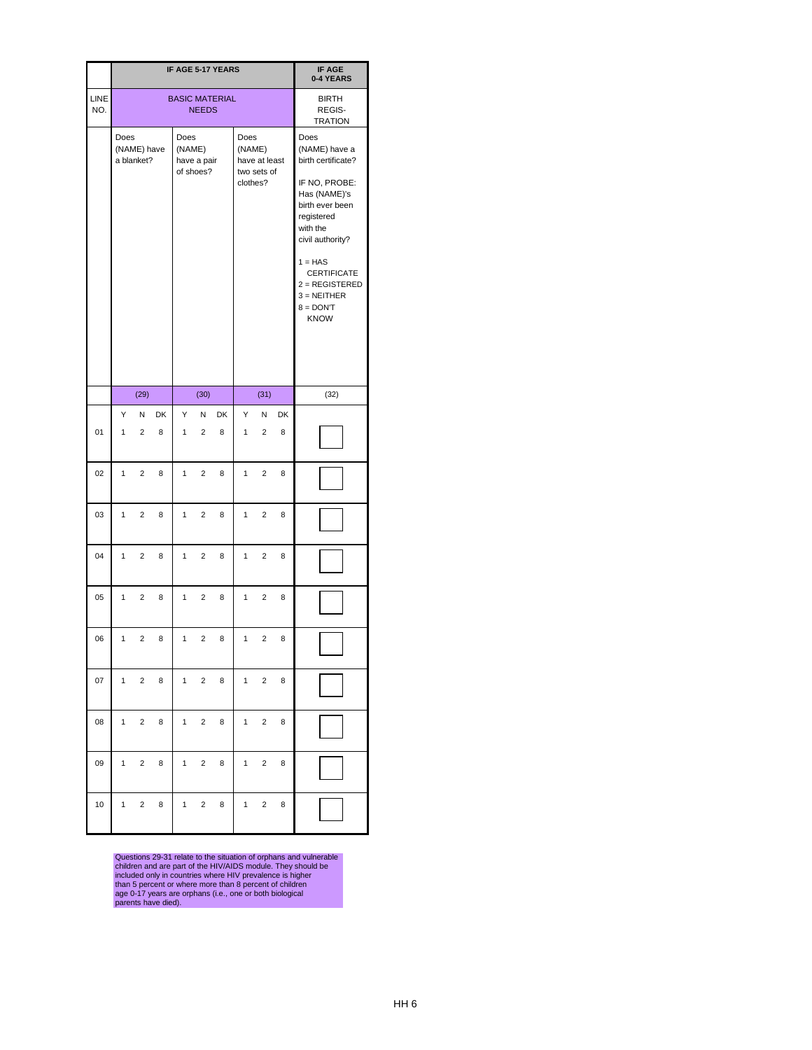|             |                |                           |                |                |                          | IF AGE 5-17 YEARS     |                            |                              |                | <b>IF AGE</b><br>0-4 YEARS                                                                                                                                                                                                                          |
|-------------|----------------|---------------------------|----------------|----------------|--------------------------|-----------------------|----------------------------|------------------------------|----------------|-----------------------------------------------------------------------------------------------------------------------------------------------------------------------------------------------------------------------------------------------------|
| LINE<br>NO. |                |                           |                |                | <b>NEEDS</b>             | <b>BASIC MATERIAL</b> |                            |                              |                | <b>BIRTH</b><br>REGIS-<br><b>TRATION</b>                                                                                                                                                                                                            |
|             | Does           | (NAME) have<br>a blanket? |                | Does<br>(NAME) | have a pair<br>of shoes? |                       | Does<br>(NAME)<br>clothes? | have at least<br>two sets of |                | Does<br>(NAME) have a<br>birth certificate?<br>IF NO, PROBE:<br>Has (NAME)'s<br>birth ever been<br>registered<br>with the<br>civil authority?<br>$1 = HAS$<br><b>CERTIFICATE</b><br>$2 = REGISTERED$<br>$3 = NEITHER$<br>$8 =$ DON'T<br><b>KNOW</b> |
|             |                | (29)                      |                |                | (30)                     |                       |                            | (31)                         |                | (32)                                                                                                                                                                                                                                                |
| 01          | Υ<br>1         | И<br>$\overline{2}$       | <b>DK</b><br>8 | Y<br>1         | Ν<br>$\overline{2}$      | <b>DK</b><br>8        | Y<br>$\mathbf{1}$          | N<br>2                       | <b>DK</b><br>8 |                                                                                                                                                                                                                                                     |
| 02          | $\mathbf{1}$   | $\overline{2}$            | 8              | $\mathbf{1}$   | $2^{\circ}$              | 8                     | 1                          | $\overline{2}$               | 8              |                                                                                                                                                                                                                                                     |
| 03          | 1              | $\overline{2}$            | 8              | 1              | 2                        | 8                     | 1                          | 2                            | 8              |                                                                                                                                                                                                                                                     |
| 04          | $\mathbf{1}$   | $\overline{c}$            | 8              | $\mathbf{1}$   | $\overline{c}$           | 8                     | $\mathbf{1}$               | $\mathbf 2$                  | 8              |                                                                                                                                                                                                                                                     |
| 05          | $\mathbf{1}$   | $\overline{2}$            | 8              | 1              | $\overline{c}$           | 8                     | 1                          | $\overline{\mathbf{c}}$      | 8              |                                                                                                                                                                                                                                                     |
| 06          | 1              | $\overline{\mathbf{c}}$   | 8              | $\mathbf{1}$   | $\overline{2}$           | 8                     | $\mathbf{1}$               | $\overline{c}$               | 8              |                                                                                                                                                                                                                                                     |
| 07          | $\mathbf{1}$   | $\overline{\mathbf{c}}$   | 8              | $\mathbf{1}$   | $\overline{2}$           | 8                     | 1                          | $\mathbf 2$                  | 8              |                                                                                                                                                                                                                                                     |
| 08          | $\mathbf{1}$   | $\overline{2}$            | 8              | 1              | $\overline{a}$           | 8                     | 1                          | $\overline{\mathbf{c}}$      | 8              |                                                                                                                                                                                                                                                     |
| 09          | 1              | $\overline{\mathbf{c}}$   | 8              | $\mathbf{1}$   | $\overline{2}$           | 8                     | $\mathbf{1}$               | $\overline{c}$               | 8              |                                                                                                                                                                                                                                                     |
| 10          | 1 <sup>1</sup> | $\overline{2}$            | 8              | 1              | $\overline{c}$           | 8                     | $\mathbf{1}$               | $\mathbf 2$                  | 8              |                                                                                                                                                                                                                                                     |

Questions 29-31 relate to the situation of orphans and vulnerable children and are part of the HIV/AIDS module. They should be included only in countries where HIV prevalence is higher than 5 percent or where more than 8 percent of children age 0-17 years are orphans (i.e., one or both biological parents have died).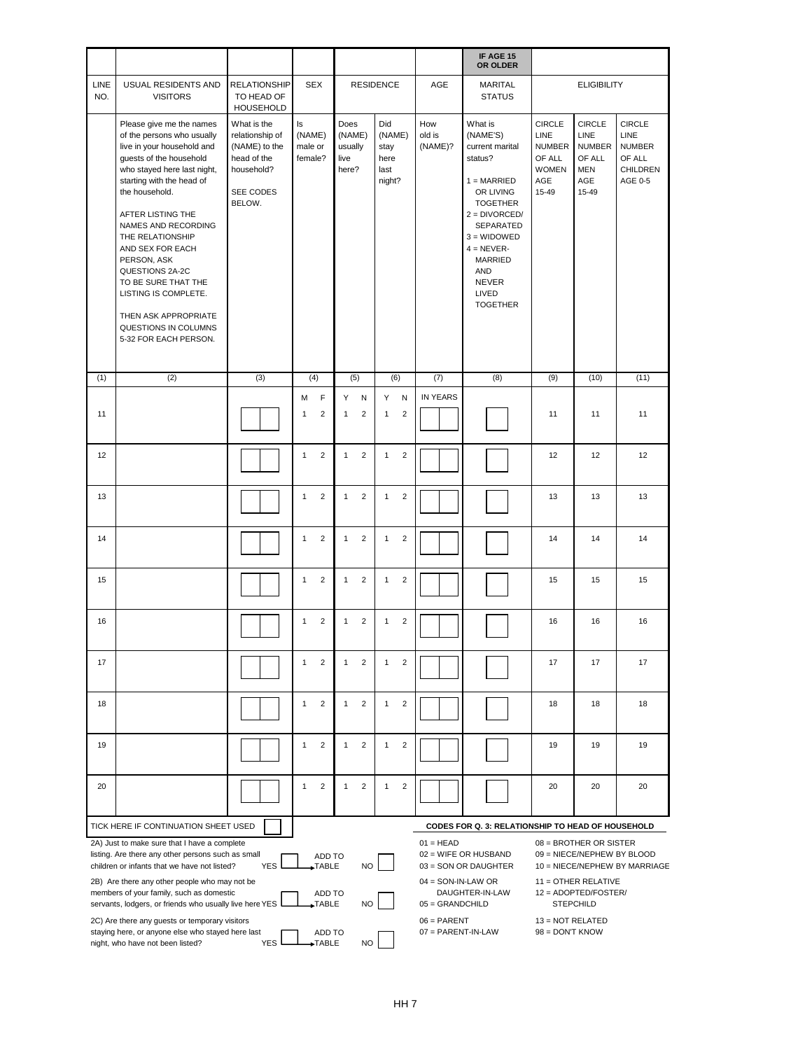|             |                                                                                                                                                                                                                                                                                                                                                                                                                                             |                                                                                                     |                                                                        |                                            |                                                 |                                                          | IF AGE 15<br><b>OR OLDER</b>                                                                                                                                                                                                             |                                                                           |                                                                                                                               |                                                                         |
|-------------|---------------------------------------------------------------------------------------------------------------------------------------------------------------------------------------------------------------------------------------------------------------------------------------------------------------------------------------------------------------------------------------------------------------------------------------------|-----------------------------------------------------------------------------------------------------|------------------------------------------------------------------------|--------------------------------------------|-------------------------------------------------|----------------------------------------------------------|------------------------------------------------------------------------------------------------------------------------------------------------------------------------------------------------------------------------------------------|---------------------------------------------------------------------------|-------------------------------------------------------------------------------------------------------------------------------|-------------------------------------------------------------------------|
| LINE<br>NO. | <b>USUAL RESIDENTS AND</b><br><b>VISITORS</b>                                                                                                                                                                                                                                                                                                                                                                                               | <b>RELATIONSHIP</b><br>TO HEAD OF<br>HOUSEHOLD                                                      | <b>SEX</b>                                                             |                                            | <b>RESIDENCE</b>                                | AGE                                                      | <b>MARITAL</b><br><b>STATUS</b>                                                                                                                                                                                                          |                                                                           | <b>ELIGIBILITY</b>                                                                                                            |                                                                         |
|             | Please give me the names<br>of the persons who usually<br>live in your household and<br>guests of the household<br>who stayed here last night,<br>starting with the head of<br>the household.<br>AFTER LISTING THE<br>NAMES AND RECORDING<br>THE RELATIONSHIP<br>AND SEX FOR EACH<br>PERSON, ASK<br>QUESTIONS 2A-2C<br>TO BE SURE THAT THE<br>LISTING IS COMPLETE.<br>THEN ASK APPROPRIATE<br>QUESTIONS IN COLUMNS<br>5-32 FOR EACH PERSON. | What is the<br>relationship of<br>(NAME) to the<br>head of the<br>household?<br>SEE CODES<br>BELOW. | ls<br>(NAME)<br>male or<br>female?                                     | Does<br>(NAME)<br>usually<br>live<br>here? | Did<br>(NAME)<br>stay<br>here<br>last<br>night? | How<br>old is<br>(NAME)?                                 | What is<br>(NAME'S)<br>current marital<br>status?<br>$1 = MARKIED$<br>OR LIVING<br><b>TOGETHER</b><br>$2 = DIVORCED/$<br>SEPARATED<br>$3 = WIDOWED$<br>$4 = NEVER-$<br><b>MARRIED</b><br>AND<br><b>NEVER</b><br>LIVED<br><b>TOGETHER</b> | CIRCLE<br>LINE<br><b>NUMBER</b><br>OF ALL<br><b>WOMEN</b><br>AGE<br>15-49 | CIRCLE<br>LINE<br><b>NUMBER</b><br>OF ALL<br><b>MEN</b><br>AGE<br>15-49                                                       | <b>CIRCLE</b><br>LINE<br><b>NUMBER</b><br>OF ALL<br>CHILDREN<br>AGE 0-5 |
| (1)         | (2)                                                                                                                                                                                                                                                                                                                                                                                                                                         | (3)                                                                                                 | (4)                                                                    | (5)                                        | (6)                                             | (7)                                                      | (8)                                                                                                                                                                                                                                      | $\overline{(9)}$                                                          | (10)                                                                                                                          | (11)                                                                    |
| 11          |                                                                                                                                                                                                                                                                                                                                                                                                                                             |                                                                                                     | M<br>F<br>$\overline{c}$<br>$\mathbf{1}$                               | Y<br>N<br>$\overline{2}$<br>$\mathbf{1}$   | Y<br>N<br>$\overline{2}$<br>$\mathbf{1}$        | IN YEARS                                                 |                                                                                                                                                                                                                                          | 11                                                                        | 11                                                                                                                            | 11                                                                      |
| 12          |                                                                                                                                                                                                                                                                                                                                                                                                                                             |                                                                                                     | $\overline{2}$<br>$\mathbf{1}$                                         | $\overline{2}$<br>$\mathbf{1}$             | $\overline{2}$<br>$\mathbf{1}$                  |                                                          |                                                                                                                                                                                                                                          | 12                                                                        | 12                                                                                                                            | 12                                                                      |
| 13          |                                                                                                                                                                                                                                                                                                                                                                                                                                             |                                                                                                     | 2<br>$\mathbf{1}$                                                      | $\overline{2}$<br>$\mathbf{1}$             | $\overline{2}$<br>$\mathbf{1}$                  |                                                          |                                                                                                                                                                                                                                          | 13                                                                        | 13                                                                                                                            | 13                                                                      |
| 14          |                                                                                                                                                                                                                                                                                                                                                                                                                                             |                                                                                                     | $\overline{2}$<br>$\mathbf{1}$                                         | $\overline{2}$<br>$\mathbf{1}$             | $\overline{2}$<br>$\mathbf{1}$                  |                                                          |                                                                                                                                                                                                                                          | 14                                                                        | 14                                                                                                                            | 14                                                                      |
| 15          |                                                                                                                                                                                                                                                                                                                                                                                                                                             |                                                                                                     | 2<br>$\mathbf{1}$                                                      | $\overline{2}$<br>$\mathbf{1}$             | $\overline{2}$<br>$\mathbf{1}$                  |                                                          |                                                                                                                                                                                                                                          | 15                                                                        | 15                                                                                                                            | 15                                                                      |
| 16          |                                                                                                                                                                                                                                                                                                                                                                                                                                             |                                                                                                     | $\overline{2}$<br>$\mathbf{1}$                                         | $\overline{2}$<br>$\mathbf{1}$             | $\overline{2}$<br>$\mathbf{1}$                  |                                                          |                                                                                                                                                                                                                                          | 16                                                                        | 16                                                                                                                            | 16                                                                      |
| 17          |                                                                                                                                                                                                                                                                                                                                                                                                                                             |                                                                                                     | $\overline{2}$<br>$\mathbf{1}$                                         | $\overline{2}$<br>$\mathbf{1}$             | $\overline{2}$<br>$\mathbf{1}$                  |                                                          |                                                                                                                                                                                                                                          | 17                                                                        | 17                                                                                                                            | 17                                                                      |
| 18          |                                                                                                                                                                                                                                                                                                                                                                                                                                             |                                                                                                     | 2<br>$\mathbf{1}$                                                      | $\overline{2}$<br>$\mathbf{1}$             | $\overline{2}$<br>$\mathbf{1}$                  |                                                          |                                                                                                                                                                                                                                          | 18                                                                        | 18                                                                                                                            | 18                                                                      |
| 19          |                                                                                                                                                                                                                                                                                                                                                                                                                                             |                                                                                                     | $\overline{2}$<br>$\mathbf{1}$                                         | $\overline{2}$<br>$\mathbf{1}$             | $\overline{2}$<br>$\mathbf{1}$                  |                                                          |                                                                                                                                                                                                                                          | 19                                                                        | 19                                                                                                                            | 19                                                                      |
| 20          |                                                                                                                                                                                                                                                                                                                                                                                                                                             |                                                                                                     | $\overline{2}$<br>$\mathbf{1}$                                         | $\overline{2}$<br>$\mathbf{1}$             | $\overline{2}$<br>$\mathbf{1}$                  |                                                          |                                                                                                                                                                                                                                          | 20                                                                        | 20                                                                                                                            | 20                                                                      |
|             | TICK HERE IF CONTINUATION SHEET USED                                                                                                                                                                                                                                                                                                                                                                                                        |                                                                                                     |                                                                        |                                            |                                                 |                                                          | CODES FOR Q. 3: RELATIONSHIP TO HEAD OF HOUSEHOLD                                                                                                                                                                                        |                                                                           |                                                                                                                               |                                                                         |
|             | 2A) Just to make sure that I have a complete<br>listing. Are there any other persons such as small<br>children or infants that we have not listed?<br>2B) Are there any other people who may not be<br>members of your family, such as domestic<br>servants, lodgers, or friends who usually live here YES                                                                                                                                  | <b>YES</b>                                                                                          | ADD TO<br>$\blacktriangleright$ TABLE<br>ADD TO<br>$\rightarrow$ TABLE | <b>NO</b><br>NO.                           |                                                 | $01 = HEAD$<br>$04 = SON-IN-LAW OR$<br>$05 = GRANDCHILD$ | $02 = W$ IFE OR HUSBAND<br>03 = SON OR DAUGHTER<br>DAUGHTER-IN-LAW                                                                                                                                                                       |                                                                           | $08 = BROTHER OR SISTER$<br>09 = NIECE/NEPHEW BY BLOOD<br>$11 =$ OTHER RELATIVE<br>$12 = ADOPTED/FOSTER/$<br><b>STEPCHILD</b> | 10 = NIECE/NEPHEW BY MARRIAGE                                           |
|             | 2C) Are there any guests or temporary visitors<br>staying here, or anyone else who stayed here last<br>night, who have not been listed?                                                                                                                                                                                                                                                                                                     | YES                                                                                                 | ADD TO<br>$\rightarrow$ TABLE                                          | <b>NO</b>                                  |                                                 | $06 = PARENT$<br>$07 = PARENT-IN-LAW$                    |                                                                                                                                                                                                                                          | $13 = NOT RELATED$<br>$98 =$ DON'T KNOW                                   |                                                                                                                               |                                                                         |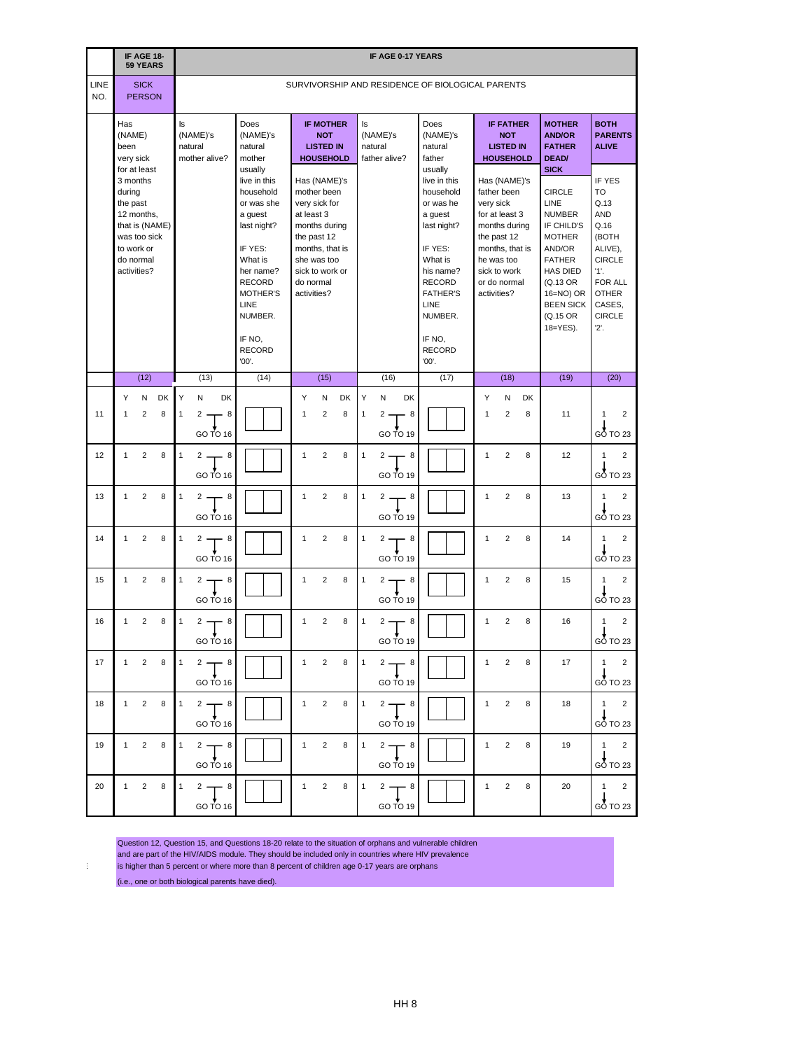|                 |                                                                          | IF AGE 18-<br><b>59 YEARS</b>                |         |                   |                                      |                                                                           |                                                            |                                     |                                                                                                   |                   |                                                                                                                                                               |                       |                   |                                      | <b>IF AGE 0-17 YEARS</b>                                               |                                                                                            |                                                                                                  |                          |                                                                                                                                                |         |                                                                                                                                                                                               |                                                                                                                                                            |
|-----------------|--------------------------------------------------------------------------|----------------------------------------------|---------|-------------------|--------------------------------------|---------------------------------------------------------------------------|------------------------------------------------------------|-------------------------------------|---------------------------------------------------------------------------------------------------|-------------------|---------------------------------------------------------------------------------------------------------------------------------------------------------------|-----------------------|-------------------|--------------------------------------|------------------------------------------------------------------------|--------------------------------------------------------------------------------------------|--------------------------------------------------------------------------------------------------|--------------------------|------------------------------------------------------------------------------------------------------------------------------------------------|---------|-----------------------------------------------------------------------------------------------------------------------------------------------------------------------------------------------|------------------------------------------------------------------------------------------------------------------------------------------------------------|
| LINE<br>NO.     |                                                                          | <b>SICK</b><br><b>PERSON</b>                 |         |                   |                                      |                                                                           |                                                            |                                     |                                                                                                   |                   |                                                                                                                                                               |                       |                   |                                      |                                                                        |                                                                                            | SURVIVORSHIP AND RESIDENCE OF BIOLOGICAL PARENTS                                                 |                          |                                                                                                                                                |         |                                                                                                                                                                                               |                                                                                                                                                            |
|                 | Has<br>(NAME)<br>been<br>very sick                                       | for at least                                 |         | ls                | (NAME)'s<br>natural<br>mother alive? |                                                                           | Does<br>natural<br>usually                                 | mother                              | (NAME)'s                                                                                          |                   | <b>IF MOTHER</b><br><b>NOT</b><br><b>LISTED IN</b><br><b>HOUSEHOLD</b>                                                                                        |                       | ls                | (NAME)'s<br>natural<br>father alive? |                                                                        | Does<br>natural<br>father<br>usually                                                       | (NAME)'s                                                                                         |                          | <b>IF FATHER</b><br><b>NOT</b><br><b>LISTED IN</b><br><b>HOUSEHOLD</b>                                                                         |         | <b>MOTHER</b><br><b>AND/OR</b><br><b>FATHER</b><br><b>DEAD/</b><br><b>SICK</b>                                                                                                                | <b>BOTH</b><br><b>PARENTS</b><br><b>ALIVE</b>                                                                                                              |
|                 | 3 months<br>during<br>the past<br>to work or<br>do normal<br>activities? | 12 months,<br>that is (NAME)<br>was too sick |         |                   |                                      |                                                                           | a guest<br><b>RECORD</b><br><b>LINE</b><br>IF NO,<br>'00'. | IF YES:<br>What is<br><b>RECORD</b> | live in this<br>household<br>or was she<br>last night?<br>her name?<br><b>MOTHER'S</b><br>NUMBER. | at least 3        | Has (NAME)'s<br>mother been<br>very sick for<br>months during<br>the past 12<br>months, that is<br>she was too<br>sick to work or<br>do normal<br>activities? |                       |                   |                                      |                                                                        | a guest<br>IF YES:<br>What is<br><b>RECORD</b><br>LINE<br>IF NO,<br><b>RECORD</b><br>'00'. | live in this<br>household<br>or was he<br>last night?<br>his name?<br><b>FATHER'S</b><br>NUMBER. | very sick<br>activities? | Has (NAME)'s<br>father been<br>for at least 3<br>months during<br>the past 12<br>months, that is<br>he was too<br>sick to work<br>or do normal |         | <b>CIRCLE</b><br>LINE<br><b>NUMBER</b><br>IF CHILD'S<br><b>MOTHER</b><br>AND/OR<br><b>FATHER</b><br><b>HAS DIED</b><br>(Q.13 OR<br>16=NO) OR<br><b>BEEN SICK</b><br>(Q.15 OR<br>$18 = YES$ ). | <b>IF YES</b><br>TO<br>Q.13<br><b>AND</b><br>Q.16<br>(BOTH<br>ALIVE),<br><b>CIRCLE</b><br>11.<br>FOR ALL<br><b>OTHER</b><br>CASES,<br><b>CIRCLE</b><br>2'. |
|                 |                                                                          | (12)                                         |         |                   | (13)                                 |                                                                           |                                                            |                                     | (14)                                                                                              |                   | (15)                                                                                                                                                          |                       |                   | (16)                                 |                                                                        |                                                                                            | (17)                                                                                             |                          | (18)                                                                                                                                           |         | (19)                                                                                                                                                                                          | (20)                                                                                                                                                       |
| 11              | Y<br>1                                                                   | N<br>$\overline{2}$                          | DK<br>8 | Υ<br>$\mathbf{1}$ | N<br>2                               | DK<br>- 8<br>GO TO 16                                                     |                                                            |                                     |                                                                                                   | Y<br>$\mathbf{1}$ | N<br>$\overline{2}$                                                                                                                                           | DK<br>8               | Y<br>$\mathbf{1}$ | N<br>2                               | DK<br>8<br>GO TO 19                                                    |                                                                                            |                                                                                                  | Y<br>$\mathbf{1}$        | N<br>$\overline{2}$                                                                                                                            | DK<br>8 | 11                                                                                                                                                                                            | 2<br>1<br>$G\overline{O}$ TO 23                                                                                                                            |
| 12              | $\mathbf 1$                                                              | 2                                            | 8       | $\mathbf{1}$      | $2$ .                                | - 8<br>GO TO 16                                                           |                                                            |                                     |                                                                                                   | $\mathbf{1}$      | $\overline{2}$                                                                                                                                                | 8                     | $\mathbf{1}$      | 2 .                                  | - 8<br>GO TO 19                                                        |                                                                                            |                                                                                                  | $\mathbf{1}$             | $\overline{2}$                                                                                                                                 | 8       | 12                                                                                                                                                                                            | 2<br>1<br>GO TO 23                                                                                                                                         |
| 13              | 1                                                                        | $\overline{2}$                               | 8       | $\mathbf{1}$      | $2 -$                                | - 8<br>GO TO 16                                                           |                                                            |                                     |                                                                                                   | 1                 | $\overline{2}$                                                                                                                                                | 8                     | $\mathbf{1}$      | 2.                                   | - 8<br>$GO\overset{\blacklozenge}{\mathsf{TO}}$ 19                     |                                                                                            |                                                                                                  | 1                        | 2                                                                                                                                              | 8       | 13                                                                                                                                                                                            | 2<br>1<br>$G\overset{\blacklozenge}{\bullet}$ TO 23                                                                                                        |
| 14              |                                                                          |                                              |         |                   |                                      | $1 \quad 2 \quad 8 \quad 1 \quad 2 \quad 8$<br>$GO\overline{TO}$ 16       |                                                            |                                     |                                                                                                   |                   |                                                                                                                                                               |                       |                   |                                      | 1 2 8 $1$ 2 $\rightarrow$ 8<br>$GO\overline{TO}$ 19                    |                                                                                            |                                                                                                  |                          | $1 \qquad 2 \qquad 8$                                                                                                                          |         | 14                                                                                                                                                                                            | $1 \quad 2$<br>$GO$ TO 23                                                                                                                                  |
| 15              |                                                                          |                                              |         |                   |                                      | 1 2 8 1 2 $\rightarrow$ 8<br>GO TO 16                                     |                                                            |                                     |                                                                                                   |                   | $1 \qquad 2 \qquad 8$                                                                                                                                         |                       |                   |                                      | $1 \t2 \t 8$<br>$GO\overline{TO}$ 19                                   |                                                                                            |                                                                                                  |                          | $1 \quad 2$                                                                                                                                    | 8       | 15                                                                                                                                                                                            | $1 \quad 2$<br>$GO$ TO 23                                                                                                                                  |
| 16              |                                                                          |                                              |         |                   |                                      | $1 \quad 2 \quad 8 \quad 1 \quad 2 \quad \rightarrow \quad 8$<br>GO TO 16 |                                                            |                                     |                                                                                                   |                   | $1 \qquad 2 \qquad 8$                                                                                                                                         |                       |                   |                                      | $1 \t2 \t3$<br>GO TO 19                                                |                                                                                            |                                                                                                  |                          | $1 \quad 2$                                                                                                                                    | 8       | 16                                                                                                                                                                                            | $1 \quad 2$<br>GO TO 23                                                                                                                                    |
| 17 <sup>2</sup> |                                                                          |                                              |         |                   |                                      | $1 \quad 2 \quad 8 \quad 1 \quad 2 \quad 8$<br>GOTO 16                    |                                                            |                                     |                                                                                                   |                   |                                                                                                                                                               | $1 \qquad 2 \qquad 8$ |                   |                                      | $\begin{vmatrix} 1 & 2 \\ 1 & 6 \end{vmatrix}$<br>$GO\overline{TO}$ 19 |                                                                                            |                                                                                                  |                          | $1 \qquad 2 \qquad 8$                                                                                                                          |         | 17                                                                                                                                                                                            | $1 \quad 2$<br>GO TO 23                                                                                                                                    |
| 18              |                                                                          |                                              |         |                   |                                      | 1 2 8 1 2 $\rightarrow$ 8<br>GO TO 16                                     |                                                            |                                     |                                                                                                   |                   |                                                                                                                                                               | $1 \qquad 2 \qquad 8$ |                   |                                      | $1 \t2 \t 8$<br>$GO$ TO 19                                             |                                                                                            |                                                                                                  |                          | $1 \quad 2$                                                                                                                                    | 8       | 18                                                                                                                                                                                            | $1 \quad 2$<br>$GO$ TO 23                                                                                                                                  |
| 19              |                                                                          |                                              |         |                   |                                      | $1 \quad 2 \quad 8 \quad 1 \quad 2 \quad 8$<br>GO TO 16                   |                                                            |                                     |                                                                                                   |                   | $1 \qquad 2 \qquad 8$                                                                                                                                         |                       |                   |                                      | $1 \quad 2 \rightarrow 8$<br>GO TO 19                                  |                                                                                            |                                                                                                  |                          | $1 \qquad 2 \qquad 8$                                                                                                                          |         | 19                                                                                                                                                                                            | $1 \quad 2$<br>GO TO 23                                                                                                                                    |
| 20              |                                                                          |                                              |         |                   |                                      | $1 \t2 \t8 \t1 \t2 \t8$<br>GO TO 16                                       |                                                            |                                     |                                                                                                   |                   |                                                                                                                                                               |                       |                   |                                      | 1 2 8 1 2 $\rightarrow$ 8<br>GO TO 19                                  |                                                                                            |                                                                                                  |                          | $1 \qquad 2 \qquad 8$                                                                                                                          |         | 20                                                                                                                                                                                            | $1 \quad 2$<br>$GO$ TO 23                                                                                                                                  |

Question 12, Question 15, and Questions 18-20 relate to the situation of orphans and vulnerable children

and are part of the HIV/AIDS module. They should be included only in countries where HIV prevalence

 $\,:\,$   $\,$  is higher than 5 percent or where more than 8 percent of children age 0-17 years are orphans (i.e., one or both biological parents have died).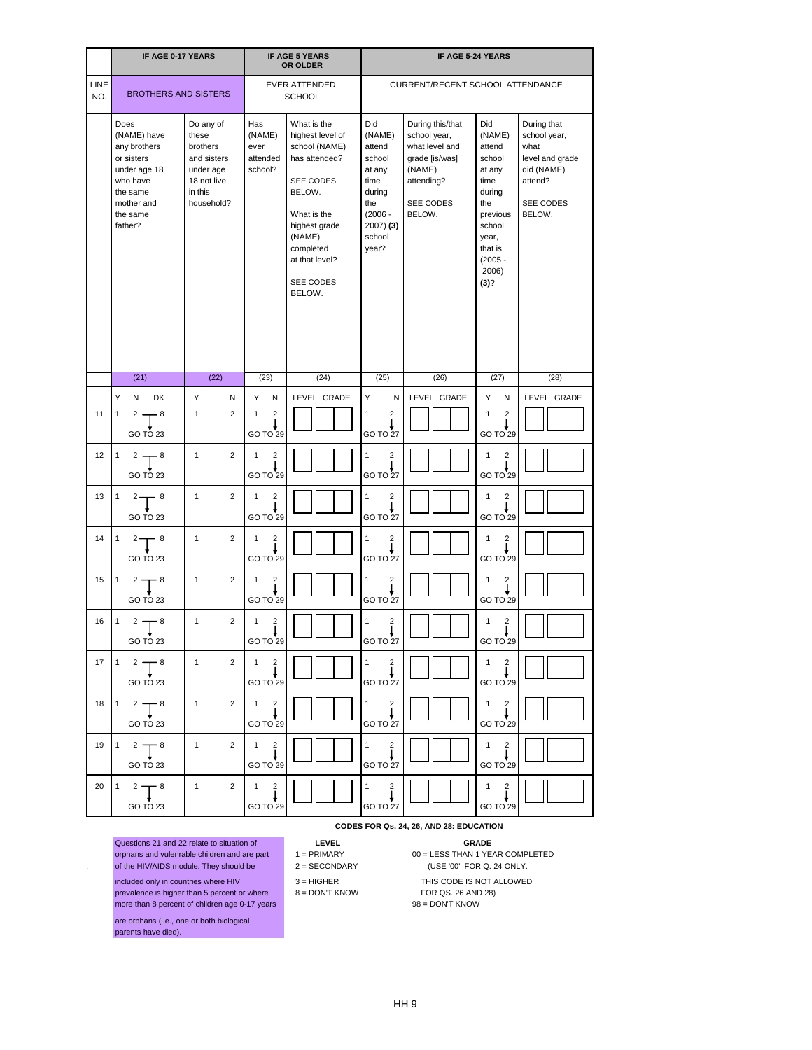|                   | IF AGE 0-17 YEARS                                                                                                              |                                                                                                    |                                                                                | <b>IF AGE 5 YEARS</b><br>OR OLDER                                                                                                                                                        |                                                                                                                     | <b>IF AGE 5-24 YEARS</b>                                                                                            |                                                                                                                                                  |                                                                                                        |
|-------------------|--------------------------------------------------------------------------------------------------------------------------------|----------------------------------------------------------------------------------------------------|--------------------------------------------------------------------------------|------------------------------------------------------------------------------------------------------------------------------------------------------------------------------------------|---------------------------------------------------------------------------------------------------------------------|---------------------------------------------------------------------------------------------------------------------|--------------------------------------------------------------------------------------------------------------------------------------------------|--------------------------------------------------------------------------------------------------------|
| LINE<br>NO.       | <b>BROTHERS AND SISTERS</b>                                                                                                    |                                                                                                    |                                                                                | <b>EVER ATTENDED</b><br><b>SCHOOL</b>                                                                                                                                                    |                                                                                                                     | <b>CURRENT/RECENT SCHOOL ATTENDANCE</b>                                                                             |                                                                                                                                                  |                                                                                                        |
|                   | Does<br>(NAME) have<br>any brothers<br>or sisters<br>under age 18<br>who have<br>the same<br>mother and<br>the same<br>father? | Do any of<br>these<br>brothers<br>and sisters<br>under age<br>18 not live<br>in this<br>household? | Has<br>(NAME)<br>ever<br>attended<br>school?                                   | What is the<br>highest level of<br>school (NAME)<br>has attended?<br>SEE CODES<br>BELOW.<br>What is the<br>highest grade<br>(NAME)<br>completed<br>at that level?<br>SEE CODES<br>BELOW. | Did<br>(NAME)<br>attend<br>school<br>at any<br>time<br>during<br>the<br>$(2006 -$<br>$2007)$ (3)<br>school<br>year? | During this/that<br>school year,<br>what level and<br>grade [is/was]<br>(NAME)<br>attending?<br>SEE CODES<br>BELOW. | Did<br>(NAME)<br>attend<br>school<br>at any<br>time<br>during<br>the<br>previous<br>school<br>year,<br>that is,<br>$(2005 -$<br>2006)<br>$(3)$ ? | During that<br>school year,<br>what<br>level and grade<br>did (NAME)<br>attend?<br>SEE CODES<br>BELOW. |
|                   | (21)                                                                                                                           | (22)                                                                                               | (23)                                                                           | (24)                                                                                                                                                                                     | (25)                                                                                                                | (26)                                                                                                                | (27)                                                                                                                                             | (28)                                                                                                   |
|                   | Y<br>DK<br>${\sf N}$                                                                                                           | Y<br>N                                                                                             | Y<br>N                                                                         | LEVEL GRADE                                                                                                                                                                              | Y<br>N                                                                                                              | LEVEL GRADE                                                                                                         | Y<br>N                                                                                                                                           | LEVEL GRADE                                                                                            |
| 11                | $\mathbf{1}$<br>$2 -$<br>- 8<br>GO TO 23                                                                                       | $\overline{2}$<br>$\mathbf{1}$                                                                     | $\mathbf{1}$<br>$\overline{2}$<br>GO TO 29                                     |                                                                                                                                                                                          | $\overline{\mathbf{c}}$<br>GO TO 27                                                                                 |                                                                                                                     | $\overline{\mathbf{c}}$<br>1<br>GO TO 29                                                                                                         |                                                                                                        |
| $12 \overline{ }$ | $2 -$<br>$-8$<br>$\mathbf{1}$<br>GO TO 23                                                                                      | 2<br>$\mathbf{1}$                                                                                  | $\overline{c}$<br>$\mathbf{1}$<br>GO TO 29                                     |                                                                                                                                                                                          | $\overline{2}$<br>1<br>GO TO 27                                                                                     |                                                                                                                     | $\overline{c}$<br>1<br>GO TO 29                                                                                                                  |                                                                                                        |
| 13                | $\mathbf{1}$<br>- 8<br>$2 -$<br>GO TO 23                                                                                       | 2<br>$\mathbf{1}$                                                                                  | $\overline{2}$<br>$\mathbf{1}$<br>GO TO 29                                     |                                                                                                                                                                                          | 2<br>GO TO 27                                                                                                       |                                                                                                                     | 2<br>1<br>GOTOZ9                                                                                                                                 |                                                                                                        |
| 14                | $\begin{array}{ccc} 1 & 2 \\ \end{array}$ $\begin{array}{ccc} 8 \\ \end{array}$<br>GO TO 23                                    | $\mathbf 1$<br>$2 \mid$                                                                            | $\begin{pmatrix} 1 & 2 \\ 1 & 1 \end{pmatrix}$<br>GOTO29                       |                                                                                                                                                                                          | $\begin{matrix} 1 & 2 \\ 1 & 1 \end{matrix}$<br>GO TO 27                                                            |                                                                                                                     | $\begin{bmatrix} 1 & 2 \\ 1 & 1 \end{bmatrix}$<br>GO TO 29                                                                                       |                                                                                                        |
| $15 \mid$         | $1^{2}$ $\uparrow$ $8$<br>GO TO 23                                                                                             | 1<br>$2^{\circ}$                                                                                   | $\begin{array}{cc} 1 & 2 \\ 1 & 1 \end{array}$<br>GO TO 29                     |                                                                                                                                                                                          | $1 \quad 2$<br>GO TO 27                                                                                             |                                                                                                                     | $1 \quad 2$<br>GO TO 29                                                                                                                          |                                                                                                        |
| 16                | $1 \t 2 \t 8$<br>GO TO 23                                                                                                      | $1 \quad$<br>$2^{\circ}$                                                                           | $\begin{array}{cc} 1 & 2 \\ 1 & 1 \end{array}$<br>GO TO 29                     |                                                                                                                                                                                          | $\begin{bmatrix} 1 & 2 \\ 1 & 1 \end{bmatrix}$<br>GO TO 27                                                          |                                                                                                                     | $1 \quad 2$<br>GO TO 29                                                                                                                          |                                                                                                        |
| 17 <sup>1</sup>   | $1 \t2 \t3$<br>GO TO 23                                                                                                        | $1 \quad \blacksquare$                                                                             | $\begin{array}{ c c c c }\n\hline\n2 & 1 & 2 \\ \hline\n\end{array}$<br>GOTO29 |                                                                                                                                                                                          | $\begin{matrix} 1 & 2 \\ 1 & 1 \end{matrix}$<br>GO TO 27                                                            |                                                                                                                     | $\begin{bmatrix} 1 & 2 \\ 1 & 1 \end{bmatrix}$<br>GO TO 29                                                                                       |                                                                                                        |
| 18                | $1 \t2 \t3$<br>GO TO 23                                                                                                        | 1<br>$2^{\circ}$                                                                                   | $\begin{bmatrix} 1 & 2 \\ 1 & 1 \end{bmatrix}$<br>GO TO 29                     |                                                                                                                                                                                          | $1 \quad 2$<br>GO TO 27                                                                                             |                                                                                                                     | $1 \quad 2$<br>GO TO 29                                                                                                                          |                                                                                                        |
| 19                | $1 \t 2 \t 8$<br>GO TO 23                                                                                                      | $1 \quad$<br>$\overline{2}$                                                                        | $\begin{pmatrix} 1 & 2 \\ 1 & 1 \end{pmatrix}$<br>GO TO 29                     |                                                                                                                                                                                          | $\begin{bmatrix} 1 & 2 \\ 1 & 1 \end{bmatrix}$<br>GO TO 27                                                          |                                                                                                                     | $1 \quad 2$<br>GO TO 29                                                                                                                          |                                                                                                        |
| 20                | $2^2$ $\uparrow$ $8$<br>GO TO 23                                                                                               | $\overline{1}$                                                                                     | $\begin{bmatrix} 2 \\ 1 \\ 1 \end{bmatrix}$<br>GO TO 29                        |                                                                                                                                                                                          | $\begin{matrix} 1 & 2 \\ 1 & 1 \end{matrix}$<br>GO TO 27                                                            |                                                                                                                     | $\begin{bmatrix} 1 & 2 \\ 1 & 1 \end{bmatrix}$<br>GO TO 29                                                                                       |                                                                                                        |

## **CODES FOR Qs. 24, 26, AND 28: EDUCATION**

Questions 21 and 22 relate to situation of **LEVEL GRADE**

- 
- included only in countries where HIV 3 = HIGHER THIS CODE IS NOT ALLOWED
- prevalence is higher than 5 percent or where  $\begin{array}{r} 8 =$  DON'T KNOW FOR QS. 26 AND 28)<br>more than 8 percent of children age 0-17 years  $\begin{array}{r} 98 =$  DON'T KNOW more than 8 percent of children age 0-17 years

are orphans (i.e., one or both biological parents have died).

10 = NIECE/NEPHEW BY MARRIAGE

- 
- 
- 

orphans and vulenrable children and are part 1 = PRIMARY 00 = LESS THAN 1 YEAR COMPLETED of the HIV/AIDS module. They should be 2 = SECONDARY (USE '00' FOR Q. 24 ONLY.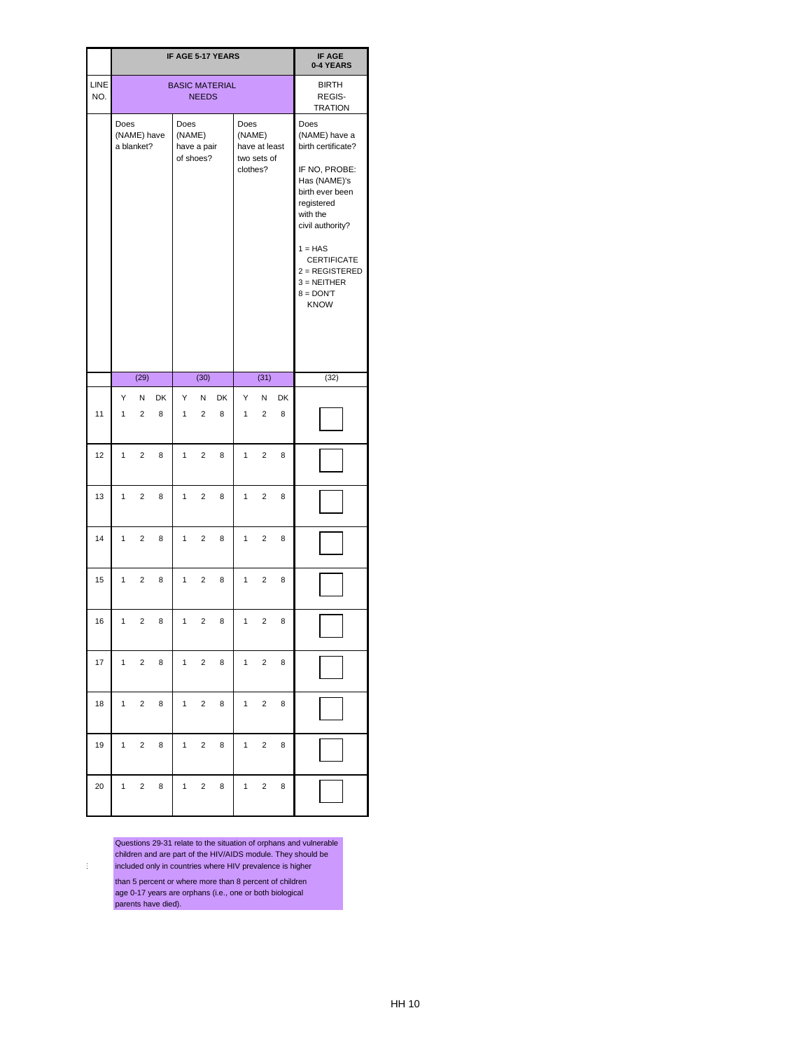|                    |              |                           |                |                   |                          | IF AGE 5-17 YEARS     |                                   |                              |                | IF AGE<br>0-4 YEARS                                                                                                                                                                                                                                 |
|--------------------|--------------|---------------------------|----------------|-------------------|--------------------------|-----------------------|-----------------------------------|------------------------------|----------------|-----------------------------------------------------------------------------------------------------------------------------------------------------------------------------------------------------------------------------------------------------|
| <b>LINE</b><br>NO. |              |                           |                |                   | <b>NEEDS</b>             | <b>BASIC MATERIAL</b> |                                   |                              |                | <b>BIRTH</b><br>REGIS-<br><b>TRATION</b>                                                                                                                                                                                                            |
|                    | Does         | (NAME) have<br>a blanket? |                | Does<br>(NAME)    | have a pair<br>of shoes? |                       | <b>Does</b><br>(NAME)<br>clothes? | have at least<br>two sets of |                | Does<br>(NAME) have a<br>birth certificate?<br>IF NO, PROBE:<br>Has (NAME)'s<br>birth ever been<br>registered<br>with the<br>civil authority?<br>$1 = HAS$<br><b>CERTIFICATE</b><br>$2 = REGISTERED$<br>$3 = NEITHER$<br>$8 =$ DON'T<br><b>KNOW</b> |
|                    |              | (29)                      |                |                   | (30)                     |                       |                                   | (31)                         |                | (32)                                                                                                                                                                                                                                                |
| 11                 | Y<br>1       | N<br>$\overline{2}$       | <b>DK</b><br>8 | Y<br>$\mathbf{1}$ | N<br>$\overline{2}$      | <b>DK</b><br>8        | Y<br>$\mathbf{1}$                 | N<br>$\overline{2}$          | <b>DK</b><br>8 |                                                                                                                                                                                                                                                     |
| 12                 | $\mathbf{1}$ | 2                         | 8              | $\mathbf{1}$      | 2                        | 8                     | 1                                 | 2                            | 8              |                                                                                                                                                                                                                                                     |
| 13                 | 1            | $\overline{2}$            | 8              | 1                 | $\overline{2}$           | 8                     | 1                                 | $\overline{2}$               | 8              |                                                                                                                                                                                                                                                     |
| 14                 | $1 \quad$    | $2^{\circ}$               | 8              | $\mathbf{1}$      | $2^{\circ}$              | 8                     | $\mathbf{1}$                      | $2^{\circ}$                  | 8              |                                                                                                                                                                                                                                                     |
| 15                 | $\mathbf{1}$ | $\overline{c}$            | 8              | $\mathbf{1}$      | $\mathbf 2$              | 8                     | $\mathbf{1}$                      | $\mathbf 2$                  | 8              |                                                                                                                                                                                                                                                     |
| 16                 | $\mathbf 1$  | $\overline{a}$            | 8              | 1                 | $\overline{c}$           | 8                     | $\mathbf{1}$                      | $\overline{c}$               | 8              |                                                                                                                                                                                                                                                     |
| 17                 | $1 -$        | $\mathbf{2}$              | 8              | $\mathbf{1}$      | $\overline{2}$           | 8                     | $\mathbf{1}$                      | $2^{\circ}$                  | 8              |                                                                                                                                                                                                                                                     |
| 18                 | $\mathbf{1}$ | $\overline{c}$            | 8              | $\mathbf{1}$      | $\mathbf 2$              | 8                     | $\mathbf{1}$                      | $\mathbf 2$                  | 8              |                                                                                                                                                                                                                                                     |
| 19                 | $1 -$        | $\overline{2}$            | 8              | 1                 | $\overline{2}$           | 8                     | $\mathbf{1}$                      | $\overline{c}$               | 8              |                                                                                                                                                                                                                                                     |
| 20                 | $1 \quad$    | $\overline{2}$            | 8              | 1                 | $2^{\circ}$              | 8                     | $1 \quad$                         | $2^{\circ}$                  | 8              |                                                                                                                                                                                                                                                     |

Questions 29-31 relate to the situation of orphans and vulnerable children and are part of the HIV/AIDS module. They should be included only in countries where HIV prevalence is higher than 5 percent or where more than 8 percent of children

age 0-17 years are orphans (i.e., one or both biological parents have died).

10 = NIECE/NEPHEW BY MARRIAGE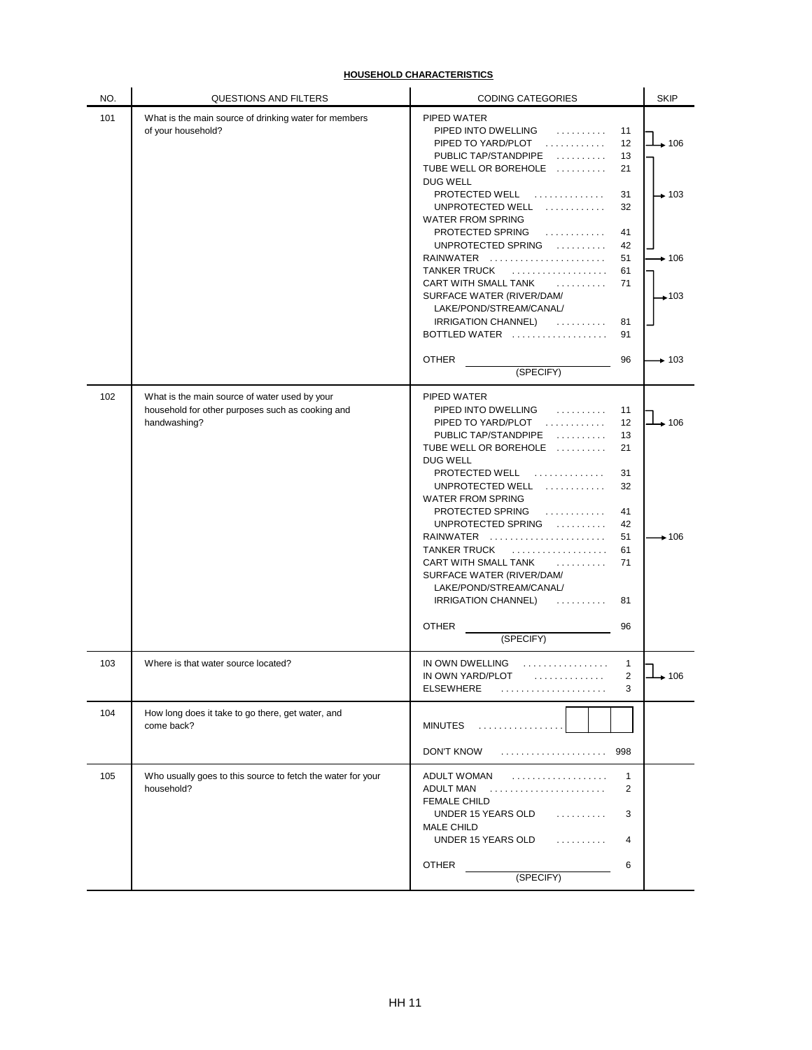| NO. | QUESTIONS AND FILTERS                                                                                             | <b>CODING CATEGORIES</b>                                                                                                                                                                                                                                                                                                                                                                                                                                                                                                                     | <b>SKIP</b>                                                            |
|-----|-------------------------------------------------------------------------------------------------------------------|----------------------------------------------------------------------------------------------------------------------------------------------------------------------------------------------------------------------------------------------------------------------------------------------------------------------------------------------------------------------------------------------------------------------------------------------------------------------------------------------------------------------------------------------|------------------------------------------------------------------------|
| 101 | What is the main source of drinking water for members<br>of your household?                                       | PIPED WATER<br>PIPED INTO DWELLING<br>.<br>11<br>12<br>PIPED TO YARD/PLOT<br>PUBLIC TAP/STANDPIPE<br>13<br>TUBE WELL OR BOREHOLE<br>21<br>DUG WELL<br>PROTECTED WELL<br>.<br>31<br>UNPROTECTED WELL<br>.<br>32<br>WATER FROM SPRING<br>PROTECTED SPRING<br>.<br>41<br>UNPROTECTED SPRING<br>42<br>RAINWATER<br>51<br><b>TANKER TRUCK</b><br>61<br>CART WITH SMALL TANK<br>.<br>71<br>SURFACE WATER (RIVER/DAM/<br>LAKE/POND/STREAM/CANAL/<br><b>IRRIGATION CHANNEL)</b><br>.<br>81<br>BOTTLED WATER<br>91<br><b>OTHER</b><br>96<br>(SPECIFY) | $\perp$ 106<br>$\rightarrow$ 103<br>$\div 106$<br>$+103$<br>$\div$ 103 |
| 102 | What is the main source of water used by your<br>household for other purposes such as cooking and<br>handwashing? | PIPED WATER<br>PIPED INTO DWELLING<br>.<br>11<br>PIPED TO YARD/PLOT<br>12<br>PUBLIC TAP/STANDPIPE<br>.<br>13<br>TUBE WELL OR BOREHOLE<br>21<br><b>DUG WELL</b><br>PROTECTED WELL<br>.<br>31<br>UNPROTECTED WELL<br>32<br>.<br><b>WATER FROM SPRING</b><br>PROTECTED SPRING<br>.<br>41<br>UNPROTECTED SPRING<br>42<br>RAINWATER<br>51<br><b>TANKER TRUCK</b><br>61<br>.<br>71<br>CART WITH SMALL TANK<br>.<br>SURFACE WATER (RIVER/DAM/<br>LAKE/POND/STREAM/CANAL/<br>IRRIGATION CHANNEL)<br>81<br><b>OTHER</b><br>96<br>(SPECIFY)            | $\div 106$<br>$\rightarrow$ 106                                        |
| 103 | Where is that water source located?                                                                               | IN OWN DWELLING<br>.<br>$\mathbf 1$<br>IN OWN YARD/PLOT<br>2<br>.<br><b>ELSEWHERE</b><br>3                                                                                                                                                                                                                                                                                                                                                                                                                                                   | $+106$                                                                 |
| 104 | How long does it take to go there, get water, and<br>come back?                                                   | <b>MINUTES</b><br>.<br>DON'T KNOW<br>998                                                                                                                                                                                                                                                                                                                                                                                                                                                                                                     |                                                                        |
| 105 | Who usually goes to this source to fetch the water for your<br>household?                                         | ADULT WOMAN<br>$\mathbf{1}$<br>.<br>ADULT MAN<br>$\overline{2}$<br><b>FEMALE CHILD</b><br>UNDER 15 YEARS OLD<br>3<br>.<br><b>MALE CHILD</b><br>UNDER 15 YEARS OLD<br>4<br>.<br><b>OTHER</b><br>6<br>(SPECIFY)                                                                                                                                                                                                                                                                                                                                |                                                                        |

# **HOUSEHOLD CHARACTERISTICS**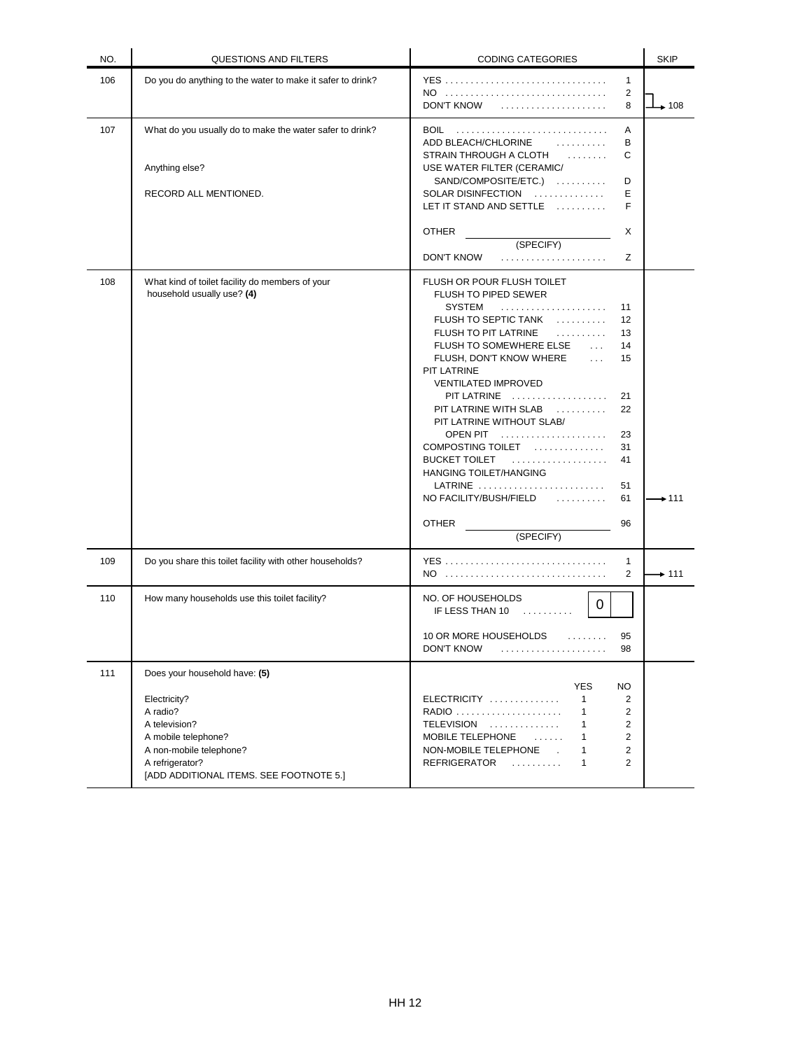| NO. | QUESTIONS AND FILTERS                                                                                                                                                                      | <b>CODING CATEGORIES</b>                                                                                                                                                                                                                                                                                                                                                                                                                                                                                                                                                                                                  | <b>SKIP</b> |
|-----|--------------------------------------------------------------------------------------------------------------------------------------------------------------------------------------------|---------------------------------------------------------------------------------------------------------------------------------------------------------------------------------------------------------------------------------------------------------------------------------------------------------------------------------------------------------------------------------------------------------------------------------------------------------------------------------------------------------------------------------------------------------------------------------------------------------------------------|-------------|
| 106 | Do you do anything to the water to make it safer to drink?                                                                                                                                 | <b>YES</b><br>$\mathbf{1}$<br>NO<br>2<br><b>DON'T KNOW</b><br>8                                                                                                                                                                                                                                                                                                                                                                                                                                                                                                                                                           | $\div 108$  |
| 107 | What do you usually do to make the water safer to drink?<br>Anything else?<br>RECORD ALL MENTIONED.                                                                                        | BOIL<br>Α<br>ADD BLEACH/CHLORINE<br>.<br>B<br>C<br>STRAIN THROUGH A CLOTH<br>USE WATER FILTER (CERAMIC/<br>SAND/COMPOSITE/ETC.)<br>D<br>SOLAR DISINFECTION<br>Е<br>LET IT STAND AND SETTLE<br>F                                                                                                                                                                                                                                                                                                                                                                                                                           |             |
|     |                                                                                                                                                                                            | <b>OTHER</b><br>X<br>(SPECIFY)<br><b>DON'T KNOW</b><br>Ζ                                                                                                                                                                                                                                                                                                                                                                                                                                                                                                                                                                  |             |
| 108 | What kind of toilet facility do members of your<br>household usually use? (4)                                                                                                              | FLUSH OR POUR FLUSH TOILET<br><b>FLUSH TO PIPED SEWER</b><br>SYSTEM<br>11<br>FLUSH TO SEPTIC TANK<br>$12 \overline{ }$<br>FLUSH TO PIT LATRINE<br>13<br>FLUSH TO SOMEWHERE ELSE<br>14<br>$\mathbf{1}$<br>FLUSH, DON'T KNOW WHERE<br>15<br>$\mathbf{1}$<br>PIT LATRINE<br><b>VENTILATED IMPROVED</b><br>PIT LATRINE<br>21<br>PIT LATRINE WITH SLAB<br>22<br>PIT LATRINE WITHOUT SLAB/<br>OPEN PIT<br>23<br>COMPOSTING TOILET<br>31<br>BUCKET TOILET<br>41<br>HANGING TOILET/HANGING<br>LATRINE $\ldots \ldots \ldots \ldots \ldots \ldots \ldots$<br>51<br>NO FACILITY/BUSH/FIELD<br>61<br><b>OTHER</b><br>96<br>(SPECIFY) | $+111$      |
| 109 | Do you share this toilet facility with other households?                                                                                                                                   | 1<br>NO<br>2                                                                                                                                                                                                                                                                                                                                                                                                                                                                                                                                                                                                              | $\div$ 111  |
| 110 | How many households use this toilet facility?                                                                                                                                              | NO. OF HOUSEHOLDS<br>$\overline{0}$<br>IF LESS THAN 10<br>.<br>10 OR MORE HOUSEHOLDS<br>95<br>.<br>DON'T KNOW<br>98                                                                                                                                                                                                                                                                                                                                                                                                                                                                                                       |             |
| 111 | Does your household have: (5)<br>Electricity?<br>A radio?<br>A television?<br>A mobile telephone?<br>A non-mobile telephone?<br>A refrigerator?<br>[ADD ADDITIONAL ITEMS. SEE FOOTNOTE 5.] | <b>NO</b><br><b>YES</b><br>ELECTRICITY<br>$\mathbf{1}$<br>2<br>RADIO<br>$\overline{2}$<br>$\mathbf{1}$<br>TELEVISION<br>$\mathbf{1}$<br>2<br>MOBILE TELEPHONE<br>2<br>$\mathbf{1}$<br>2<br>NON-MOBILE TELEPHONE.<br>$\mathbf{1}$<br>$\overline{2}$<br>REFRIGERATOR<br>.<br>$\mathbf{1}$                                                                                                                                                                                                                                                                                                                                   |             |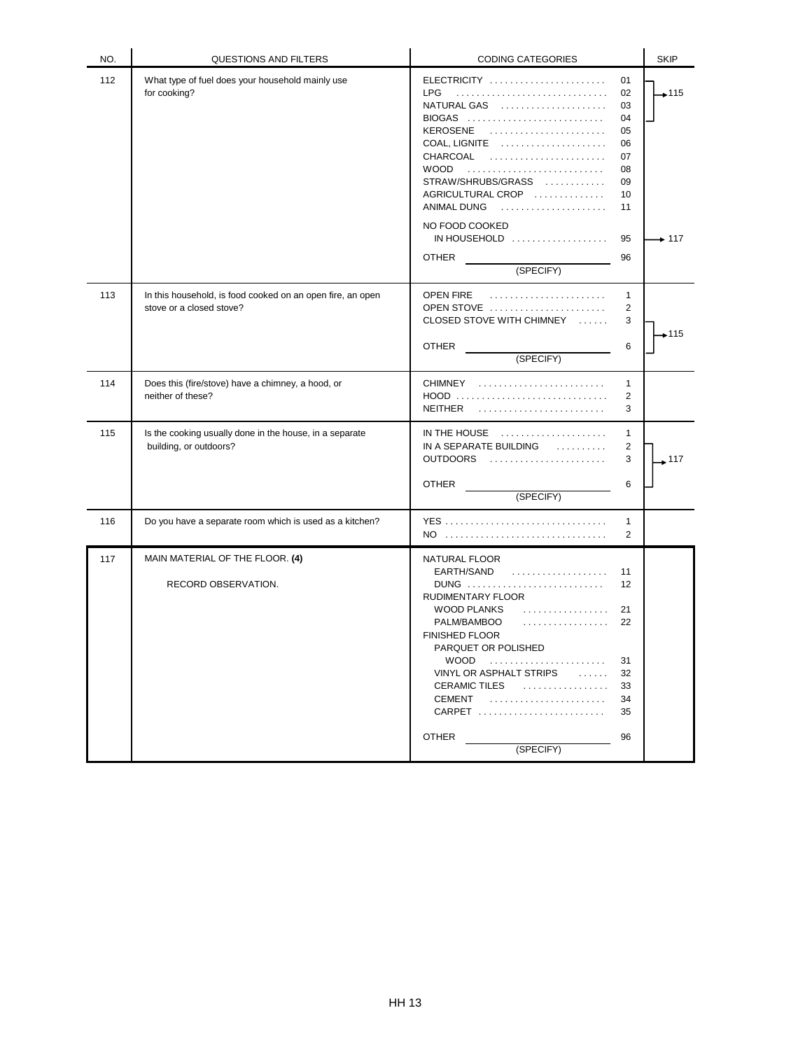| NO. | QUESTIONS AND FILTERS                                                                  | <b>CODING CATEGORIES</b>                                                                                                                                                                                                                                                         |                                                                            | <b>SKIP</b>          |
|-----|----------------------------------------------------------------------------------------|----------------------------------------------------------------------------------------------------------------------------------------------------------------------------------------------------------------------------------------------------------------------------------|----------------------------------------------------------------------------|----------------------|
| 112 | What type of fuel does your household mainly use<br>for cooking?                       | $ELECTRICITY$<br><b>LPG</b><br>NATURAL GAS<br>BIOGAS<br>KEROSENE<br>COAL, LIGNITE<br>CHARCOAL<br><b>WOOD</b><br>STRAW/SHRUBS/GRASS<br>AGRICULTURAL CROP<br>ANIMAL DUNG<br>NO FOOD COOKED<br>IN HOUSEHOLD<br><b>OTHER</b><br>(SPECIFY)                                            | 01<br>02<br>03<br>04<br>05<br>06<br>07<br>08<br>09<br>10<br>11<br>95<br>96 | $+115$<br>$\div$ 117 |
| 113 | In this household, is food cooked on an open fire, an open<br>stove or a closed stove? | OPEN FIRE<br>OPEN STOVE<br>CLOSED STOVE WITH CHIMNEY<br><b>OTHER</b><br>(SPECIFY)                                                                                                                                                                                                | $\mathbf{1}$<br>$\overline{2}$<br>3<br>6                                   | 7115 →               |
| 114 | Does this (fire/stove) have a chimney, a hood, or<br>neither of these?                 | $CHIMNEY$ ,<br>HOOD<br><b>NEITHER</b>                                                                                                                                                                                                                                            | $\mathbf{1}$<br>2<br>3                                                     |                      |
| 115 | Is the cooking usually done in the house, in a separate<br>building, or outdoors?      | IN THE HOUSE $\ldots \ldots \ldots \ldots \ldots$<br>IN A SEPARATE BUILDING<br>.<br>OUTDOORS<br><b>OTHER</b><br>(SPECIFY)                                                                                                                                                        | $\mathbf{1}$<br>2<br>3<br>6                                                | 117                  |
| 116 | Do you have a separate room which is used as a kitchen?                                | YES<br>$NO$                                                                                                                                                                                                                                                                      | 1<br>2                                                                     |                      |
| 117 | MAIN MATERIAL OF THE FLOOR. (4)<br>RECORD OBSERVATION.                                 | NATURAL FLOOR<br>EARTH/SAND<br>.<br>RUDIMENTARY FLOOR<br><b>WOOD PLANKS</b><br>.<br>PALM/BAMBOO<br>.<br><b>FINISHED FLOOR</b><br>PARQUET OR POLISHED<br>WOOD.<br>VINYL OR ASPHALT STRIPS<br>1.1.1.1.1<br>CERAMIC TILES<br><b>CEMENT</b><br>$CARPET$<br><b>OTHER</b><br>(SPECIFY) | 11<br>12<br>21<br>22<br>31<br>32<br>33<br>34<br>35<br>96                   |                      |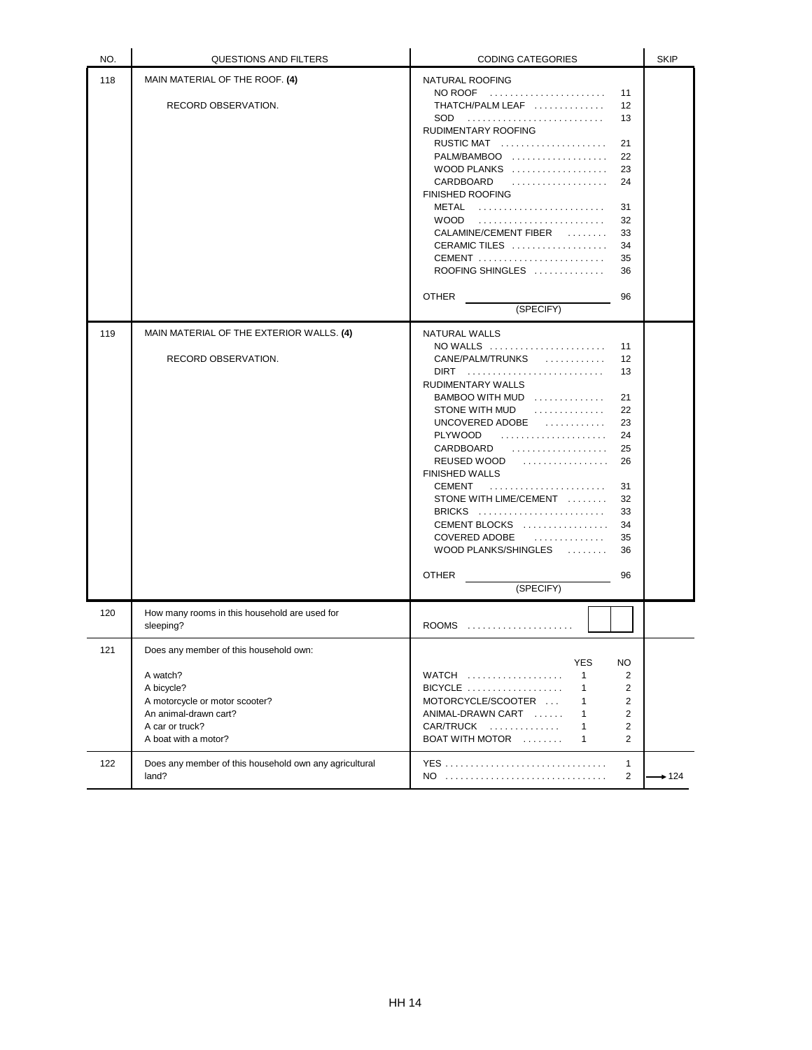| NO. | QUESTIONS AND FILTERS                                                                                                                                                  | <b>CODING CATEGORIES</b>                                                                                                                                                                                                                                                                                                                                                                                                                                                                                                                                                                                         | <b>SKIP</b> |
|-----|------------------------------------------------------------------------------------------------------------------------------------------------------------------------|------------------------------------------------------------------------------------------------------------------------------------------------------------------------------------------------------------------------------------------------------------------------------------------------------------------------------------------------------------------------------------------------------------------------------------------------------------------------------------------------------------------------------------------------------------------------------------------------------------------|-------------|
| 118 | MAIN MATERIAL OF THE ROOF. (4)<br>RECORD OBSERVATION.                                                                                                                  | NATURAL ROOFING<br>$NO$ ROOF $\ldots \ldots \ldots \ldots \ldots \ldots$<br>11<br>THATCH/PALM LEAF<br>12<br>SOD.<br>13<br>RUDIMENTARY ROOFING<br>RUSTIC MAT<br>21<br>22<br>WOOD PLANKS $\ldots, \ldots, \ldots, \ldots, \ldots$<br>23<br>CARDBOARD<br>24<br><b>FINISHED ROOFING</b><br>METAL<br>31<br><b>WOOD</b><br>32<br>CALAMINE/CEMENT FIBER<br>33<br>CERAMIC TILES<br>34<br>CEMENT<br>35<br>ROOFING SHINGLES<br>36<br><b>OTHER</b><br>96                                                                                                                                                                    |             |
|     |                                                                                                                                                                        | (SPECIFY)                                                                                                                                                                                                                                                                                                                                                                                                                                                                                                                                                                                                        |             |
| 119 | MAIN MATERIAL OF THE EXTERIOR WALLS. (4)<br>RECORD OBSERVATION.                                                                                                        | <b>NATURAL WALLS</b><br>$NO$ WALLS $\ldots \ldots \ldots \ldots \ldots \ldots$<br>11<br>CANE/PALM/TRUNKS<br>12<br>.<br>13<br>$DIRT$<br>RUDIMENTARY WALLS<br>$BAMBOO WITH MUD$<br>21<br>STONE WITH MUD<br>22<br>UNCOVERED ADOBE $\ldots, \ldots, \ldots$<br>23<br><b>PLYWOOD</b><br>24<br>CARDBOARD<br>25<br>REUSED WOOD<br>.<br>26<br><b>FINISHED WALLS</b><br><b>CEMENT</b><br>31<br>STONE WITH LIME/CEMENT<br>32<br>BRICKS $\ldots \ldots \ldots \ldots \ldots \ldots \ldots$<br>33<br>CEMENT BLOCKS<br>34<br><b>COVERED ADOBE</b><br>.<br>35<br>WOOD PLANKS/SHINGLES<br>36<br><b>OTHER</b><br>96<br>(SPECIFY) |             |
| 120 | How many rooms in this household are used for<br>sleeping?                                                                                                             |                                                                                                                                                                                                                                                                                                                                                                                                                                                                                                                                                                                                                  |             |
| 121 | Does any member of this household own:<br>A watch?<br>A bicycle?<br>A motorcycle or motor scooter?<br>An animal-drawn cart?<br>A car or truck?<br>A boat with a motor? | <b>YES</b><br><b>NO</b><br>WATCH<br>$\mathbf{1}$<br>2<br>$BICYCLE$<br>$\overline{2}$<br>$\mathbf{1}$<br>MOTORCYCLE/SCOOTER<br>$\overline{2}$<br>$\mathbf{1}$<br>ANIMAL-DRAWN CART<br>$\mathbf{1}$<br>2<br>CAR/TRUCK<br>2<br>1<br>BOAT WITH MOTOR<br>$\overline{2}$<br>$\mathbf{1}$                                                                                                                                                                                                                                                                                                                               |             |
| 122 | Does any member of this household own any agricultural<br>land?                                                                                                        | 1<br>2                                                                                                                                                                                                                                                                                                                                                                                                                                                                                                                                                                                                           | $+124$      |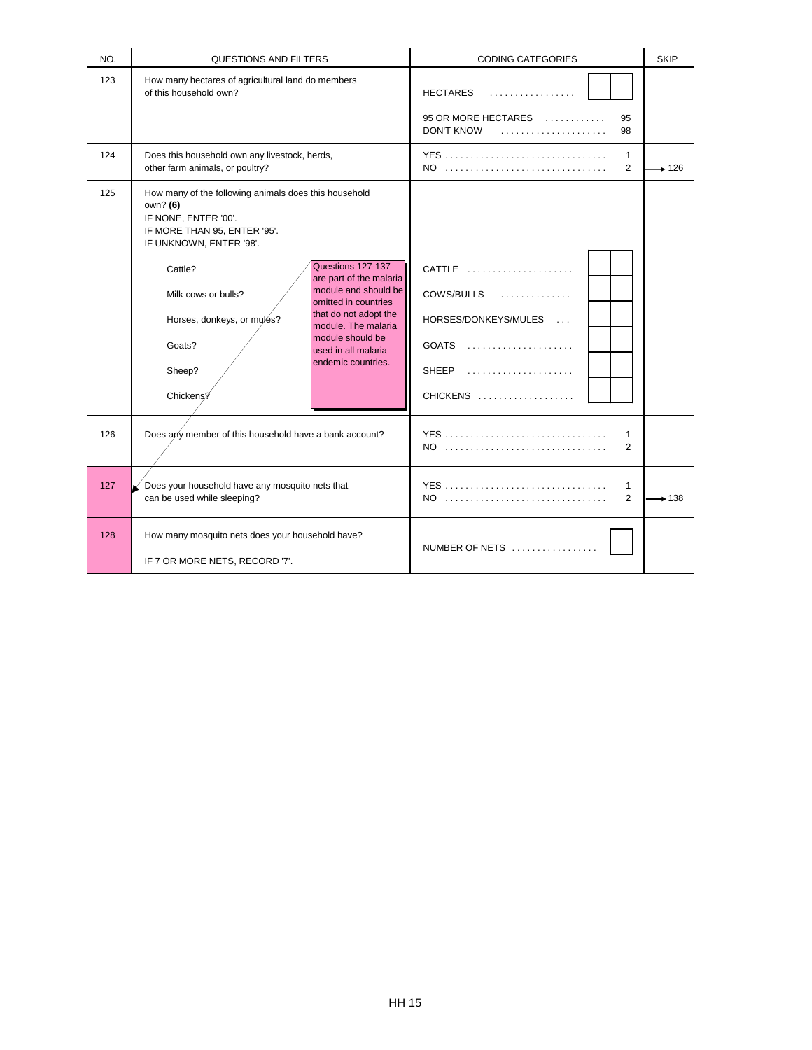| NO. | <b>QUESTIONS AND FILTERS</b>                                                                                                                                                                                                                                                                                                                                                                                                                                           | <b>CODING CATEGORIES</b>                                                     | <b>SKIP</b> |
|-----|------------------------------------------------------------------------------------------------------------------------------------------------------------------------------------------------------------------------------------------------------------------------------------------------------------------------------------------------------------------------------------------------------------------------------------------------------------------------|------------------------------------------------------------------------------|-------------|
| 123 | How many hectares of agricultural land do members<br>of this household own?                                                                                                                                                                                                                                                                                                                                                                                            | <b>HECTARES</b><br>.<br>95 OR MORE HECTARES<br>95<br><b>DON'T KNOW</b><br>98 |             |
| 124 | Does this household own any livestock, herds,<br>other farm animals, or poultry?                                                                                                                                                                                                                                                                                                                                                                                       | $\mathbf{1}$<br>NO<br>2                                                      | $+126$      |
| 125 | How many of the following animals does this household<br>own? (6)<br>IF NONE, ENTER '00'.<br>IF MORE THAN 95, ENTER '95'.<br>IF UNKNOWN, ENTER '98'.<br>Questions 127-137<br>Cattle?<br>are part of the malaria<br>module and should be<br>Milk cows or bulls?<br>omitted in countries<br>that do not adopt the<br>Horses, donkeys, or mules?<br>module. The malaria<br>module should be<br>Goats?<br>used in all malaria<br>endemic countries.<br>Sheep?<br>Chickens? | CATTLE<br>COWS/BULLS<br>HORSES/DONKEYS/MULES<br><b>SHEEP</b><br>CHICKENS     |             |
| 126 | Does any member of this household have a bank account?                                                                                                                                                                                                                                                                                                                                                                                                                 | 1<br>2                                                                       |             |
| 127 | Does your household have any mosquito nets that<br>can be used while sleeping?                                                                                                                                                                                                                                                                                                                                                                                         | YES<br>$\mathbf{1}$<br>2<br>NO                                               | $+138$      |
| 128 | How many mosquito nets does your household have?<br>IF 7 OR MORE NETS, RECORD '7'.                                                                                                                                                                                                                                                                                                                                                                                     | NUMBER OF NETS                                                               |             |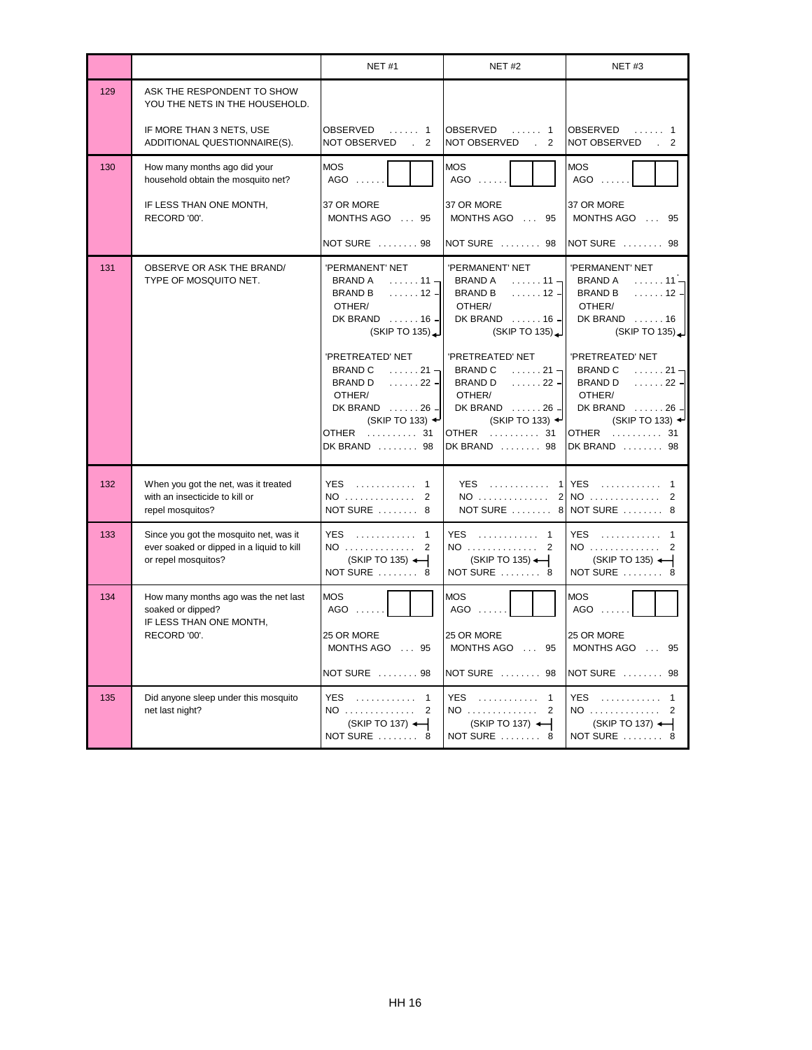|     |                                                                                                            | <b>NET #1</b>                                                                                                                                                                                                 | <b>NET #2</b>                                                                                                                                                                               | NET#3                                                                                                                                                                                                  |
|-----|------------------------------------------------------------------------------------------------------------|---------------------------------------------------------------------------------------------------------------------------------------------------------------------------------------------------------------|---------------------------------------------------------------------------------------------------------------------------------------------------------------------------------------------|--------------------------------------------------------------------------------------------------------------------------------------------------------------------------------------------------------|
| 129 | ASK THE RESPONDENT TO SHOW<br>YOU THE NETS IN THE HOUSEHOLD.                                               |                                                                                                                                                                                                               |                                                                                                                                                                                             |                                                                                                                                                                                                        |
|     | IF MORE THAN 3 NETS, USE<br>ADDITIONAL QUESTIONNAIRE(S).                                                   | OBSERVED<br>. 1<br>NOT OBSERVED<br>2<br>$\mathbf{r}$                                                                                                                                                          | <b>OBSERVED</b><br>. 1<br>NOT OBSERVED<br>$\overline{2}$<br>$\sim 10^{-1}$                                                                                                                  | <b>OBSERVED</b><br>NOT OBSERVED<br>$\overline{2}$                                                                                                                                                      |
| 130 | How many months ago did your<br>household obtain the mosquito net?                                         | <b>MOS</b><br>$AGO$                                                                                                                                                                                           | <b>MOS</b><br>AGO<br>1.1.1.1                                                                                                                                                                | <b>MOS</b><br>AGO                                                                                                                                                                                      |
|     | IF LESS THAN ONE MONTH,<br>RECORD '00'.                                                                    | 37 OR MORE<br>MONTHS AGO  95                                                                                                                                                                                  | 37 OR MORE<br>MONTHS AGO  95                                                                                                                                                                | 37 OR MORE<br>MONTHS AGO<br>95                                                                                                                                                                         |
|     |                                                                                                            | NOT SURE  98                                                                                                                                                                                                  | NOT SURE  98                                                                                                                                                                                | NOT SURE  98                                                                                                                                                                                           |
| 131 | OBSERVE OR ASK THE BRAND/<br>TYPE OF MOSQUITO NET.                                                         | 'PERMANENT' NET<br><b>BRAND A</b><br>$\ldots \ldots 11$<br><b>BRAND B</b><br>$\ldots \ldots$ 12 -<br>OTHER/<br>DK BRAND  16 -<br>(SKIPTO 135)                                                                 | 'PERMANENT' NET<br>BRAND A<br>$\ldots \ldots 11$<br><b>BRAND B</b><br>$\ldots \ldots$ 12 $-$<br>OTHER/<br>DK BRAND  16 -<br>(SKIP TO 135)                                                   | 'PERMANENT' NET<br><b>BRAND A</b><br>$\ldots \ldots 11 -$<br><b>BRAND B</b><br>. 12 $-$<br>OTHER/<br>DK BRAND 16<br>(SKIP TO 135)                                                                      |
|     |                                                                                                            | 'PRETREATED' NET<br><b>BRAND C</b><br>$\ldots \ldots 21$ $\blacksquare$<br><b>BRAND D</b><br>$\ldots \ldots 22 -$<br>OTHER/<br>DK BRAND  26 -<br>(SKIP TO 133) $\rightarrow$<br>OTHER<br>. 31<br>DK BRAND  98 | 'PRETREATED' NET<br><b>BRAND C</b><br>$\ldots \ldots 21 -$<br><b>BRAND D</b><br>. 22 - 1<br>OTHER/<br>DK BRAND  26 -<br>(SKIP TO 133) $\rightarrow$<br><b>OTHER</b><br>. 31<br>DK BRAND  98 | 'PRETREATED' NET<br><b>BRAND C</b><br>$\ldots \ldots 21$ $\blacksquare$<br><b>BRAND D</b><br>$\ldots \ldots 22 -$<br>OTHER/<br>DK BRAND 26<br>(SKIP TO 133) $\rightarrow$<br>OTHER  31<br>DK BRAND  98 |
| 132 | When you got the net, was it treated<br>with an insecticide to kill or<br>repel mosquitos?                 | YES  1<br>NO  2<br>NOT SURE  8                                                                                                                                                                                | $YES$<br>NO                                                                                                                                                                                 | 1 YES  1<br>2 NO  2<br>NOT SURE  8 NOT SURE  8                                                                                                                                                         |
| 133 | Since you got the mosquito net, was it<br>ever soaked or dipped in a liquid to kill<br>or repel mosquitos? | YES.<br>. 1<br>NO  2<br>(SKIP TO 135) $\leftarrow$<br>NOT SURE  8                                                                                                                                             | YES  1<br>NO 2<br>$(SKIP TO 135)$ $\leftarrow$<br>NOT SURE  8                                                                                                                               | <b>YES</b><br>. 1<br>NO<br>2<br>$(SKIPTO 135)$ $\leftarrow$<br>NOT SURE  8                                                                                                                             |
| 134 | How many months ago was the net last<br>soaked or dipped?<br>IF LESS THAN ONE MONTH,<br>RECORD '00'.       | <b>MOS</b><br>AGO<br>25 OR MORE                                                                                                                                                                               | <b>MOS</b><br>AGO<br>25 OR MORE                                                                                                                                                             | <b>MOS</b><br>AGO<br>25 OR MORE                                                                                                                                                                        |
|     |                                                                                                            | MONTHS AGO  95<br>NOT SURE  98                                                                                                                                                                                | MONTHS AGO  95<br>NOT SURE  98                                                                                                                                                              | MONTHS AGO  95<br>NOT SURE  98                                                                                                                                                                         |
| 135 | Did anyone sleep under this mosquito<br>net last night?                                                    | YES  1<br>$(SKIP TO 137)$ $\leftarrow$<br>NOT SURE  8                                                                                                                                                         | YES  1<br>$NO$<br>2<br>(SKIP TO 137) +<br>NOT SURE  8                                                                                                                                       | YES  1<br>$NO$ 2<br>$(SKIP TO 137)$ $\leftarrow$<br>NOT SURE  8                                                                                                                                        |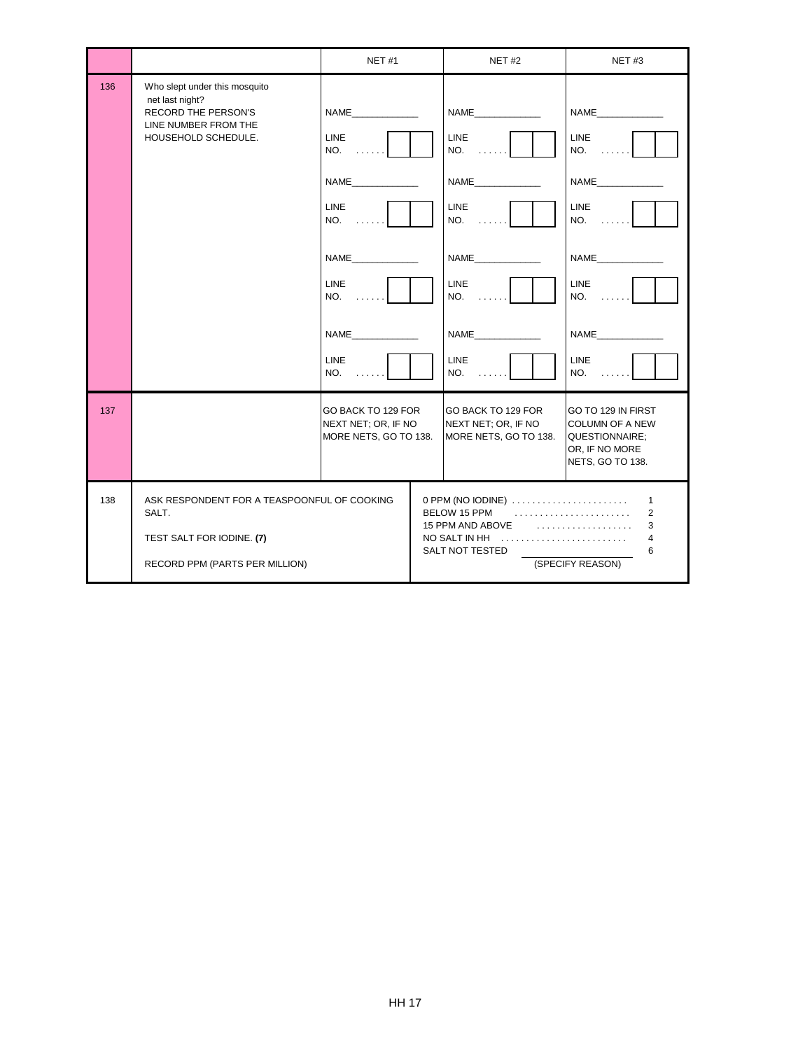|     |                                                                                                                        | <b>NET #1</b>                                                                                                        | <b>NET #2</b>                                                                                                                      | <b>NET#3</b>                                                                                                 |
|-----|------------------------------------------------------------------------------------------------------------------------|----------------------------------------------------------------------------------------------------------------------|------------------------------------------------------------------------------------------------------------------------------------|--------------------------------------------------------------------------------------------------------------|
| 136 | Who slept under this mosquito<br>net last night?<br>RECORD THE PERSON'S<br>LINE NUMBER FROM THE<br>HOUSEHOLD SCHEDULE. | NAME<br>LINE<br>NO.<br><b>NAME</b><br><b>LINE</b><br>NO.<br>NAME<br><b>LINE</b><br>NO.<br><b>NAME</b><br>LINE<br>NO. | <b>LINE</b><br>NO.<br><b>LINE</b><br>NO.<br><b>LINE</b><br>NO.<br>NAME<br><b>LINE</b><br>NO.                                       | NAME<br><b>LINE</b><br>NO.<br>NAME<br>LINE<br>NO.<br><b>LINE</b><br>NO.<br><b>NAME</b><br><b>LINE</b><br>NO. |
| 137 |                                                                                                                        | GO BACK TO 129 FOR<br>NEXT NET; OR, IF NO<br>MORE NETS, GO TO 138.                                                   | GO BACK TO 129 FOR<br>NEXT NET; OR, IF NO<br>MORE NETS, GO TO 138.                                                                 | GO TO 129 IN FIRST<br><b>COLUMN OF A NEW</b><br>QUESTIONNAIRE;<br>OR, IF NO MORE<br>NETS, GO TO 138.         |
| 138 | ASK RESPONDENT FOR A TEASPOONFUL OF COOKING<br>SALT.<br>TEST SALT FOR IODINE. (7)<br>RECORD PPM (PARTS PER MILLION)    |                                                                                                                      | 0 PPM (NO IODINE)<br>BELOW 15 PPM<br>15 PPM AND ABOVE $\ldots, \ldots, \ldots, \ldots, \ldots$<br>NO SALT IN HH<br>SALT NOT TESTED | $\mathbf{1}$<br>2<br>3<br>4<br>6<br>(SPECIFY REASON)                                                         |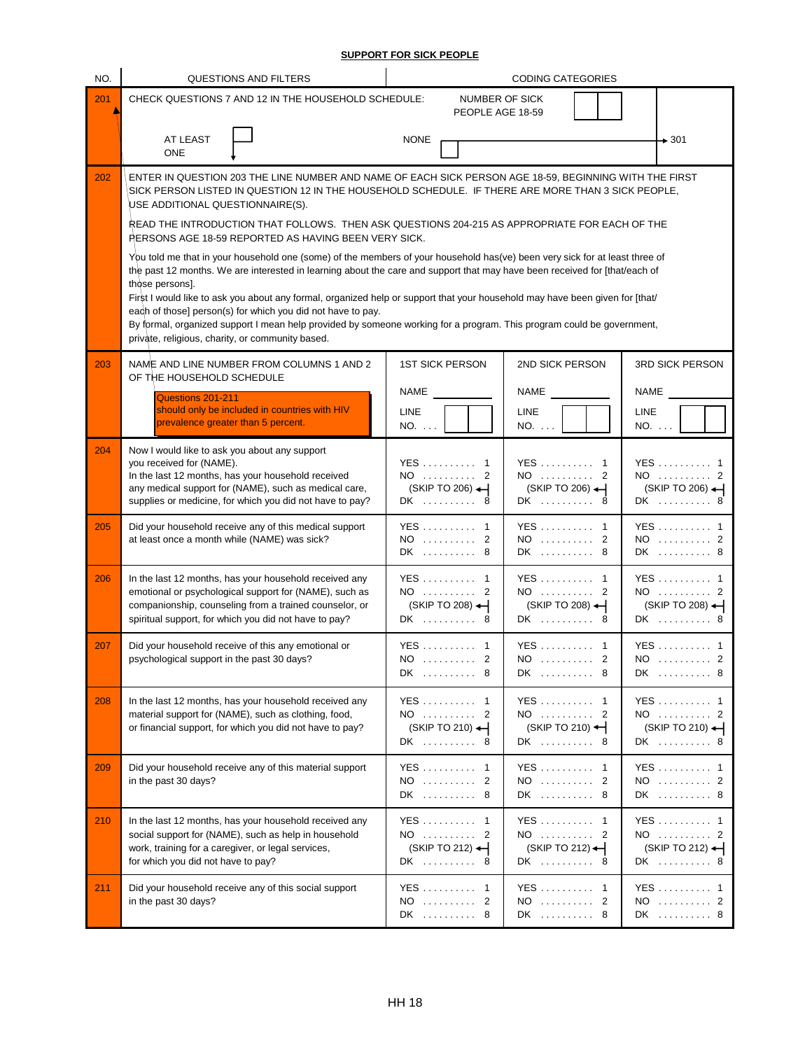## **SUPPORT FOR SICK PEOPLE**

| NO. | QUESTIONS AND FILTERS                                                                                                                                                                                                                                                                                                                                                                                                                                                                                                                                                                                                                                                                                                                                                                                                                                                                                                                                                                                                                                                 |                                                            | <b>CODING CATEGORIES</b>                                 |                                                                |
|-----|-----------------------------------------------------------------------------------------------------------------------------------------------------------------------------------------------------------------------------------------------------------------------------------------------------------------------------------------------------------------------------------------------------------------------------------------------------------------------------------------------------------------------------------------------------------------------------------------------------------------------------------------------------------------------------------------------------------------------------------------------------------------------------------------------------------------------------------------------------------------------------------------------------------------------------------------------------------------------------------------------------------------------------------------------------------------------|------------------------------------------------------------|----------------------------------------------------------|----------------------------------------------------------------|
| 201 | CHECK QUESTIONS 7 AND 12 IN THE HOUSEHOLD SCHEDULE:                                                                                                                                                                                                                                                                                                                                                                                                                                                                                                                                                                                                                                                                                                                                                                                                                                                                                                                                                                                                                   | <b>NUMBER OF SICK</b><br>PEOPLE AGE 18-59                  |                                                          |                                                                |
|     | AT LEAST<br>ONE                                                                                                                                                                                                                                                                                                                                                                                                                                                                                                                                                                                                                                                                                                                                                                                                                                                                                                                                                                                                                                                       | <b>NONE</b>                                                |                                                          | $\rightarrow$ 301                                              |
| 202 | ENTER IN QUESTION 203 THE LINE NUMBER AND NAME OF EACH SICK PERSON AGE 18-59, BEGINNING WITH THE FIRST<br>SICK PERSON LISTED IN QUESTION 12 IN THE HOUSEHOLD SCHEDULE. IF THERE ARE MORE THAN 3 SICK PEOPLE,<br>USE ADDITIONAL QUESTIONNAIRE(S).<br>READ THE INTRODUCTION THAT FOLLOWS. THEN ASK QUESTIONS 204-215 AS APPROPRIATE FOR EACH OF THE<br>RERSONS AGE 18-59 REPORTED AS HAVING BEEN VERY SICK.<br>You told me that in your household one (some) of the members of your household has(ve) been very sick for at least three of<br>the past 12 months. We are interested in learning about the care and support that may have been received for [that/each of<br>those persons].<br>First I would like to ask you about any formal, organized help or support that your household may have been given for [that/<br>each of those] person(s) for which you did not have to pay.<br>By formal, organized support I mean help provided by someone working for a program. This program could be government,<br>private, religious, charity, or community based. |                                                            |                                                          |                                                                |
| 203 | NAME AND LINE NUMBER FROM COLUMNS 1 AND 2<br>OF THE HOUSEHOLD SCHEDULE<br>Questions 201-211<br>should only be included in countries with HIV<br>prevalence greater than 5 percent.                                                                                                                                                                                                                                                                                                                                                                                                                                                                                                                                                                                                                                                                                                                                                                                                                                                                                    | <b>1ST SICK PERSON</b><br><b>NAME</b><br>LINE<br>NO.       | 2ND SICK PERSON<br><b>NAME</b><br><b>LINE</b><br>NO.     | 3RD SICK PERSON<br>NAME<br><b>LINE</b><br>NO.                  |
| 204 | Now I would like to ask you about any support<br>you received for (NAME).<br>In the last 12 months, has your household received<br>any medical support for (NAME), such as medical care,<br>supplies or medicine, for which you did not have to pay?                                                                                                                                                                                                                                                                                                                                                                                                                                                                                                                                                                                                                                                                                                                                                                                                                  | YES  1<br>NO  2<br>$(SKIP TO 206)$ $\leftarrow$<br>DK<br>8 | YES 1<br>NO  2<br>$(SKIP TO 206)$ $\leftarrow$<br>DK  8  | YES  1<br>NO  2<br>$(SKIP TO 206)$ $\leftarrow$<br>DK  8       |
| 205 | Did your household receive any of this medical support<br>at least once a month while (NAME) was sick?                                                                                                                                                                                                                                                                                                                                                                                                                                                                                                                                                                                                                                                                                                                                                                                                                                                                                                                                                                | YES 1<br>NO<br>2<br>DK  8                                  | YES 1<br>NO  2<br>DK  8                                  | YES  1<br>NO  2<br>DK  8                                       |
| 206 | In the last 12 months, has your household received any<br>emotional or psychological support for (NAME), such as<br>companionship, counseling from a trained counselor, or<br>spiritual support, for which you did not have to pay?                                                                                                                                                                                                                                                                                                                                                                                                                                                                                                                                                                                                                                                                                                                                                                                                                                   | YES  1<br>NO  2<br>$(SKIP TO 208)$ $\leftarrow$<br>DK  8   | YES  1<br>NO  2<br>$(SKIP TO 208)$ $\leftarrow$<br>DK  8 | <b>YES</b> 1<br>NO  2<br>$(SKIP TO 208)$ $\leftarrow$<br>DK  8 |
| 207 | Did your household receive of this any emotional or<br>psychological support in the past 30 days?                                                                                                                                                                                                                                                                                                                                                                                                                                                                                                                                                                                                                                                                                                                                                                                                                                                                                                                                                                     | YES  1<br>NO  2<br>DK  8                                   | YES  1<br>$NO$ 2<br>DK  8                                | YES  1<br>NO  2<br>DK  8                                       |
| 208 | In the last 12 months, has your household received any<br>material support for (NAME), such as clothing, food,<br>or financial support, for which you did not have to pay?                                                                                                                                                                                                                                                                                                                                                                                                                                                                                                                                                                                                                                                                                                                                                                                                                                                                                            | YES 1<br>NO  2<br>(SKIP TO 210) ←<br>DK  8                 | YES 1<br>NO  2<br>(SKIP TO 210) $\leftarrow$<br>DK  8    | YES  1<br>NO  2<br>(SKIP TO 210)<br>DK  8                      |
| 209 | Did your household receive any of this material support<br>in the past 30 days?                                                                                                                                                                                                                                                                                                                                                                                                                                                                                                                                                                                                                                                                                                                                                                                                                                                                                                                                                                                       | YES  1<br>NO  2<br>DK  8                                   | $YES \dots \dots \dots 1$<br>NO  2<br>DK  8              | YES  1<br>NO  2<br>DK  8                                       |
| 210 | In the last 12 months, has your household received any<br>social support for (NAME), such as help in household<br>work, training for a caregiver, or legal services,<br>for which you did not have to pay?                                                                                                                                                                                                                                                                                                                                                                                                                                                                                                                                                                                                                                                                                                                                                                                                                                                            | YES  1<br>NO  2<br>$(SKIP TO 212)$ $\leftarrow$<br>DK  8   | YES 1<br>NO  2<br>$(SKIP TO 212)$ $\leftarrow$<br>DK  8  | YES  1<br>NO  2<br>$(SKIP TO 212)$ $\leftarrow$<br>DK  8       |
| 211 | Did your household receive any of this social support<br>in the past 30 days?                                                                                                                                                                                                                                                                                                                                                                                                                                                                                                                                                                                                                                                                                                                                                                                                                                                                                                                                                                                         | YES 1<br>NO  2<br>DK  8                                    | YES  1<br>NO  2<br>DK  8                                 | YES  1<br>NO  2<br>DK  8                                       |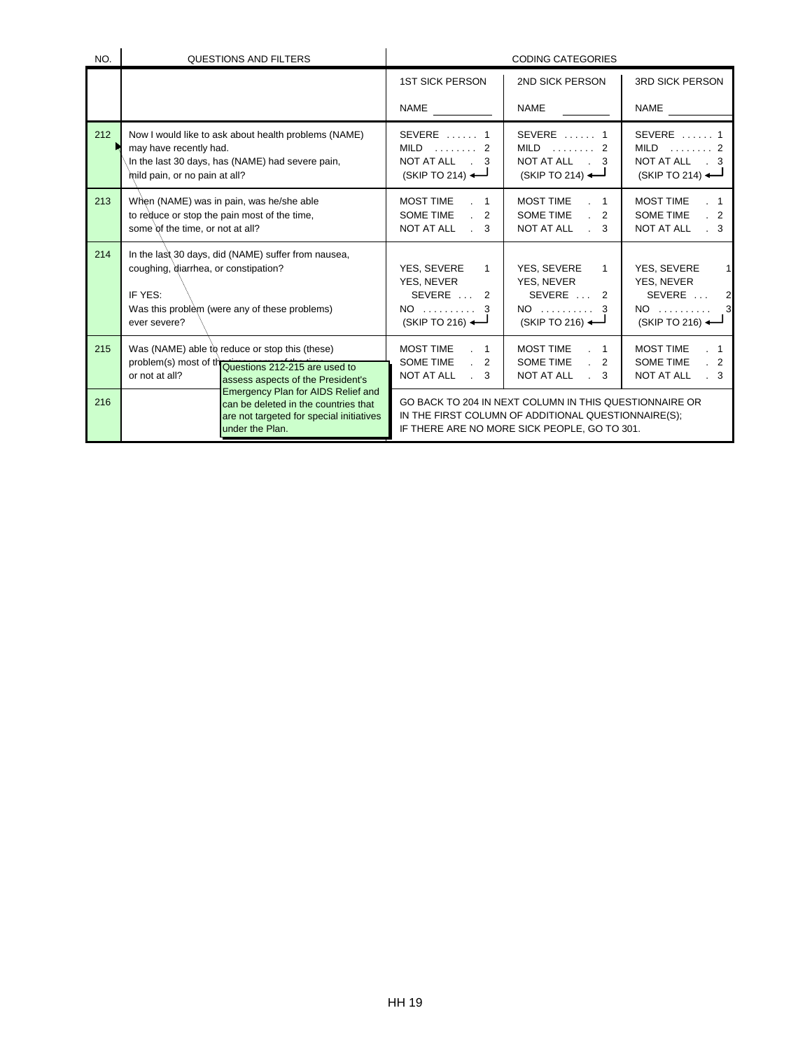| NO. | <b>QUESTIONS AND FILTERS</b>                                                                                                                                            | <b>CODING CATEGORIES</b>                                                                                                |                                                                                                                                                               |                                                                                                                        |  |
|-----|-------------------------------------------------------------------------------------------------------------------------------------------------------------------------|-------------------------------------------------------------------------------------------------------------------------|---------------------------------------------------------------------------------------------------------------------------------------------------------------|------------------------------------------------------------------------------------------------------------------------|--|
|     |                                                                                                                                                                         | <b>1ST SICK PERSON</b>                                                                                                  | 2ND SICK PERSON                                                                                                                                               | <b>3RD SICK PERSON</b>                                                                                                 |  |
|     |                                                                                                                                                                         | NAME                                                                                                                    | <b>NAME</b>                                                                                                                                                   | <b>NAME</b>                                                                                                            |  |
| 212 | Now I would like to ask about health problems (NAME)<br>may have recently had.<br>In the last 30 days, has (NAME) had severe pain,<br>mild pain, or no pain at all?     | $SEVERE$ 1<br>NOT AT ALL . 3<br>$(SKIP TO 214)$ $\leftarrow$                                                            | $SEVERE$ 1<br>$MILD$ 2<br>NOT AT ALL . 3<br>$(SKIP TO 214)$ $\leftarrow$                                                                                      | SEVERE $\dots$ 1<br>$MILD$ 2<br>NOT AT ALL . 3<br>$(SKIP TO 214)$ <sup>--</sup>                                        |  |
| 213 | When (NAME) was in pain, was he/she able<br>to reduce or stop the pain most of the time,<br>some of the time, or not at all?                                            | <b>MOST TIME</b><br>$\sim$ 1<br><b>SOME TIME</b><br>$\cdot$ 2<br><b>NOT AT ALL</b><br>$\mathbb{R}^2$<br>3               | <b>MOST TIME</b><br>$\sim$ 1<br>SOME TIME<br>2<br>NOT AT ALL<br>$\mathbb{R}^2$<br>3                                                                           | <b>MOST TIME</b><br>$\overline{\phantom{1}}$<br><b>SOME TIME</b><br>$\cdot$ 2<br>NOT AT ALL<br>$\cdot$ 3               |  |
| 214 | In the last 30 days, did (NAME) suffer from nausea,<br>coughing, diarrhea, or constipation?<br>IF YES:<br>Was this problem (were any of these problems)<br>ever severe? | YES, SEVERE<br>$\mathbf{1}$<br><b>YES, NEVER</b><br>SEVERE  2<br>$NO$ 3<br>$(SKIP TO 216)$ $\leftarrow$                 | YES, SEVERE<br>$\mathbf{1}$<br><b>YES, NEVER</b><br>SEVERE  2<br>$NO$ 3<br>$(SKIPTO 216)$ $\leftarrow$                                                        | YES, SEVERE<br>$\mathbf{1}$<br><b>YES, NEVER</b><br>SEVERE<br>$\overline{2}$<br>$NO$ 3<br>$(SKIP TO 216)$ $\leftarrow$ |  |
| 215 | Was (NAME) able to reduce or stop this (these)<br>problem(s) most of the divestions 212-215 are used to<br>or not at all?<br>assess aspects of the President's          | <b>MOST TIME</b><br>$\cdot$ 1<br><b>SOME TIME</b><br>$\cdot$ 2<br><b>NOT AT ALL</b><br>$\mathcal{L}^{\mathcal{L}}$<br>3 | <b>MOST TIME</b><br>$\sim$ 1<br><b>SOME TIME</b><br>2<br>$\mathbb{R}^{\mathbb{Z}}$<br>NOT AT ALL<br>$\mathbb{R}^{\mathbb{Z}}$<br>3                            | <b>MOST TIME</b><br>. 1<br><b>SOME TIME</b><br>2 <sup>2</sup><br>NOT AT ALL<br>$\cdot$ 3                               |  |
| 216 | <b>Emergency Plan for AIDS Relief and</b><br>can be deleted in the countries that<br>are not targeted for special initiatives<br>under the Plan.                        |                                                                                                                         | GO BACK TO 204 IN NEXT COLUMN IN THIS QUESTIONNAIRE OR<br>IN THE FIRST COLUMN OF ADDITIONAL QUESTIONNAIRE(S);<br>IF THERE ARE NO MORE SICK PEOPLE, GO TO 301. |                                                                                                                        |  |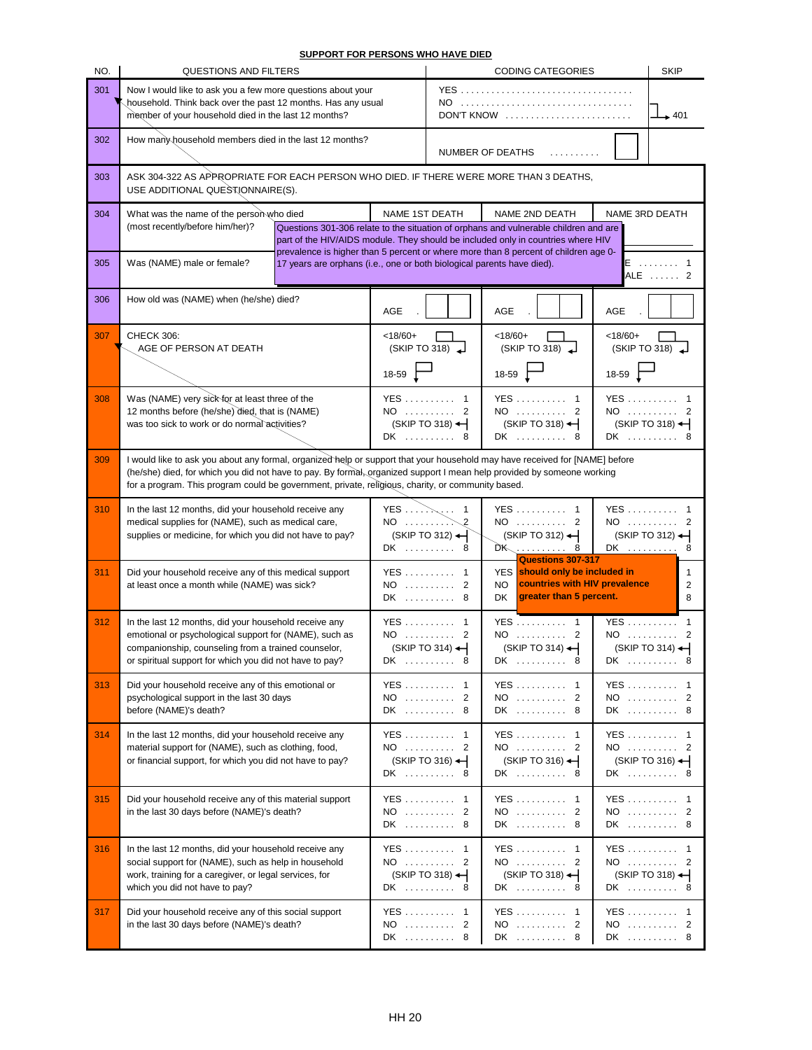**SUPPORT FOR PERSONS WHO HAVE DIED**

| NO. | QUESTIONS AND FILTERS                                                                                                                                                                                                                                                                                                                                      |                                                                        | <b>CODING CATEGORIES</b><br><b>SKIP</b> |                                                                     |                                                                                                                                                                                                                                                                 |                   |                                                           |
|-----|------------------------------------------------------------------------------------------------------------------------------------------------------------------------------------------------------------------------------------------------------------------------------------------------------------------------------------------------------------|------------------------------------------------------------------------|-----------------------------------------|---------------------------------------------------------------------|-----------------------------------------------------------------------------------------------------------------------------------------------------------------------------------------------------------------------------------------------------------------|-------------------|-----------------------------------------------------------|
| 301 | Now I would like to ask you a few more questions about your<br>household. Think back over the past 12 months. Has any usual<br>member of your household died in the last 12 months?                                                                                                                                                                        |                                                                        |                                         | $NO$<br>DON'T KNOW                                                  |                                                                                                                                                                                                                                                                 | $\rightarrow$ 401 |                                                           |
| 302 | How many household members died in the last 12 months?                                                                                                                                                                                                                                                                                                     |                                                                        |                                         | NUMBER OF DEATHS<br>.                                               |                                                                                                                                                                                                                                                                 |                   |                                                           |
| 303 | ASK 304-322 AS APPROPRIATE FOR EACH PERSON WHO DIED. IF THERE WERE MORE THAN 3 DEATHS,<br>USE ADDITIONAL QUESTIONNAIRE(S).                                                                                                                                                                                                                                 |                                                                        |                                         |                                                                     |                                                                                                                                                                                                                                                                 |                   |                                                           |
| 304 | What was the name of the person who died                                                                                                                                                                                                                                                                                                                   |                                                                        | NAME 1ST DEATH                          |                                                                     | NAME 2ND DEATH                                                                                                                                                                                                                                                  | NAME 3RD DEATH    |                                                           |
|     | (most recently/before him/her)?                                                                                                                                                                                                                                                                                                                            |                                                                        |                                         |                                                                     | Questions 301-306 relate to the situation of orphans and vulnerable children and are<br>part of the HIV/AIDS module. They should be included only in countries where HIV<br>prevalence is higher than 5 percent or where more than 8 percent of children age 0- |                   |                                                           |
| 305 | Was (NAME) male or female?                                                                                                                                                                                                                                                                                                                                 | 17 years are orphans (i.e., one or both biological parents have died). |                                         |                                                                     |                                                                                                                                                                                                                                                                 |                   | E  1<br>ALE  2                                            |
| 306 | How old was (NAME) when (he/she) died?                                                                                                                                                                                                                                                                                                                     |                                                                        | AGE                                     |                                                                     | <b>AGE</b>                                                                                                                                                                                                                                                      | <b>AGE</b>        |                                                           |
| 307 | CHECK 306:<br>AGE OF PERSON AT DEATH                                                                                                                                                                                                                                                                                                                       |                                                                        | $< 18/60+$                              | (SKIPTO 318)                                                        | $< 18/60+$<br>(SKIPTO 318)                                                                                                                                                                                                                                      | $< 18/60+$        | (SKIPTO 318)                                              |
|     |                                                                                                                                                                                                                                                                                                                                                            |                                                                        | $18-59$                                 |                                                                     | $18-59$                                                                                                                                                                                                                                                         | 18-59 $\Gamma$    |                                                           |
| 308 | Was (NAME) very sick for at least three of the<br>12 months before (he/she) died, that is (NAME)<br>was too sick to work or do normal activities?                                                                                                                                                                                                          |                                                                        | DK                                      | YES  1<br>NO  2<br>(SKIP TO 318) $\leftarrow$<br>8                  | YES  1<br>NO  2<br>$(SKIP TO 318)$ $\leftarrow$<br>DK  8                                                                                                                                                                                                        |                   | YES  1<br>NO  2<br>$(SKIPTO 318)$ $\leftarrow$<br>DK  8   |
| 309 | I would like to ask you about any formal, organized help or support that your household may have received for [NAME] before<br>(he/she) died, for which you did not have to pay. By formal, organized support I mean help provided by someone working<br>for a program. This program could be government, private, religious, charity, or community based. |                                                                        |                                         |                                                                     |                                                                                                                                                                                                                                                                 |                   |                                                           |
| 310 | In the last 12 months, did your household receive any<br>medical supplies for (NAME), such as medical care,<br>supplies or medicine, for which you did not have to pay?                                                                                                                                                                                    |                                                                        | $NO$                                    | YES $\dots$ $\mathbb{R}$ 1<br>$(SKIP TO 312)$ $\leftarrow$<br>DK  8 | YES  1<br>NO  2<br>$(SKIP TO 312)$ $\leftarrow$<br><b>Questions 307-317</b>                                                                                                                                                                                     |                   | YES  1<br>NO  2<br>$(SKIPTO 312)$ $\leftarrow$<br>DK  8   |
| 311 | Did your household receive any of this medical support<br>at least once a month while (NAME) was sick?                                                                                                                                                                                                                                                     |                                                                        |                                         | $YES$ 1<br>NO  2<br>DK  8                                           | YES should only be included in<br>countries with HIV prevalence<br>NO.<br>greater than 5 percent.<br>DK                                                                                                                                                         |                   | 2<br>8                                                    |
| 312 | In the last 12 months, did your household receive any<br>emotional or psychological support for (NAME), such as<br>companionship, counseling from a trained counselor,<br>or spiritual support for which you did not have to pay?                                                                                                                          |                                                                        |                                         | YES  1<br>NO  2<br>$(SKIP TO 314)$ $\leftarrow$<br>DK  8            | YES  1<br>NO  2<br>(SKIP TO 314)<br>DK  8                                                                                                                                                                                                                       |                   | YES  1<br>$NO$ 2<br>$(SKIP TO 314)$ $\leftarrow$<br>DK  8 |
| 313 | Did your household receive any of this emotional or<br>psychological support in the last 30 days<br>before (NAME)'s death?                                                                                                                                                                                                                                 |                                                                        | NO                                      | YES 1<br>2<br>DK  8                                                 | YES  1<br>NO  2<br>DK  8                                                                                                                                                                                                                                        |                   | YES  1<br>NO  2<br>DK  8                                  |
| 314 | In the last 12 months, did your household receive any<br>material support for (NAME), such as clothing, food,<br>or financial support, for which you did not have to pay?                                                                                                                                                                                  |                                                                        |                                         | YES  1<br>NO  2<br>$(SKIP TO 316)$ $\leftarrow$<br>DK  8            | YES  1<br>NO  2<br>$(SKIP TO 316)$ $\leftarrow$<br>DK  8                                                                                                                                                                                                        |                   | YES  1<br>NO  2<br>$(SKIP TO 316)$ $\leftarrow$<br>DK  8  |
| 315 | Did your household receive any of this material support<br>in the last 30 days before (NAME)'s death?                                                                                                                                                                                                                                                      |                                                                        | NO                                      | YES  1<br>2<br>DK  8                                                | YES 1<br>NO  2<br>DK  8                                                                                                                                                                                                                                         |                   | YES  1<br>NO  2<br>DK  8                                  |
| 316 | In the last 12 months, did your household receive any<br>social support for (NAME), such as help in household<br>work, training for a caregiver, or legal services, for<br>which you did not have to pay?                                                                                                                                                  |                                                                        |                                         | YES  1<br>NO  2<br>$(SKIP TO 318)$ $\leftarrow$<br>DK  8            | YES  1<br>NO  2<br>$(SKIP TO 318)$ <sup>-</sup><br>DK  8                                                                                                                                                                                                        |                   | YES  1<br>NO  2<br>$(SKIP TO 318)$ $\leftarrow$<br>DK  8  |
| 317 | Did your household receive any of this social support<br>in the last 30 days before (NAME)'s death?                                                                                                                                                                                                                                                        |                                                                        | DK                                      | YES  1<br>NO  2<br>8                                                | YES  1<br>NO  2<br>DK  8                                                                                                                                                                                                                                        |                   | YES  1<br>NO  2<br>DK  8                                  |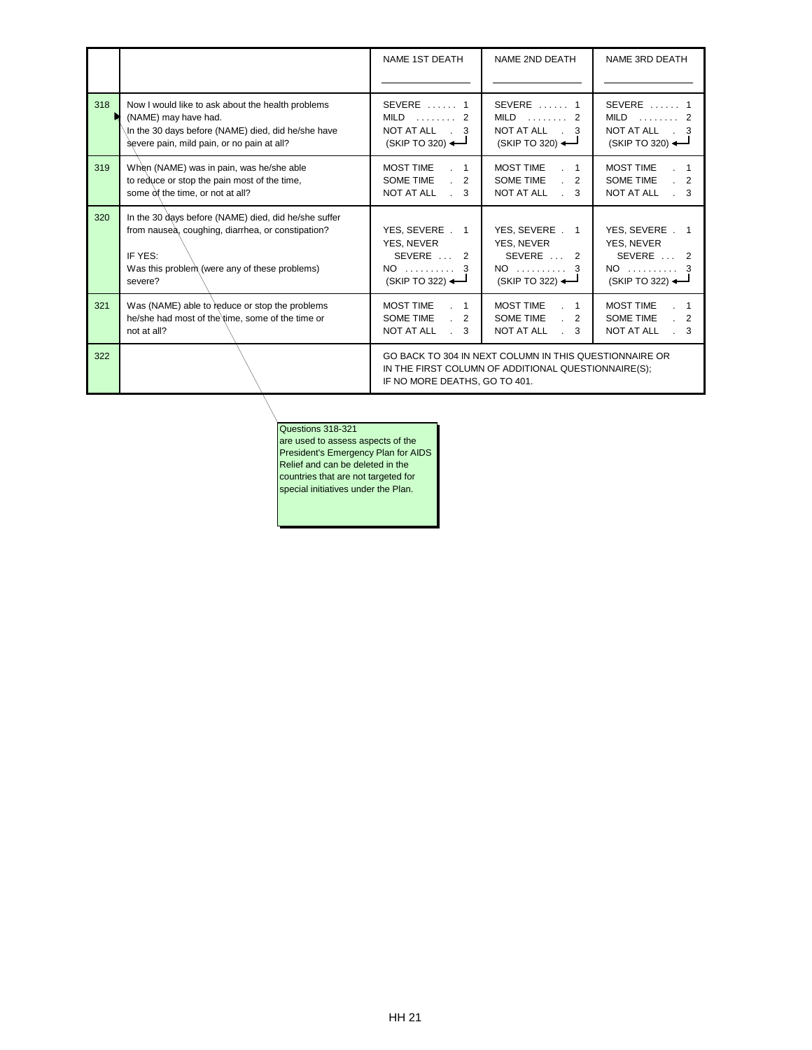|     |                                                                                                                                                                                  | NAME 1ST DEATH                                                                               | NAME 2ND DEATH                                                                                                | NAME 3RD DEATH                                                                |
|-----|----------------------------------------------------------------------------------------------------------------------------------------------------------------------------------|----------------------------------------------------------------------------------------------|---------------------------------------------------------------------------------------------------------------|-------------------------------------------------------------------------------|
| 318 | Now I would like to ask about the health problems<br>(NAME) may have had.<br>In the 30 days before (NAME) died, did he/she have<br>severe pain, mild pain, or no pain at all?    | $SEVERE$ 1<br>$MILD$ 2<br>NOT AT ALL . 3<br>$(SKIP TO 320)$ $\longrightarrow$                | SEVERE  1<br>$MILD$ 2<br>NOT AT ALL . 3<br>(SKIP TO 320)                                                      | $SEVERE$ 1<br>$MILD$ 2<br>NOT AT ALL . 3<br>$(SKIP TO 320)$ $\longrightarrow$ |
| 319 | When (NAME) was in pain, was he/she able<br>to reduce or stop the pain most of the time,<br>some $\dot{\alpha}$ the time, or not at all?                                         | <b>MOST TIME</b><br>$\cdot$ 1<br>SOME TIME<br>$\cdot$ 2<br>NOT AT ALL<br>$\mathbb{R}^2$<br>3 | <b>MOST TIME</b><br>$\sim$ 1<br>SOME TIME<br>$\cdot$ 2<br>NOT AT ALL<br>$\therefore$ 3                        | <b>MOST TIME</b><br>SOME TIME<br>2<br><b>NOT AT ALL</b><br>3                  |
| 320 | In the 30 days before (NAME) died, did he/she suffer<br>from nausea, coughing, diarrhea, or constipation?<br>IF YES:<br>Was this problem (were any of these problems)<br>severe? | YES, SEVERE . 1<br>YES, NEVER<br>SEVERE  2<br>NO  3<br>$(SKIP TO 322)$ $\longrightarrow$     | YES, SEVERE . 1<br>YES. NEVER<br>SEVERE  2<br>$NO$ 3<br>$(SKIP TO 322)$ $\longrightarrow$                     | YES, SEVERE . 1<br>YES, NEVER<br>SEVERE  2<br>$NO$ 3<br>(SKIP TO 322)         |
| 321 | Was (NAME) able to reduce or stop the problems<br>he/she had most of the time, some of the time or<br>not at all?                                                                | <b>MOST TIME</b><br>$\sim$ 1<br>SOME TIME<br>$\cdot$ 2<br>NOT AT ALL<br>$\cdot$ 3            | <b>MOST TIME</b><br>$\sim$ 1<br>SOME TIME<br>$\cdot$ 2<br>NOT AT ALL<br>$\cdot$ 3                             | <b>MOST TIME</b><br>SOME TIME<br>2<br>NOT AT ALL<br>$\cdot$ 3                 |
| 322 |                                                                                                                                                                                  | IF NO MORE DEATHS, GO TO 401.                                                                | GO BACK TO 304 IN NEXT COLUMN IN THIS QUESTIONNAIRE OR<br>IN THE FIRST COLUMN OF ADDITIONAL QUESTIONNAIRE(S); |                                                                               |

## Questions 318-321

are used to assess aspects of the President's Emergency Plan for AIDS Relief and can be deleted in the countries that are not targeted for special initiatives under the Plan.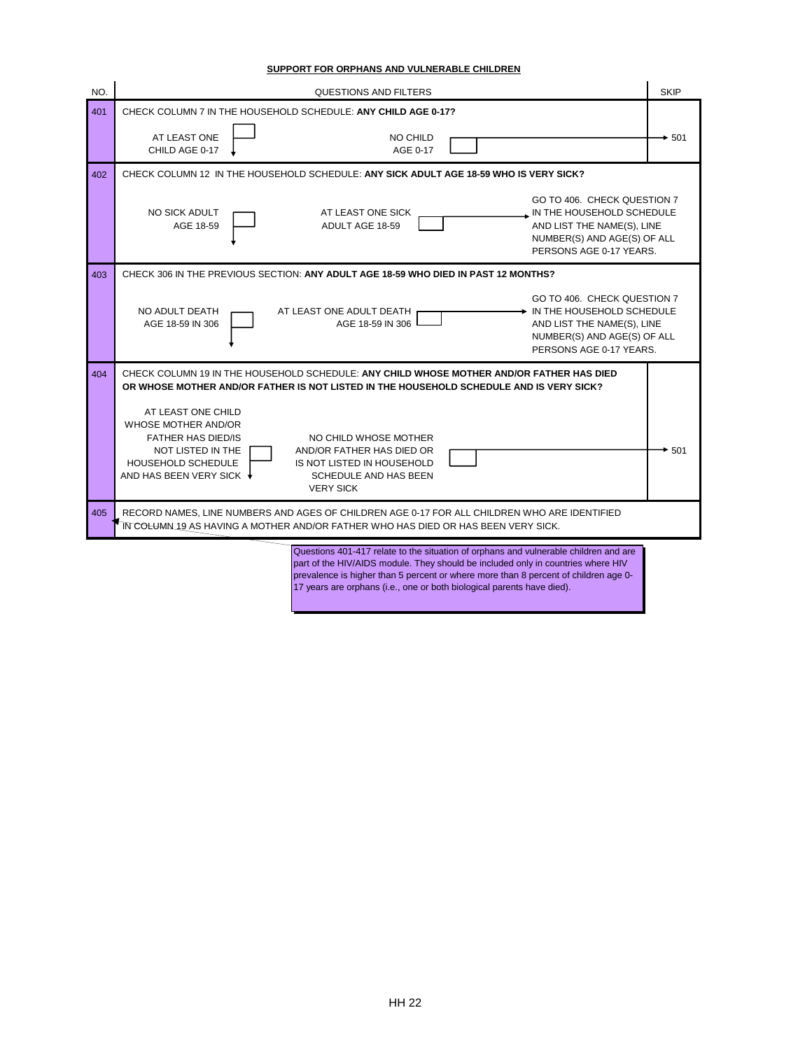| SUPPORT FOR ORPHANS AND VULNERABLE CHILDREN |  |  |
|---------------------------------------------|--|--|
|                                             |  |  |

| NO. | <b>QUESTIONS AND FILTERS</b>                                                                                                                                                                                                                                                                                                              | <b>SKIP</b> |
|-----|-------------------------------------------------------------------------------------------------------------------------------------------------------------------------------------------------------------------------------------------------------------------------------------------------------------------------------------------|-------------|
| 401 | CHECK COLUMN 7 IN THE HOUSEHOLD SCHEDULE: ANY CHILD AGE 0-17?                                                                                                                                                                                                                                                                             |             |
|     | AT LEAST ONE<br>NO CHILD<br>CHILD AGE 0-17<br>AGE 0-17                                                                                                                                                                                                                                                                                    | $+501$      |
| 402 | CHECK COLUMN 12 IN THE HOUSEHOLD SCHEDULE: ANY SICK ADULT AGE 18-59 WHO IS VERY SICK?                                                                                                                                                                                                                                                     |             |
|     | GO TO 406. CHECK QUESTION 7<br><b>NO SICK ADULT</b><br>AT LEAST ONE SICK<br>N THE HOUSEHOLD SCHEDULE<br>AGE 18-59<br>ADULT AGE 18-59<br>AND LIST THE NAME(S), LINE<br>NUMBER(S) AND AGE(S) OF ALL<br>PERSONS AGE 0-17 YEARS.                                                                                                              |             |
| 403 | CHECK 306 IN THE PREVIOUS SECTION: ANY ADULT AGE 18-59 WHO DIED IN PAST 12 MONTHS?                                                                                                                                                                                                                                                        |             |
|     | GO TO 406. CHECK QUESTION 7<br>NO ADULT DEATH<br>$\rightarrow$ IN THE HOUSEHOLD SCHEDULE<br>AT LEAST ONE ADULT DEATH<br>AGE 18-59 IN 306<br>AGE 18-59 IN 306<br>AND LIST THE NAME(S), LINE<br>NUMBER(S) AND AGE(S) OF ALL<br>PERSONS AGE 0-17 YEARS.                                                                                      |             |
| 404 | CHECK COLUMN 19 IN THE HOUSEHOLD SCHEDULE: ANY CHILD WHOSE MOTHER AND/OR FATHER HAS DIED<br>OR WHOSE MOTHER AND/OR FATHER IS NOT LISTED IN THE HOUSEHOLD SCHEDULE AND IS VERY SICK?                                                                                                                                                       |             |
|     | AT LEAST ONE CHILD<br>WHOSE MOTHER AND/OR<br><b>FATHER HAS DIED/IS</b><br>NO CHILD WHOSE MOTHER<br>NOT LISTED IN THE<br>AND/OR FATHER HAS DIED OR<br><b>HOUSEHOLD SCHEDULE</b><br>IS NOT LISTED IN HOUSEHOLD<br>AND HAS BEEN VERY SICK ♦<br>SCHEDULE AND HAS BEEN<br><b>VERY SICK</b>                                                     | $\div 501$  |
| 405 | RECORD NAMES, LINE NUMBERS AND AGES OF CHILDREN AGE 0-17 FOR ALL CHILDREN WHO ARE IDENTIFIED<br>IN COLUMN 19 AS HAVING A MOTHER AND/OR FATHER WHO HAS DIED OR HAS BEEN VERY SICK.                                                                                                                                                         |             |
|     | Questions 401-417 relate to the situation of orphans and vulnerable children and are<br>part of the HIV/AIDS module. They should be included only in countries where HIV<br>prevalence is higher than 5 percent or where more than 8 percent of children age 0-<br>17 years are orphans (i.e., one or both biological parents have died). |             |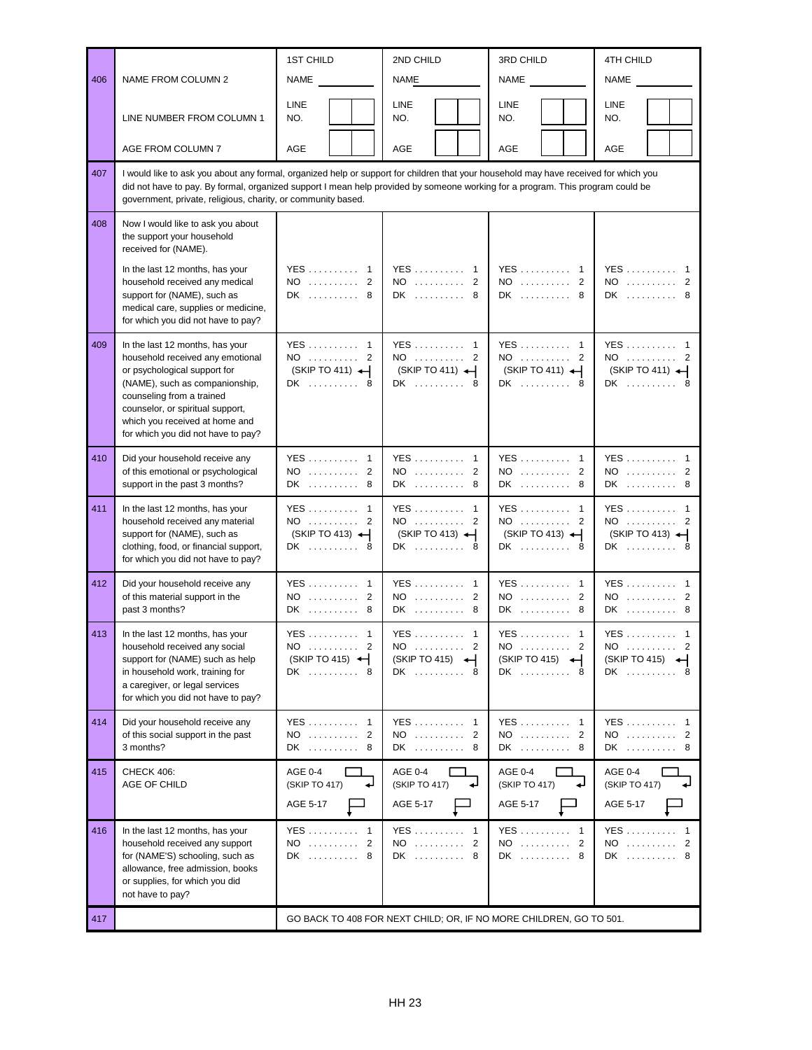|     |                                                                                                                                                                                                                                                                                                                                        | <b>1ST CHILD</b>                                         | 2ND CHILD                                                 | 3RD CHILD                                               | 4TH CHILD                                                                          |  |  |
|-----|----------------------------------------------------------------------------------------------------------------------------------------------------------------------------------------------------------------------------------------------------------------------------------------------------------------------------------------|----------------------------------------------------------|-----------------------------------------------------------|---------------------------------------------------------|------------------------------------------------------------------------------------|--|--|
| 406 | NAME FROM COLUMN 2                                                                                                                                                                                                                                                                                                                     | NAME                                                     | <b>NAME</b>                                               | NAME                                                    | NAME                                                                               |  |  |
|     | LINE NUMBER FROM COLUMN 1                                                                                                                                                                                                                                                                                                              | LINE<br>NO.                                              | LINE<br>NO.                                               | LINE<br>NO.                                             | LINE<br>NO.                                                                        |  |  |
|     | AGE FROM COLUMN 7                                                                                                                                                                                                                                                                                                                      | AGE                                                      | <b>AGE</b>                                                | <b>AGE</b>                                              | <b>AGE</b>                                                                         |  |  |
| 407 | I would like to ask you about any formal, organized help or support for children that your household may have received for which you<br>did not have to pay. By formal, organized support I mean help provided by someone working for a program. This program could be<br>government, private, religious, charity, or community based. |                                                          |                                                           |                                                         |                                                                                    |  |  |
| 408 | Now I would like to ask you about<br>the support your household<br>received for (NAME).                                                                                                                                                                                                                                                |                                                          |                                                           |                                                         |                                                                                    |  |  |
|     | In the last 12 months, has your<br>household received any medical<br>support for (NAME), such as<br>medical care, supplies or medicine,<br>for which you did not have to pay?                                                                                                                                                          | YES  1<br>NO  2<br>DK  8                                 | $YES \dots \dots$<br>$\overline{1}$<br>$NO$<br>2<br>DK  8 | <b>YES</b><br>-1<br>$NO$ 2<br>DK  8                     | YES  1<br>$NO$ 2<br>DK  8                                                          |  |  |
| 409 | In the last 12 months, has your<br>household received any emotional<br>or psychological support for<br>(NAME), such as companionship,<br>counseling from a trained<br>counselor, or spiritual support,<br>which you received at home and<br>for which you did not have to pay?                                                         | YES  1<br>NO  2<br>$(SKIP TO 411)$ $\leftarrow$<br>DK  8 | YES  1<br>NO  2<br>$(SKIP TO 411)$ $\leftarrow$<br>DK  8  | YES 1<br>NO  2<br>$(SKIP TO 411)$ $\leftarrow$<br>DK  8 | $YES \dots \dots \dots \dots 1$<br>$NO$ 2<br>$(SKIP TO 411)$ $\leftarrow$<br>DK  8 |  |  |
| 410 | Did your household receive any<br>of this emotional or psychological<br>support in the past 3 months?                                                                                                                                                                                                                                  | YES  1<br>NO  2<br>DK  8                                 | YES  1<br>$NO$ 2<br>DK  8                                 | YES 1<br>NO  2<br>DK  8                                 | YES  1<br>NO  2<br>DK  8                                                           |  |  |
| 411 | In the last 12 months, has your<br>household received any material<br>support for (NAME), such as<br>clothing, food, or financial support,<br>for which you did not have to pay?                                                                                                                                                       | YES 1<br>NO  2<br>(SKIP TO 413) $\leftarrow$<br>DK  8    | YES  1<br>NO<br>2<br>(SKIP TO 413) $\leftarrow$<br>DK  8  | YES  1<br>NO  2<br>$(SKIPTO 413)$ $\leftarrow$<br>DK  8 | YES  1<br>NO  2<br>$(SKIP TO 413)$ $\leftarrow$<br>DK  8                           |  |  |
| 412 | Did your household receive any<br>of this material support in the<br>past 3 months?                                                                                                                                                                                                                                                    | YES 1<br>NO  2<br>DK  8                                  | <b>YES</b><br>$\mathbf{1}$<br>2<br>NO.<br>.<br>$DK$<br>8  | <b>YES</b><br>-1<br>NO<br>2<br>DK<br>-8                 | YES 1<br>NO<br>2<br>DK  8                                                          |  |  |
| 413 | In the last 12 months, has your<br>household received any social<br>support for (NAME) such as help<br>in household work, training for<br>a caregiver, or legal services<br>for which you did not have to pay?                                                                                                                         | YES  1<br>$NO$ 2<br>(SKIP TO 415) $\leftarrow$<br>DK  8  | YES  1<br>$NO$ 2<br>(SKIP TO 415)<br>DK  8                | YES  1<br>NO  2<br>(SKIP TO 415)<br>DK  8               | YES  1<br>NO  2<br>(SKIP TO 415) $\leftarrow$<br>DK  8                             |  |  |
| 414 | Did your household receive any<br>of this social support in the past<br>3 months?                                                                                                                                                                                                                                                      | YES 1<br>NO  2<br>DK  8                                  | <b>YES</b><br>-1<br>2<br>NO.<br>.<br>DK<br>8              | YES  1<br>NO<br>2<br>DK  8                              | YES  1<br>$NO$<br>2<br>DK  8                                                       |  |  |
| 415 | CHECK 406:<br>AGE OF CHILD                                                                                                                                                                                                                                                                                                             | <b>AGE 0-4</b><br>(SKIP TO 417)<br>↵<br>AGE 5-17         | <b>AGE 0-4</b><br>(SKIP TO 417)<br>↵<br>AGE 5-17          | <b>AGE 0-4</b><br>(SKIP TO 417)<br>↵<br>AGE 5-17        | <b>AGE 0-4</b><br>(SKIP TO 417)<br>AGE 5-17                                        |  |  |
| 416 | In the last 12 months, has your<br>household received any support<br>for (NAME'S) schooling, such as<br>allowance, free admission, books<br>or supplies, for which you did<br>not have to pay?                                                                                                                                         | YES  1<br>NO.<br>$\overline{2}$<br>.<br>DK<br>. 8        | YES 1<br>NO.<br>2<br>.<br>DK<br>8                         | YES  1<br>NO.<br>2<br>.<br>DK  8                        | YES  1<br>$NO$<br>2<br>DK  8                                                       |  |  |
| 417 | GO BACK TO 408 FOR NEXT CHILD; OR, IF NO MORE CHILDREN, GO TO 501.                                                                                                                                                                                                                                                                     |                                                          |                                                           |                                                         |                                                                                    |  |  |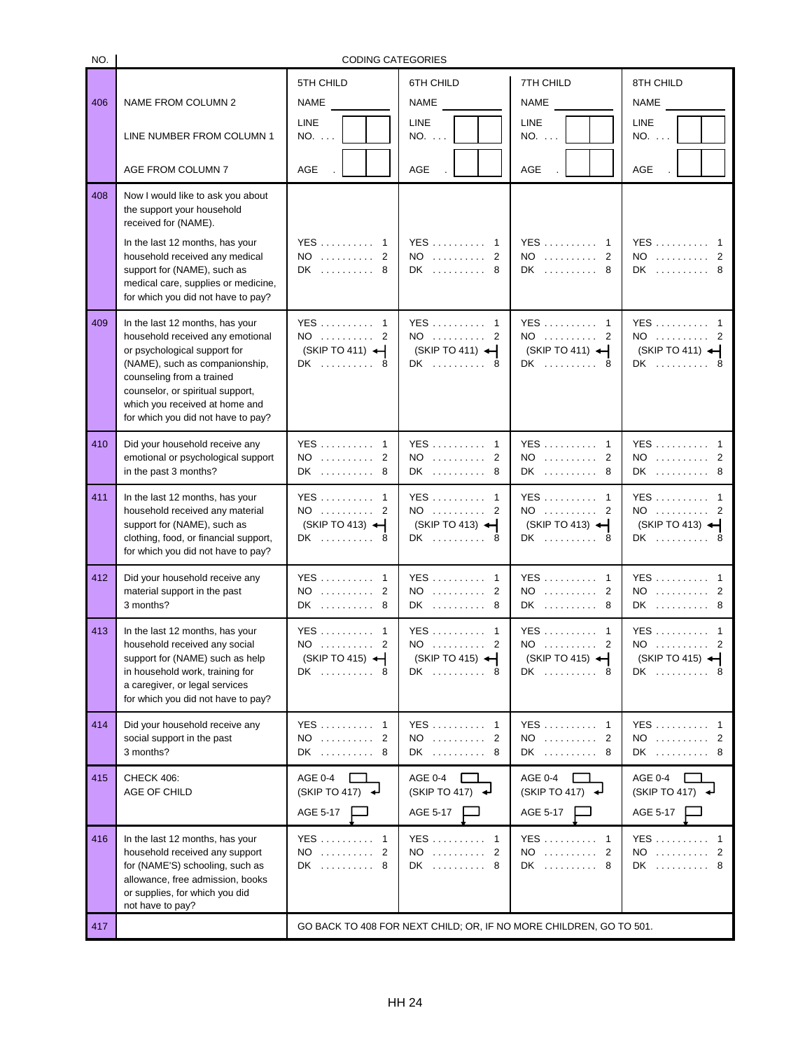NO.

## CODING CATEGORIES

| 406 | NAME FROM COLUMN 2                                                                                                                                                                                                                                                             | 5TH CHILD<br><b>NAME</b>                                 | 6TH CHILD<br><b>NAME</b>                                  | 7TH CHILD<br><b>NAME</b>                                           | 8TH CHILD<br><b>NAME</b>                                     |
|-----|--------------------------------------------------------------------------------------------------------------------------------------------------------------------------------------------------------------------------------------------------------------------------------|----------------------------------------------------------|-----------------------------------------------------------|--------------------------------------------------------------------|--------------------------------------------------------------|
|     | LINE NUMBER FROM COLUMN 1                                                                                                                                                                                                                                                      | LINE<br>NO.                                              | <b>LINE</b><br>NO.                                        | <b>LINE</b><br>NO.                                                 | <b>LINE</b><br>NO.                                           |
|     | AGE FROM COLUMN 7                                                                                                                                                                                                                                                              | AGE                                                      | <b>AGE</b>                                                | AGE                                                                | <b>AGE</b>                                                   |
| 408 | Now I would like to ask you about<br>the support your household<br>received for (NAME).<br>In the last 12 months, has your<br>household received any medical<br>support for (NAME), such as<br>medical care, supplies or medicine,<br>for which you did not have to pay?       | YES  1<br>NO  2<br>DK  8                                 | $YES \dots \dots$<br>-1<br>NO  2<br>DK  8                 | YES 1<br>NO  2<br>DK  8                                            | YES  1<br>NO  2<br>DK  8                                     |
| 409 | In the last 12 months, has your<br>household received any emotional<br>or psychological support for<br>(NAME), such as companionship,<br>counseling from a trained<br>counselor, or spiritual support,<br>which you received at home and<br>for which you did not have to pay? | YES  1<br>NO  2<br>(SKIP TO 411)<br>DK  8                | YES  1<br>NO  2<br>$(SKIP TO 411)$ $\leftarrow$<br>DK  8  | YES 1<br>NO  2<br>(SKIP TO 411)<br>DK  8                           | YES  1<br>NO  2<br>$(SKIP TO 411)$ $\leftarrow$<br>DK  8     |
| 410 | Did your household receive any<br>emotional or psychological support<br>in the past 3 months?                                                                                                                                                                                  | YES  1<br>NO  2<br>DK  8                                 | YES 1<br>NO  2<br>DK<br>8                                 | YES 1<br>NO  2<br>DK  8                                            | YES  1<br>NO  2<br>DK  8                                     |
| 411 | In the last 12 months, has your<br>household received any material<br>support for (NAME), such as<br>clothing, food, or financial support,<br>for which you did not have to pay?                                                                                               | YES  1<br>NO  2<br>$(SKIP TO 413)$ $\leftarrow$<br>DK  8 | YES 1<br>NO  2<br>$(SKIP TO 413)$ $\leftarrow$<br>DK  8   | YES 1<br>$NO$ 2<br>$(SKIP TO 413)$ $\rightarrow$<br>DK  8          | YES  1<br>NO  2<br>$(SKIP TO 413)$ $\rightarrow$<br>DK  8    |
| 412 | Did your household receive any<br>material support in the past<br>3 months?                                                                                                                                                                                                    | YES  1<br>NO  2<br>DK  8                                 | <b>YES</b><br>$\mathbf{1}$<br>NO  2<br>DK  8              | YES 1<br>$NO$ 2<br>DK<br>-8                                        | YES  1<br>NO  2<br>DK  8                                     |
| 413 | In the last 12 months, has your<br>household received any social<br>support for (NAME) such as help<br>in household work, training for<br>a caregiver, or legal services<br>for which you did not have to pay?                                                                 | YES  1<br>NO  2<br>(SKIP TO 415) $\leftarrow$<br>DK  8   | YES  1<br>NO  2<br>$(SKIP TO 415)$ $\leftarrow$<br>DK  8  | YES 1<br>NO  2<br>$(SKIP TO 415)$ $\leftarrow$<br>DK  8            | YES  1<br>NO  2<br>(SKIP TO 415) $\leftarrow$<br>DK  8       |
| 414 | Did your household receive any<br>social support in the past<br>3 months?                                                                                                                                                                                                      | YES  1<br>$NO$ 2<br>DK  8                                | $YES \dots \dots$<br>$\mathbf{1}$<br>$NO$<br>2<br>DK<br>8 | YES 1<br>$NO$ 2<br>DK  8                                           | YES  1<br>NO  2<br>DK  8                                     |
| 415 | CHECK 406:<br>AGE OF CHILD                                                                                                                                                                                                                                                     | <b>AGE 0-4</b><br>(SKIPTO 417)<br>AGE 5-17               | <b>AGE 0-4</b><br>(SKIPTO 417)<br>AGE 5-17                | <b>AGE 0-4</b><br>(SKIPTO 417)<br>AGE 5-17                         | <b>AGE 0-4</b><br>(SKIPTO 417)<br>AGE 5-17                   |
| 416 | In the last 12 months, has your<br>household received any support<br>for (NAME'S) schooling, such as<br>allowance, free admission, books<br>or supplies, for which you did<br>not have to pay?                                                                                 | YES  1<br>$NO$ 2<br>DK  8                                | YES  1<br>$\mathfrak{p}$<br>$NO$<br>DK  8                 | YES  1<br>NO  2<br>DK  8                                           | $YES \dots \dots \dots 1$<br>$NO$<br>$\overline{2}$<br>DK  8 |
| 417 |                                                                                                                                                                                                                                                                                |                                                          |                                                           | GO BACK TO 408 FOR NEXT CHILD; OR, IF NO MORE CHILDREN, GO TO 501. |                                                              |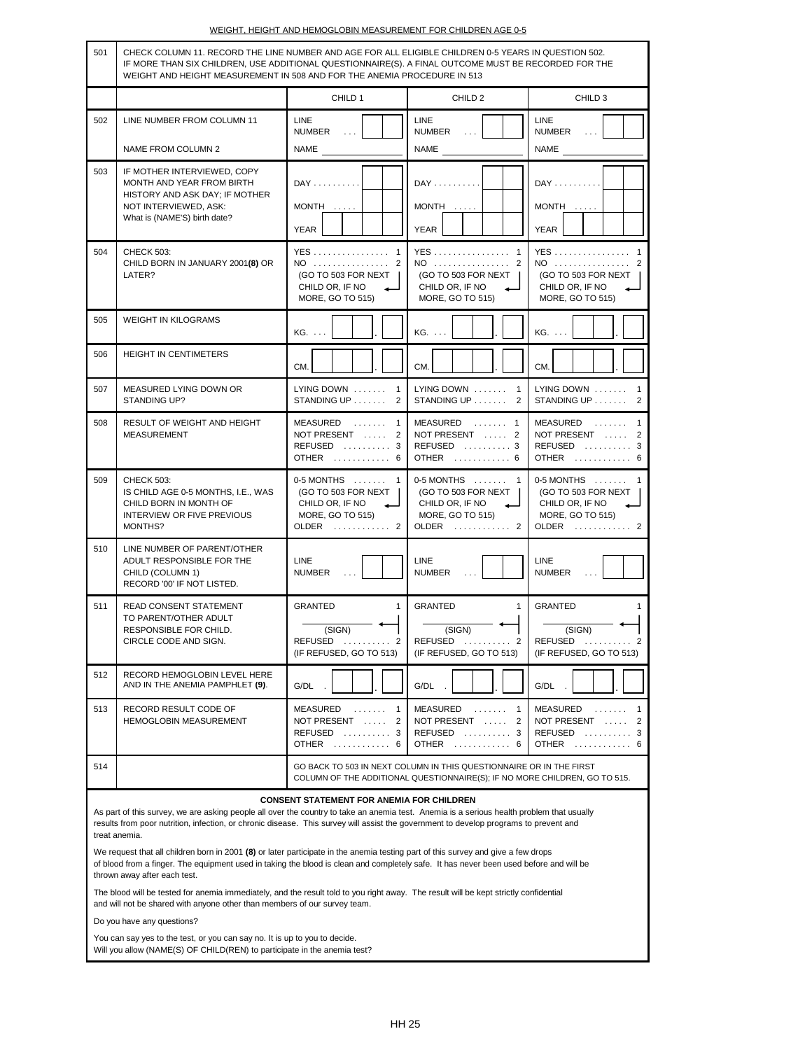|  |  |  | WEIGHT. HEIGHT AND HEMOGLOBIN MEASUREMENT FOR CHILDREN AGE 0-5 |  |
|--|--|--|----------------------------------------------------------------|--|
|  |  |  |                                                                |  |
|  |  |  |                                                                |  |

| 501                                                                                                                                                                                                                                                                                                                                                                                                                                                                                                                                                                                                                                    | CHECK COLUMN 11. RECORD THE LINE NUMBER AND AGE FOR ALL ELIGIBLE CHILDREN 0-5 YEARS IN QUESTION 502.<br>IF MORE THAN SIX CHILDREN, USE ADDITIONAL QUESTIONNAIRE(S). A FINAL OUTCOME MUST BE RECORDED FOR THE<br>WEIGHT AND HEIGHT MEASUREMENT IN 508 AND FOR THE ANEMIA PROCEDURE IN 513 |                                                                                           |                                                                                                                                                   |                                                                                         |  |  |  |
|----------------------------------------------------------------------------------------------------------------------------------------------------------------------------------------------------------------------------------------------------------------------------------------------------------------------------------------------------------------------------------------------------------------------------------------------------------------------------------------------------------------------------------------------------------------------------------------------------------------------------------------|------------------------------------------------------------------------------------------------------------------------------------------------------------------------------------------------------------------------------------------------------------------------------------------|-------------------------------------------------------------------------------------------|---------------------------------------------------------------------------------------------------------------------------------------------------|-----------------------------------------------------------------------------------------|--|--|--|
|                                                                                                                                                                                                                                                                                                                                                                                                                                                                                                                                                                                                                                        |                                                                                                                                                                                                                                                                                          | CHILD 1                                                                                   | CHILD <sub>2</sub>                                                                                                                                | CHILD <sub>3</sub>                                                                      |  |  |  |
| 502                                                                                                                                                                                                                                                                                                                                                                                                                                                                                                                                                                                                                                    | LINE NUMBER FROM COLUMN 11                                                                                                                                                                                                                                                               | LINE<br><b>NUMBER</b>                                                                     | <b>LINE</b><br><b>NUMBER</b><br>$\sim 100$                                                                                                        | LINE<br><b>NUMBER</b><br>$\sim$ $\sim$ $\sim$                                           |  |  |  |
|                                                                                                                                                                                                                                                                                                                                                                                                                                                                                                                                                                                                                                        | NAME FROM COLUMN 2                                                                                                                                                                                                                                                                       | <b>NAME</b>                                                                               | NAME                                                                                                                                              | NAME                                                                                    |  |  |  |
| 503                                                                                                                                                                                                                                                                                                                                                                                                                                                                                                                                                                                                                                    | IF MOTHER INTERVIEWED, COPY<br>MONTH AND YEAR FROM BIRTH<br>HISTORY AND ASK DAY; IF MOTHER<br>NOT INTERVIEWED, ASK:<br>What is (NAME'S) birth date?                                                                                                                                      | $DAY$<br>MONTH<br>YEAR                                                                    | $DAY$<br>$MONTH$<br>YEAR                                                                                                                          | $DAY$<br>MONTH<br>YEAR                                                                  |  |  |  |
| 504                                                                                                                                                                                                                                                                                                                                                                                                                                                                                                                                                                                                                                    | <b>CHECK 503:</b><br>CHILD BORN IN JANUARY 2001(8) OR<br>LATER?                                                                                                                                                                                                                          | YES 1<br>NO<br>2<br>(GO TO 503 FOR NEXT<br>CHILD OR, IF NO<br>MORE, GO TO 515)            | <b>YES</b><br>$\mathbf{1}$<br>NO<br>2<br>(GO TO 503 FOR NEXT<br>CHILD OR, IF NO<br>لصه<br>MORE, GO TO 515)                                        | YES 1<br>NO<br>(GO TO 503 FOR NEXT<br>CHILD OR, IF NO<br>MORE, GO TO 515)               |  |  |  |
| 505                                                                                                                                                                                                                                                                                                                                                                                                                                                                                                                                                                                                                                    | <b>WEIGHT IN KILOGRAMS</b>                                                                                                                                                                                                                                                               | KG.                                                                                       | KG.                                                                                                                                               | KG.                                                                                     |  |  |  |
| 506                                                                                                                                                                                                                                                                                                                                                                                                                                                                                                                                                                                                                                    | <b>HEIGHT IN CENTIMETERS</b>                                                                                                                                                                                                                                                             | CM.                                                                                       | CM.                                                                                                                                               | CM.                                                                                     |  |  |  |
| 507                                                                                                                                                                                                                                                                                                                                                                                                                                                                                                                                                                                                                                    | MEASURED LYING DOWN OR<br>STANDING UP?                                                                                                                                                                                                                                                   | LYING DOWN<br>$\mathbf{1}$<br>STANDING UP<br>2                                            | LYING DOWN<br>$\mathbf{1}$<br>STANDING UP<br>2                                                                                                    | LYING DOWN<br>$\mathbf{1}$<br>STANDING UP<br>2                                          |  |  |  |
| 508                                                                                                                                                                                                                                                                                                                                                                                                                                                                                                                                                                                                                                    | RESULT OF WEIGHT AND HEIGHT<br><b>MEASUREMENT</b>                                                                                                                                                                                                                                        | MEASURED<br>1<br>NOT PRESENT<br>2<br>REFUSED  3<br><b>OTHER</b><br>-6                     | MEASURED<br>$\mathbf{1}$<br>NOT PRESENT  2<br>REFUSED  3<br>OTHER  6                                                                              | MEASURED<br>$\mathbf{1}$<br>NOT PRESENT<br>2<br>REFUSED  3<br>OTHER  6                  |  |  |  |
| 509                                                                                                                                                                                                                                                                                                                                                                                                                                                                                                                                                                                                                                    | <b>CHECK 503:</b><br>IS CHILD AGE 0-5 MONTHS, I.E., WAS<br>CHILD BORN IN MONTH OF<br>INTERVIEW OR FIVE PREVIOUS<br>MONTHS?                                                                                                                                                               | 0-5 MONTHS  1<br>(GO TO 503 FOR NEXT<br>CHILD OR, IF NO<br>MORE, GO TO 515)<br>OLDER<br>2 | 0-5 MONTHS  1<br>(GO TO 503 FOR NEXT<br>CHILD OR, IF NO<br>↵<br>MORE, GO TO 515)<br>OLDER  2                                                      | 0-5 MONTHS  1<br>(GO TO 503 FOR NEXT<br>CHILD OR, IF NO<br>MORE, GO TO 515)<br>OLDER  2 |  |  |  |
| 510                                                                                                                                                                                                                                                                                                                                                                                                                                                                                                                                                                                                                                    | LINE NUMBER OF PARENT/OTHER<br>ADULT RESPONSIBLE FOR THE<br>CHILD (COLUMN 1)<br>RECORD '00' IF NOT LISTED.                                                                                                                                                                               | LINE<br><b>NUMBER</b>                                                                     | LINE<br><b>NUMBER</b>                                                                                                                             | LINE<br><b>NUMBER</b>                                                                   |  |  |  |
| 511                                                                                                                                                                                                                                                                                                                                                                                                                                                                                                                                                                                                                                    | READ CONSENT STATEMENT<br>TO PARENT/OTHER ADULT<br>RESPONSIBLE FOR CHILD.<br>CIRCLE CODE AND SIGN.                                                                                                                                                                                       | <b>GRANTED</b><br>1<br>(SIGN)<br>$REFUSED$<br>2<br>(IF REFUSED, GO TO 513)                | <b>GRANTED</b><br>1<br>(SIGN)<br><b>REFUSED</b><br>2<br>.<br>(IF REFUSED, GO TO 513)                                                              | <b>GRANTED</b><br>(SIGN)<br><b>REFUSED</b><br>.<br>(IF REFUSED, GO TO 513)              |  |  |  |
| 512                                                                                                                                                                                                                                                                                                                                                                                                                                                                                                                                                                                                                                    | RECORD HEMOGLOBIN LEVEL HERE<br>AND IN THE ANEMIA PAMPHLET (9).                                                                                                                                                                                                                          | G/DL                                                                                      | G/DL                                                                                                                                              | G/DL                                                                                    |  |  |  |
| 513                                                                                                                                                                                                                                                                                                                                                                                                                                                                                                                                                                                                                                    | RECORD RESULT CODE OF<br>HEMOGLOBIN MEASUREMENT                                                                                                                                                                                                                                          | MEASURED<br>1<br>.<br>NOT PRESENT<br>2<br>$REFUSED$ 3<br><b>OTHER</b><br>6                | MEASURED<br>1<br>NOT PRESENT<br>2<br>$REFUSED$ 3<br><b>OTHER</b><br>.<br>6                                                                        | MEASURED<br>1<br>.<br>NOT PRESENT<br>2<br>REFUSED<br>3<br><b>OTHER</b><br>6             |  |  |  |
| 514                                                                                                                                                                                                                                                                                                                                                                                                                                                                                                                                                                                                                                    |                                                                                                                                                                                                                                                                                          |                                                                                           | GO BACK TO 503 IN NEXT COLUMN IN THIS QUESTIONNAIRE OR IN THE FIRST<br>COLUMN OF THE ADDITIONAL QUESTIONNAIRE(S); IF NO MORE CHILDREN, GO TO 515. |                                                                                         |  |  |  |
| <b>CONSENT STATEMENT FOR ANEMIA FOR CHILDREN</b><br>As part of this survey, we are asking people all over the country to take an anemia test. Anemia is a serious health problem that usually<br>results from poor nutrition, infection, or chronic disease. This survey will assist the government to develop programs to prevent and<br>treat anemia.<br>We request that all children born in 2001 (8) or later participate in the anemia testing part of this survey and give a few drops<br>of blood from a finger. The equipment used in taking the blood is clean and completely safe. It has never been used before and will be |                                                                                                                                                                                                                                                                                          |                                                                                           |                                                                                                                                                   |                                                                                         |  |  |  |
|                                                                                                                                                                                                                                                                                                                                                                                                                                                                                                                                                                                                                                        | thrown away after each test.<br>The blood will be tested for anemia immediately, and the result told to you right away. The result will be kept strictly confidential                                                                                                                    |                                                                                           |                                                                                                                                                   |                                                                                         |  |  |  |
|                                                                                                                                                                                                                                                                                                                                                                                                                                                                                                                                                                                                                                        | and will not be shared with anyone other than members of our survey team.<br>Do you have any questions?                                                                                                                                                                                  |                                                                                           |                                                                                                                                                   |                                                                                         |  |  |  |
|                                                                                                                                                                                                                                                                                                                                                                                                                                                                                                                                                                                                                                        | You can say yes to the test, or you can say no. It is up to you to decide.<br>Will you allow (NAME(S) OF CHILD(REN) to participate in the anemia test?                                                                                                                                   |                                                                                           |                                                                                                                                                   |                                                                                         |  |  |  |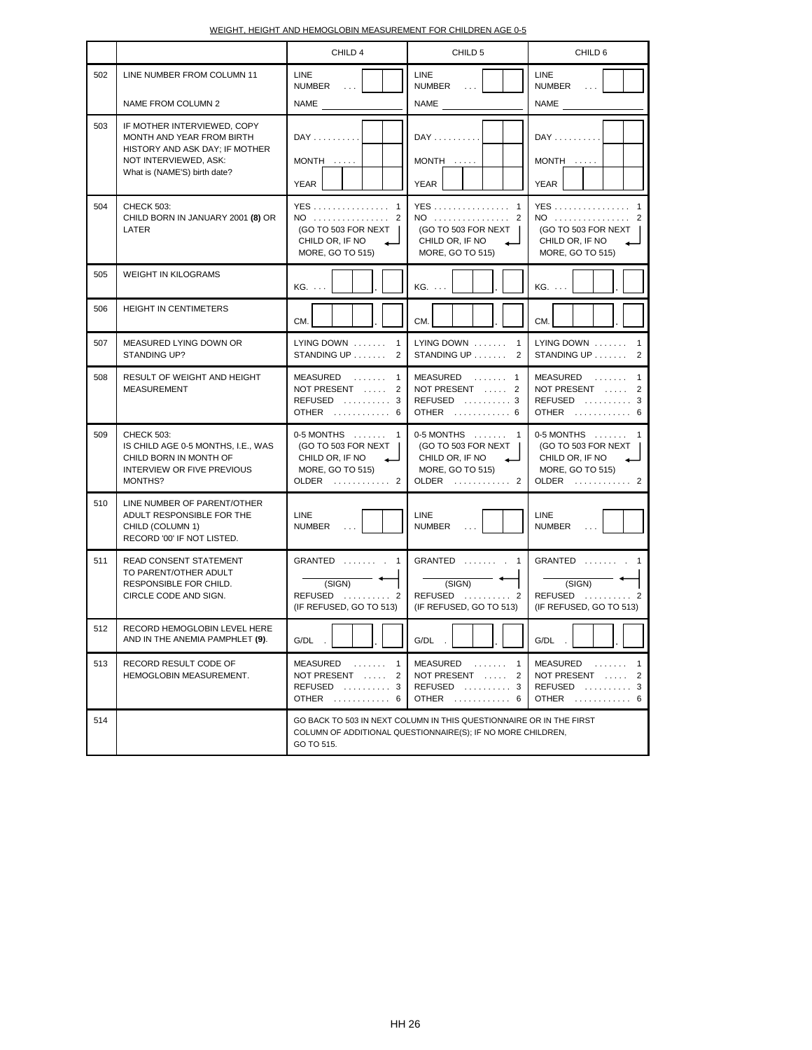| WEIGHT. HEIGHT AND HEMOGLOBIN MEASUREMENT FOR CHILDREN AGE 0-5 |
|----------------------------------------------------------------|
|----------------------------------------------------------------|

|     |                                                                                                                                                     | CHILD 4                                                                                                              | CHILD <sub>5</sub>                                                                                                                 | CHILD 6                                                                                 |  |
|-----|-----------------------------------------------------------------------------------------------------------------------------------------------------|----------------------------------------------------------------------------------------------------------------------|------------------------------------------------------------------------------------------------------------------------------------|-----------------------------------------------------------------------------------------|--|
| 502 | LINE NUMBER FROM COLUMN 11<br>NAME FROM COLUMN 2                                                                                                    | <b>LINE</b><br><b>NUMBER</b><br>$\sim 10$ .<br>NAME                                                                  | LINE<br><b>NUMBER</b><br>$\sim 10$ .<br><b>NAME</b>                                                                                | LINE<br><b>NUMBER</b><br>$\ldots$<br><b>NAME</b>                                        |  |
| 503 | IF MOTHER INTERVIEWED, COPY<br>MONTH AND YEAR FROM BIRTH<br>HISTORY AND ASK DAY; IF MOTHER<br>NOT INTERVIEWED, ASK:<br>What is (NAME'S) birth date? | $DAY$<br>MONTH<br><b>YEAR</b>                                                                                        | $DAY$<br>MONTH<br>YEAR                                                                                                             | $DAY$<br>MONTH<br>YEAR                                                                  |  |
| 504 | <b>CHECK 503:</b><br>CHILD BORN IN JANUARY 2001 (8) OR<br>LATER                                                                                     | <b>YES</b><br>$\overline{1}$<br>$NO$<br>$\overline{2}$<br>(GO TO 503 FOR NEXT<br>CHILD OR, IF NO<br>MORE, GO TO 515) | <b>YES</b><br>-1<br>$NO$<br>2<br>(GO TO 503 FOR NEXT<br>CHILD OR, IF NO<br>MORE, GO TO 515)                                        | YES 1<br>$NO$<br>2<br>(GO TO 503 FOR NEXT<br>CHILD OR, IF NO<br>MORE, GO TO 515)        |  |
| 505 | <b>WEIGHT IN KILOGRAMS</b>                                                                                                                          | $KG. \ldots$                                                                                                         | $KG. \ldots$                                                                                                                       | $KG. \ldots$                                                                            |  |
| 506 | <b>HEIGHT IN CENTIMETERS</b>                                                                                                                        | CM.                                                                                                                  | CM.                                                                                                                                | CM.                                                                                     |  |
| 507 | MEASURED LYING DOWN OR<br>STANDING UP?                                                                                                              | $LYING$ DOWN $\ldots$<br>$\mathbf{1}$<br>STANDING UP<br>2                                                            | LYING DOWN $\dots$<br>$\mathbf{1}$<br>STANDING UP<br>2                                                                             | LYING DOWN<br>$\overline{1}$<br>$STANDING UP$<br>2                                      |  |
| 508 | RESULT OF WEIGHT AND HEIGHT<br><b>MEASUREMENT</b>                                                                                                   | MEASURED<br>$\mathbf{1}$<br>NOT PRESENT<br>2<br>$REFUSED$ 3<br>OTHER  6                                              | MEASURED  1<br>NOT PRESENT  2<br>REFUSED $\dots\dots\dots$ 3<br>OTHER  6                                                           | MEASURED<br>$\mathbf{1}$<br>NOT PRESENT  2<br>REFUSED $\ldots$<br>OTHER  6              |  |
| 509 | <b>CHECK 503:</b><br>IS CHILD AGE 0-5 MONTHS, I.E., WAS<br>CHILD BORN IN MONTH OF<br><b>INTERVIEW OR FIVE PREVIOUS</b><br>MONTHS?                   | $0-5$ MONTHS $\dots$<br>$\overline{1}$<br>(GO TO 503 FOR NEXT<br>CHILD OR, IF NO<br>MORE, GO TO 515)<br>OLDER  2     | 0-5 MONTHS  1<br>(GO TO 503 FOR NEXT<br>CHILD OR, IF NO<br>MORE, GO TO 515)<br>OLDER  2                                            | 0-5 MONTHS  1<br>(GO TO 503 FOR NEXT<br>CHILD OR, IF NO<br>MORE, GO TO 515)<br>OLDER  2 |  |
| 510 | LINE NUMBER OF PARENT/OTHER<br>ADULT RESPONSIBLE FOR THE<br>CHILD (COLUMN 1)<br>RECORD '00' IF NOT LISTED.                                          | LINE<br><b>NUMBER</b>                                                                                                | LINE<br><b>NUMBER</b>                                                                                                              | LINE<br><b>NUMBER</b>                                                                   |  |
| 511 | READ CONSENT STATEMENT<br>TO PARENT/OTHER ADULT<br>RESPONSIBLE FOR CHILD.<br>CIRCLE CODE AND SIGN.                                                  | GRANTED<br>$\overline{1}$<br>(SIGN)<br>REFUSED  2<br>(IF REFUSED, GO TO 513)                                         | GRANTED  .<br>$\mathbf{1}$<br>(SIGN)<br>REFUSED<br>. 2<br>(IF REFUSED, GO TO 513)                                                  | GRANTED  1<br>(SIGN)<br>REFUSED $\ldots \ldots \ldots$ 2<br>(IF REFUSED, GO TO 513)     |  |
| 512 | RECORD HEMOGLOBIN LEVEL HERE<br>AND IN THE ANEMIA PAMPHLET (9).                                                                                     | G/DL                                                                                                                 | G/DL                                                                                                                               | G/DL                                                                                    |  |
| 513 | RECORD RESULT CODE OF<br>HEMOGLOBIN MEASUREMENT.                                                                                                    | MEASURED<br>$\mathbf{1}$<br>NOT PRESENT<br>2<br>REFUSED  3<br>OTHER  6                                               | MEASURED<br>1<br>NOT PRESENT<br>2<br>$REFUSED$ 3<br>OTHER  6                                                                       | MEASURED  1<br>NOT PRESENT  2<br>$REFUSED$ 3<br>OTHER  6                                |  |
| 514 |                                                                                                                                                     | GO TO 515.                                                                                                           | GO BACK TO 503 IN NEXT COLUMN IN THIS QUESTIONNAIRE OR IN THE FIRST<br>COLUMN OF ADDITIONAL QUESTIONNAIRE(S); IF NO MORE CHILDREN, |                                                                                         |  |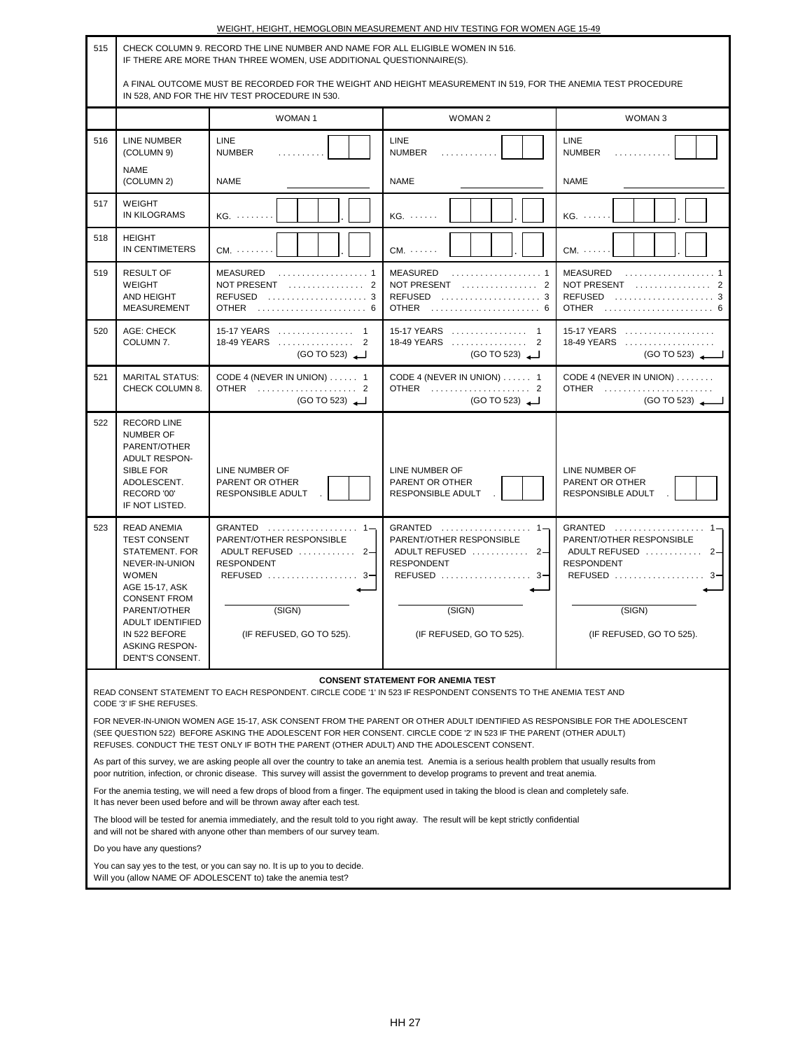|                                                                                                                                                                                                                                                                                                                                                                               | WEIGHT, HEIGHT, HEMOGLOBIN MEASUREMENT AND HIV TESTING FOR WOMEN AGE 15-49                                                                                                                  |                                                                                                                                                                           |                                                                                                                                                                                                                                                                                                  |                                                                                          |  |
|-------------------------------------------------------------------------------------------------------------------------------------------------------------------------------------------------------------------------------------------------------------------------------------------------------------------------------------------------------------------------------|---------------------------------------------------------------------------------------------------------------------------------------------------------------------------------------------|---------------------------------------------------------------------------------------------------------------------------------------------------------------------------|--------------------------------------------------------------------------------------------------------------------------------------------------------------------------------------------------------------------------------------------------------------------------------------------------|------------------------------------------------------------------------------------------|--|
| 515                                                                                                                                                                                                                                                                                                                                                                           |                                                                                                                                                                                             | CHECK COLUMN 9. RECORD THE LINE NUMBER AND NAME FOR ALL ELIGIBLE WOMEN IN 516.<br>IF THERE ARE MORE THAN THREE WOMEN, USE ADDITIONAL QUESTIONNAIRE(S).                    |                                                                                                                                                                                                                                                                                                  |                                                                                          |  |
|                                                                                                                                                                                                                                                                                                                                                                               | A FINAL OUTCOME MUST BE RECORDED FOR THE WEIGHT AND HEIGHT MEASUREMENT IN 519, FOR THE ANEMIA TEST PROCEDURE<br>IN 528, AND FOR THE HIV TEST PROCEDURE IN 530.                              |                                                                                                                                                                           |                                                                                                                                                                                                                                                                                                  |                                                                                          |  |
|                                                                                                                                                                                                                                                                                                                                                                               |                                                                                                                                                                                             | <b>WOMAN1</b>                                                                                                                                                             | <b>WOMAN 2</b>                                                                                                                                                                                                                                                                                   | <b>WOMAN3</b>                                                                            |  |
| 516                                                                                                                                                                                                                                                                                                                                                                           | <b>LINE NUMBER</b><br>(COLUMN 9)                                                                                                                                                            | <b>LINE</b><br><b>NUMBER</b><br>.                                                                                                                                         | <b>LINE</b><br><b>NUMBER</b><br>.                                                                                                                                                                                                                                                                | <b>LINE</b><br><b>NUMBER</b>                                                             |  |
|                                                                                                                                                                                                                                                                                                                                                                               | NAME<br>(COLUMN 2)                                                                                                                                                                          | <b>NAME</b>                                                                                                                                                               | <b>NAME</b>                                                                                                                                                                                                                                                                                      | <b>NAME</b>                                                                              |  |
| 517                                                                                                                                                                                                                                                                                                                                                                           | <b>WEIGHT</b><br><b>IN KILOGRAMS</b>                                                                                                                                                        | $KG. \ldots$                                                                                                                                                              | $KG. \ldots$                                                                                                                                                                                                                                                                                     | KG.                                                                                      |  |
| 518                                                                                                                                                                                                                                                                                                                                                                           | <b>HEIGHT</b><br>IN CENTIMETERS                                                                                                                                                             | $CM. \ldots \ldots$                                                                                                                                                       | $CM. \ldots$ .                                                                                                                                                                                                                                                                                   | $CM. \ldots$                                                                             |  |
| 519                                                                                                                                                                                                                                                                                                                                                                           | <b>RESULT OF</b><br><b>WEIGHT</b><br>AND HEIGHT<br><b>MEASUREMENT</b>                                                                                                                       | MEASURED<br>REFUSED $\ldots \ldots \ldots \ldots \ldots \ldots 3$<br>OTHER  6                                                                                             | <b>MEASURED</b><br>NOT PRESENT $\ldots \ldots \ldots \ldots 2$<br>REFUSED  3<br>OTHER  6                                                                                                                                                                                                         | <b>MEASURED</b><br>NOT PRESENT $\ldots \ldots \ldots \ldots$ 2<br>REFUSED  3<br>OTHER  6 |  |
| 520                                                                                                                                                                                                                                                                                                                                                                           | <b>AGE: CHECK</b><br>COLUMN 7.                                                                                                                                                              | 15-17 YEARS  1<br>(GO TO 523)                                                                                                                                             | 15-17 YEARS  1<br>18-49 YEARS  2<br>(GO TO 523)                                                                                                                                                                                                                                                  | $15-17$ YEARS<br>$18-49$ YEARS<br>(GO TO 523)                                            |  |
| 521                                                                                                                                                                                                                                                                                                                                                                           | <b>MARITAL STATUS:</b><br>CHECK COLUMN 8.                                                                                                                                                   | CODE 4 (NEVER IN UNION) 1<br>CODE 4 (NEVER IN UNION)  1<br>OTHER  2<br>OTHER  2<br>(GO TO 523)<br>(GO TO 523)                                                             |                                                                                                                                                                                                                                                                                                  | CODE 4 (NEVER IN UNION)<br>OTHER<br>(GO TO 523)                                          |  |
| 522                                                                                                                                                                                                                                                                                                                                                                           | <b>RECORD LINE</b><br><b>NUMBER OF</b><br>PARENT/OTHER<br><b>ADULT RESPON-</b><br><b>SIBLE FOR</b><br>ADOLESCENT.<br>RECORD '00'<br>IF NOT LISTED.                                          | LINE NUMBER OF<br>PARENT OR OTHER<br><b>RESPONSIBLE ADULT</b>                                                                                                             | LINE NUMBER OF<br>PARENT OR OTHER<br>RESPONSIBLE ADULT                                                                                                                                                                                                                                           | LINE NUMBER OF<br>PARENT OR OTHER<br>RESPONSIBLE ADULT                                   |  |
| 523                                                                                                                                                                                                                                                                                                                                                                           | <b>READ ANEMIA</b><br><b>TEST CONSENT</b><br>STATEMENT. FOR<br>NEVER-IN-UNION<br><b>WOMEN</b><br>AGE 15-17, ASK<br><b>CONSENT FROM</b><br>PARENT/OTHER<br>ADULT IDENTIFIED<br>IN 522 BEFORE | GRANTED $\ldots \ldots \ldots \ldots \ldots 1$<br>PARENT/OTHER RESPONSIBLE<br>ADULT REFUSED  2-<br><b>RESPONDENT</b><br>REFUSED  3-<br>(SIGN)<br>(IF REFUSED, GO TO 525). | GRANTED  1-<br>GRANTED  1-<br>PARENT/OTHER RESPONSIBLE<br>PARENT/OTHER RESPONSIBLE<br>ADULT REFUSED<br>ADULT REFUSED  2-<br>$2-$<br><b>RESPONDENT</b><br><b>RESPONDENT</b><br>REFUSED  3-<br>REFUSED  3-<br>(SIGN)<br>(SIGN)<br>(IF REFUSED, GO TO 525).                                         |                                                                                          |  |
|                                                                                                                                                                                                                                                                                                                                                                               | <b>ASKING RESPON-</b><br>DENT'S CONSENT.                                                                                                                                                    |                                                                                                                                                                           | (IF REFUSED, GO TO 525).                                                                                                                                                                                                                                                                         |                                                                                          |  |
|                                                                                                                                                                                                                                                                                                                                                                               | <b>CONSENT STATEMENT FOR ANEMIA TEST</b><br>READ CONSENT STATEMENT TO EACH RESPONDENT. CIRCLE CODE '1' IN 523 IF RESPONDENT CONSENTS TO THE ANEMIA TEST AND                                 |                                                                                                                                                                           |                                                                                                                                                                                                                                                                                                  |                                                                                          |  |
| CODE '3' IF SHE REFUSES.<br>FOR NEVER-IN-UNION WOMEN AGE 15-17, ASK CONSENT FROM THE PARENT OR OTHER ADULT IDENTIFIED AS RESPONSIBLE FOR THE ADOLESCENT<br>(SEE QUESTION 522) BEFORE ASKING THE ADOLESCENT FOR HER CONSENT. CIRCLE CODE '2' IN 523 IF THE PARENT (OTHER ADULT)<br>REFUSES. CONDUCT THE TEST ONLY IF BOTH THE PARENT (OTHER ADULT) AND THE ADOLESCENT CONSENT. |                                                                                                                                                                                             |                                                                                                                                                                           |                                                                                                                                                                                                                                                                                                  |                                                                                          |  |
|                                                                                                                                                                                                                                                                                                                                                                               |                                                                                                                                                                                             |                                                                                                                                                                           | As part of this survey, we are asking people all over the country to take an anemia test. Anemia is a serious health problem that usually results from<br>poor nutrition, infection, or chronic disease. This survey will assist the government to develop programs to prevent and treat anemia. |                                                                                          |  |
|                                                                                                                                                                                                                                                                                                                                                                               |                                                                                                                                                                                             | It has never been used before and will be thrown away after each test.                                                                                                    | For the anemia testing, we will need a few drops of blood from a finger. The equipment used in taking the blood is clean and completely safe.                                                                                                                                                    |                                                                                          |  |
|                                                                                                                                                                                                                                                                                                                                                                               |                                                                                                                                                                                             | and will not be shared with anyone other than members of our survey team.                                                                                                 | The blood will be tested for anemia immediately, and the result told to you right away. The result will be kept strictly confidential                                                                                                                                                            |                                                                                          |  |
|                                                                                                                                                                                                                                                                                                                                                                               | Do you have any questions?                                                                                                                                                                  |                                                                                                                                                                           |                                                                                                                                                                                                                                                                                                  |                                                                                          |  |
|                                                                                                                                                                                                                                                                                                                                                                               |                                                                                                                                                                                             | You can say yes to the test, or you can say no. It is up to you to decide.<br>Will you (allow NAME OF ADOLESCENT to) take the anemia test?                                |                                                                                                                                                                                                                                                                                                  |                                                                                          |  |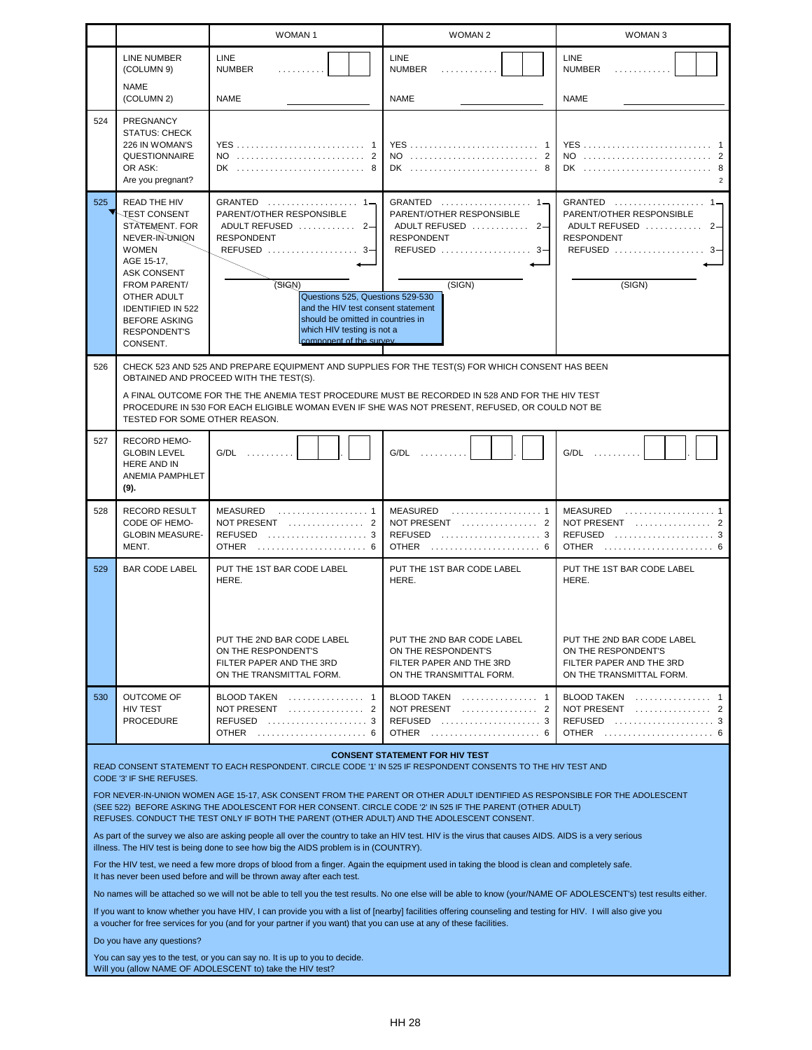|     |                                                                                                                                                                                                                                                                             | <b>WOMAN1</b>                                                                                                                                                                                                                                                                                                               | <b>WOMAN 2</b>                                                                                                                                                                                                                                                                                                                   | WOMAN <sub>3</sub>                                                                                        |  |
|-----|-----------------------------------------------------------------------------------------------------------------------------------------------------------------------------------------------------------------------------------------------------------------------------|-----------------------------------------------------------------------------------------------------------------------------------------------------------------------------------------------------------------------------------------------------------------------------------------------------------------------------|----------------------------------------------------------------------------------------------------------------------------------------------------------------------------------------------------------------------------------------------------------------------------------------------------------------------------------|-----------------------------------------------------------------------------------------------------------|--|
|     | <b>LINE NUMBER</b><br>(COLUMN 9)                                                                                                                                                                                                                                            | <b>LINE</b><br><b>NUMBER</b>                                                                                                                                                                                                                                                                                                | <b>LINE</b><br><b>NUMBER</b><br>.                                                                                                                                                                                                                                                                                                | LINE<br><b>NUMBER</b>                                                                                     |  |
|     | <b>NAME</b><br>(COLUMN 2)                                                                                                                                                                                                                                                   | <b>NAME</b>                                                                                                                                                                                                                                                                                                                 | <b>NAME</b>                                                                                                                                                                                                                                                                                                                      | <b>NAME</b>                                                                                               |  |
| 524 | PREGNANCY<br><b>STATUS: CHECK</b><br>226 IN WOMAN'S<br><b>QUESTIONNAIRE</b><br>OR ASK:<br>Are you pregnant?                                                                                                                                                                 | <b>YES</b><br>$DK_1, \ldots, \ldots, \ldots, \ldots, \ldots, \ldots, \ldots$                                                                                                                                                                                                                                                |                                                                                                                                                                                                                                                                                                                                  | <b>YES</b><br>NO<br>2<br>8                                                                                |  |
| 525 | <b>READ THE HIV</b><br><b>JEST CONSENT</b><br>STATEMENT. FOR<br>NEVER-IN-UNION<br><b>WOMEN</b><br>AGE 15-17,<br><b>ASK CONSENT</b><br><b>FROM PARENT/</b><br>OTHER ADULT<br><b>IDENTIFIED IN 522</b><br><b>BEFORE ASKING</b><br><b>RESPONDENT'S</b><br>CONSENT.             | GRANTED $\ldots \ldots \ldots \ldots \ldots 1$<br>PARENT/OTHER RESPONSIBLE<br>ADULT REFUSED<br>$2 -$<br><b>RESPONDENT</b><br>REFUSED  3-<br>(SHGN)<br>Questions 525, Questions 529-530<br>and the HIV test consent statement<br>should be omitted in countries in<br>which HIV testing is not a<br>component of the survey. | GRANTED $\ldots \ldots \ldots \ldots \ldots 1$<br>PARENT/OTHER RESPONSIBLE<br>ADULT REFUSED<br>$2-$<br><b>RESPONDENT</b><br>REFUSED  3-<br>(SIGN)                                                                                                                                                                                | PARENT/OTHER RESPONSIBLE<br>ADULT REFUSED<br>$2-$<br><b>RESPONDENT</b><br>REFUSED  3-<br>(SIGN)           |  |
| 526 |                                                                                                                                                                                                                                                                             |                                                                                                                                                                                                                                                                                                                             | CHECK 523 AND 525 AND PREPARE EQUIPMENT AND SUPPLIES FOR THE TEST(S) FOR WHICH CONSENT HAS BEEN                                                                                                                                                                                                                                  |                                                                                                           |  |
|     | OBTAINED AND PROCEED WITH THE TEST(S).<br>A FINAL OUTCOME FOR THE THE ANEMIA TEST PROCEDURE MUST BE RECORDED IN 528 AND FOR THE HIV TEST<br>PROCEDURE IN 530 FOR EACH ELIGIBLE WOMAN EVEN IF SHE WAS NOT PRESENT, REFUSED, OR COULD NOT BE<br>TESTED FOR SOME OTHER REASON. |                                                                                                                                                                                                                                                                                                                             |                                                                                                                                                                                                                                                                                                                                  |                                                                                                           |  |
| 527 | <b>RECORD HEMO-</b><br><b>GLOBIN LEVEL</b><br><b>HERE AND IN</b><br>ANEMIA PAMPHLET<br>(9).                                                                                                                                                                                 | G/DL                                                                                                                                                                                                                                                                                                                        | G/DL                                                                                                                                                                                                                                                                                                                             | G/DL                                                                                                      |  |
| 528 | <b>RECORD RESULT</b><br>CODE OF HEMO-<br><b>GLOBIN MEASURE-</b><br>MENT.                                                                                                                                                                                                    | <b>MEASURED</b><br>NOT PRESENT $\ldots \ldots \ldots \ldots 2$<br>REFUSED  3<br><b>OTHER</b>                                                                                                                                                                                                                                | <b>MEASURED</b><br>REFUSED $\ldots, \ldots, \ldots, \ldots, \ldots, 3$<br><b>OTHER</b>                                                                                                                                                                                                                                           | MEASURED<br>NOT PRESENT $\ldots \ldots \ldots \ldots$ 2<br>REFUSED  3<br><b>OTHER</b>                     |  |
| 529 | <b>BAR CODE LABEL</b>                                                                                                                                                                                                                                                       | PUT THE 1ST BAR CODE LABEL<br>HERE.                                                                                                                                                                                                                                                                                         | PUT THE 1ST BAR CODE LABEL<br>HERE.                                                                                                                                                                                                                                                                                              | PUT THE 1ST BAR CODE LABEL<br>HERE.                                                                       |  |
|     |                                                                                                                                                                                                                                                                             | PUT THE 2ND BAR CODE LABEL<br>ON THE RESPONDENT'S<br>FILTER PAPER AND THE 3RD<br>ON THE TRANSMITTAL FORM.                                                                                                                                                                                                                   | PUT THE 2ND BAR CODE LABEL<br>ON THE RESPONDENT'S<br>FILTER PAPER AND THE 3RD<br>ON THE TRANSMITTAL FORM.                                                                                                                                                                                                                        | PUT THE 2ND BAR CODE LABEL<br>ON THE RESPONDENT'S<br>FILTER PAPER AND THE 3RD<br>ON THE TRANSMITTAL FORM. |  |
| 530 | <b>OUTCOME OF</b><br><b>HIV TEST</b><br><b>PROCEDURE</b>                                                                                                                                                                                                                    | BLOOD TAKEN  1<br>NOT PRESENT  2<br>REFUSED  3<br>OTHER  6                                                                                                                                                                                                                                                                  | BLOOD TAKEN  1<br>NOT PRESENT  2<br>REFUSED  3                                                                                                                                                                                                                                                                                   | BLOOD TAKEN  1<br>NOT PRESENT  2<br>REFUSED  3<br>OTHER  6                                                |  |
|     | CODE '3' IF SHE REFUSES.                                                                                                                                                                                                                                                    |                                                                                                                                                                                                                                                                                                                             | <b>CONSENT STATEMENT FOR HIV TEST</b><br>READ CONSENT STATEMENT TO EACH RESPONDENT. CIRCLE CODE '1' IN 525 IF RESPONDENT CONSENTS TO THE HIV TEST AND                                                                                                                                                                            |                                                                                                           |  |
|     |                                                                                                                                                                                                                                                                             | REFUSES. CONDUCT THE TEST ONLY IF BOTH THE PARENT (OTHER ADULT) AND THE ADOLESCENT CONSENT.                                                                                                                                                                                                                                 | FOR NEVER-IN-UNION WOMEN AGE 15-17, ASK CONSENT FROM THE PARENT OR OTHER ADULT IDENTIFIED AS RESPONSIBLE FOR THE ADOLESCENT<br>(SEE 522) BEFORE ASKING THE ADOLESCENT FOR HER CONSENT. CIRCLE CODE '2' IN 525 IF THE PARENT (OTHER ADULT)                                                                                        |                                                                                                           |  |
|     |                                                                                                                                                                                                                                                                             | illness. The HIV test is being done to see how big the AIDS problem is in (COUNTRY).                                                                                                                                                                                                                                        | As part of the survey we also are asking people all over the country to take an HIV test. HIV is the virus that causes AIDS. AIDS is a very serious                                                                                                                                                                              |                                                                                                           |  |
|     |                                                                                                                                                                                                                                                                             | It has never been used before and will be thrown away after each test.                                                                                                                                                                                                                                                      | For the HIV test, we need a few more drops of blood from a finger. Again the equipment used in taking the blood is clean and completely safe.                                                                                                                                                                                    |                                                                                                           |  |
|     |                                                                                                                                                                                                                                                                             |                                                                                                                                                                                                                                                                                                                             | No names will be attached so we will not be able to tell you the test results. No one else will be able to know (your/NAME OF ADOLESCENT's) test results either.<br>If you want to know whether you have HIV, I can provide you with a list of [nearby] facilities offering counseling and testing for HIV. I will also give you |                                                                                                           |  |
|     | Do you have any questions?                                                                                                                                                                                                                                                  | a voucher for free services for you (and for your partner if you want) that you can use at any of these facilities.                                                                                                                                                                                                         |                                                                                                                                                                                                                                                                                                                                  |                                                                                                           |  |
|     |                                                                                                                                                                                                                                                                             | You can say yes to the test, or you can say no. It is up to you to decide.<br>Will you (allow NAME OF ADOLESCENT to) take the HIV test?                                                                                                                                                                                     |                                                                                                                                                                                                                                                                                                                                  |                                                                                                           |  |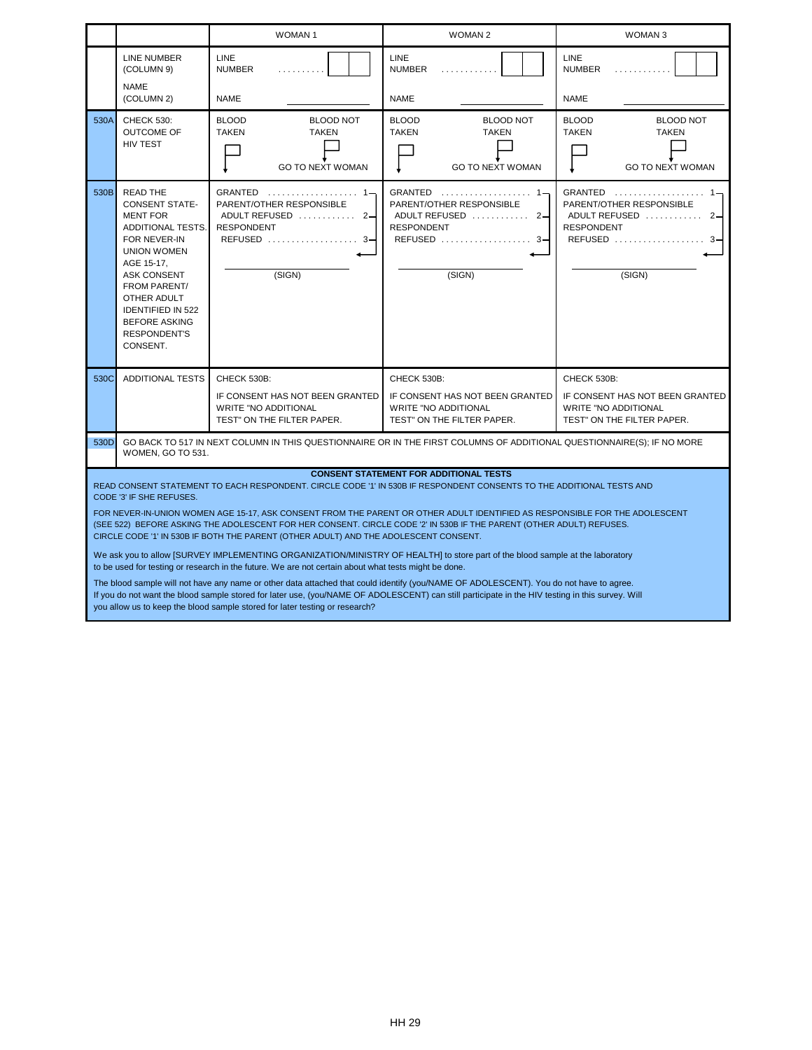|      |                                                                                                                                                                                                                                                                                                                                                                                                                                                                                                                                                                                                                                                                                                                                                                                                                                                                                                                                                                                                                                                                                                                                                                         | <b>WOMAN1</b>                                                                                               | <b>WOMAN 2</b>                                                                                              | WOMAN <sub>3</sub>                                                                                          |  |
|------|-------------------------------------------------------------------------------------------------------------------------------------------------------------------------------------------------------------------------------------------------------------------------------------------------------------------------------------------------------------------------------------------------------------------------------------------------------------------------------------------------------------------------------------------------------------------------------------------------------------------------------------------------------------------------------------------------------------------------------------------------------------------------------------------------------------------------------------------------------------------------------------------------------------------------------------------------------------------------------------------------------------------------------------------------------------------------------------------------------------------------------------------------------------------------|-------------------------------------------------------------------------------------------------------------|-------------------------------------------------------------------------------------------------------------|-------------------------------------------------------------------------------------------------------------|--|
|      | <b>LINE NUMBER</b><br>(COLUMN 9)<br><b>NAME</b><br>(COLUMN 2)                                                                                                                                                                                                                                                                                                                                                                                                                                                                                                                                                                                                                                                                                                                                                                                                                                                                                                                                                                                                                                                                                                           | <b>LINE</b><br><b>NUMBER</b><br><b>NAME</b>                                                                 | <b>LINE</b><br><b>NUMBER</b><br>.<br>NAME                                                                   | LINE<br><b>NUMBER</b><br>.<br>NAME                                                                          |  |
| 530A | <b>CHECK 530:</b><br><b>OUTCOME OF</b><br><b>HIV TEST</b>                                                                                                                                                                                                                                                                                                                                                                                                                                                                                                                                                                                                                                                                                                                                                                                                                                                                                                                                                                                                                                                                                                               | <b>BLOOD</b><br><b>BLOOD NOT</b><br><b>TAKEN</b><br><b>TAKEN</b><br><b>GO TO NEXT WOMAN</b>                 | <b>BLOOD</b><br><b>BLOOD NOT</b><br><b>TAKEN</b><br><b>TAKEN</b><br><b>GO TO NEXT WOMAN</b>                 | <b>BLOOD</b><br><b>BLOOD NOT</b><br><b>TAKEN</b><br><b>TAKEN</b><br><b>GO TO NEXT WOMAN</b>                 |  |
| 530B | <b>READ THE</b><br><b>CONSENT STATE-</b><br><b>MENT FOR</b><br>ADDITIONAL TESTS.<br>FOR NEVER-IN<br>UNION WOMEN<br>AGE 15-17,<br><b>ASK CONSENT</b><br>FROM PARENT/<br>OTHER ADULT<br><b>IDENTIFIED IN 522</b><br><b>BEFORE ASKING</b><br><b>RESPONDENT'S</b><br>CONSENT.                                                                                                                                                                                                                                                                                                                                                                                                                                                                                                                                                                                                                                                                                                                                                                                                                                                                                               | PARENT/OTHER RESPONSIBLE<br>ADULT REFUSED  2-<br><b>RESPONDENT</b><br>REFUSED  3-<br>(SIGN)                 | PARENT/OTHER RESPONSIBLE<br>ADULT REFUSED  2-<br><b>RESPONDENT</b><br>REFUSED  3-<br>(SIGN)                 | $GRANTED$<br>PARENT/OTHER RESPONSIBLE<br>ADULT REFUSED  2-<br><b>RESPONDENT</b><br>REFUSED  3-<br>(SIGN)    |  |
| 530C | <b>ADDITIONAL TESTS</b>                                                                                                                                                                                                                                                                                                                                                                                                                                                                                                                                                                                                                                                                                                                                                                                                                                                                                                                                                                                                                                                                                                                                                 | CHECK 530B:<br>IF CONSENT HAS NOT BEEN GRANTED<br><b>WRITE "NO ADDITIONAL</b><br>TEST" ON THE FILTER PAPER. | CHECK 530B:<br>IF CONSENT HAS NOT BEEN GRANTED<br><b>WRITE "NO ADDITIONAL</b><br>TEST" ON THE FILTER PAPER. | CHECK 530B:<br>IF CONSENT HAS NOT BEEN GRANTED<br><b>WRITE "NO ADDITIONAL</b><br>TEST" ON THE FILTER PAPER. |  |
|      | 530D<br>GO BACK TO 517 IN NEXT COLUMN IN THIS QUESTIONNAIRE OR IN THE FIRST COLUMNS OF ADDITIONAL QUESTIONNAIRE(S); IF NO MORE<br>WOMEN, GO TO 531.                                                                                                                                                                                                                                                                                                                                                                                                                                                                                                                                                                                                                                                                                                                                                                                                                                                                                                                                                                                                                     |                                                                                                             |                                                                                                             |                                                                                                             |  |
|      | <b>CONSENT STATEMENT FOR ADDITIONAL TESTS</b><br>READ CONSENT STATEMENT TO EACH RESPONDENT. CIRCLE CODE '1' IN 530B IF RESPONDENT CONSENTS TO THE ADDITIONAL TESTS AND<br>CODE '3' IF SHE REFUSES.<br>FOR NEVER-IN-UNION WOMEN AGE 15-17, ASK CONSENT FROM THE PARENT OR OTHER ADULT IDENTIFIED AS RESPONSIBLE FOR THE ADOLESCENT<br>(SEE 522) BEFORE ASKING THE ADOLESCENT FOR HER CONSENT. CIRCLE CODE '2' IN 530B IF THE PARENT (OTHER ADULT) REFUSES.<br>CIRCLE CODE '1' IN 530B IF BOTH THE PARENT (OTHER ADULT) AND THE ADOLESCENT CONSENT.<br>We ask you to allow [SURVEY IMPLEMENTING ORGANIZATION/MINISTRY OF HEALTH] to store part of the blood sample at the laboratory<br>to be used for testing or research in the future. We are not certain about what tests might be done.<br>The blood sample will not have any name or other data attached that could identify (you/NAME OF ADOLESCENT). You do not have to agree.<br>If you do not want the blood sample stored for later use, (you/NAME OF ADOLESCENT) can still participate in the HIV testing in this survey. Will<br>you allow us to keep the blood sample stored for later testing or research? |                                                                                                             |                                                                                                             |                                                                                                             |  |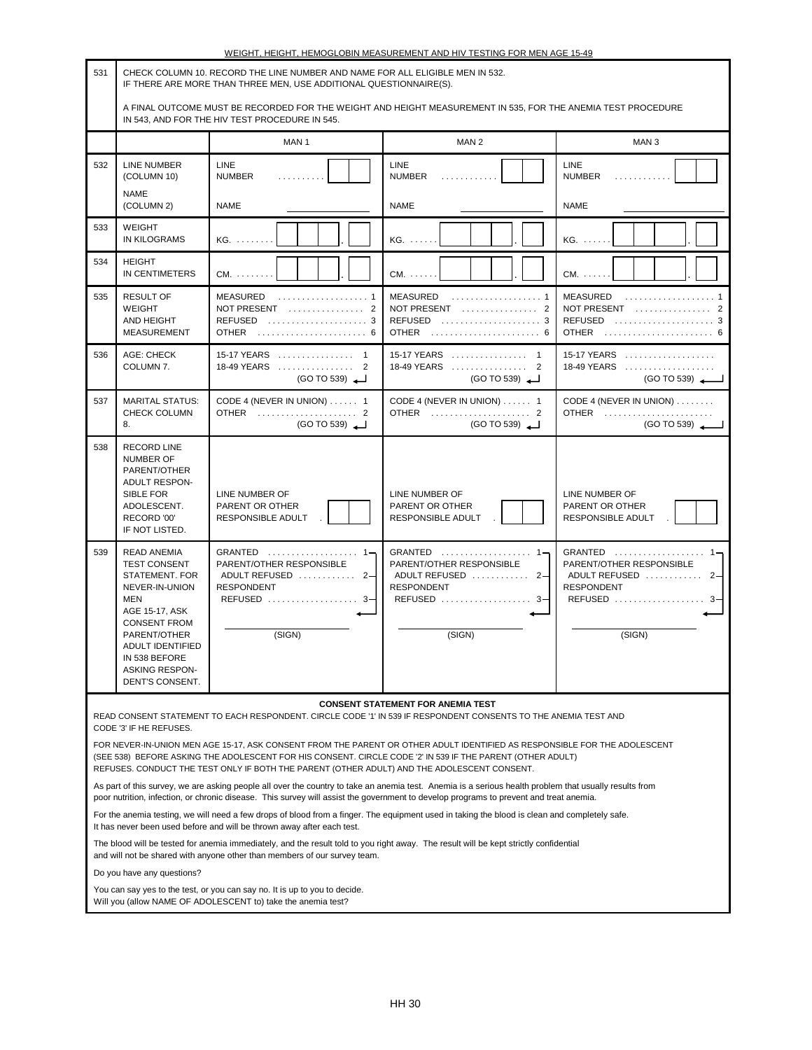| 531 | CHECK COLUMN 10. RECORD THE LINE NUMBER AND NAME FOR ALL ELIGIBLE MEN IN 532.<br>IF THERE ARE MORE THAN THREE MEN, USE ADDITIONAL QUESTIONNAIRE(S).                                                                                                                                                                                                                                                                                                                                  |                                                                                                                                                                                                                                                                                                  |                                                                                                            |                                                                                                                                                                 |  |
|-----|--------------------------------------------------------------------------------------------------------------------------------------------------------------------------------------------------------------------------------------------------------------------------------------------------------------------------------------------------------------------------------------------------------------------------------------------------------------------------------------|--------------------------------------------------------------------------------------------------------------------------------------------------------------------------------------------------------------------------------------------------------------------------------------------------|------------------------------------------------------------------------------------------------------------|-----------------------------------------------------------------------------------------------------------------------------------------------------------------|--|
|     |                                                                                                                                                                                                                                                                                                                                                                                                                                                                                      | A FINAL OUTCOME MUST BE RECORDED FOR THE WEIGHT AND HEIGHT MEASUREMENT IN 535, FOR THE ANEMIA TEST PROCEDURE<br>IN 543, AND FOR THE HIV TEST PROCEDURE IN 545.                                                                                                                                   |                                                                                                            |                                                                                                                                                                 |  |
|     |                                                                                                                                                                                                                                                                                                                                                                                                                                                                                      | MAN <sub>1</sub>                                                                                                                                                                                                                                                                                 | MAN <sub>2</sub>                                                                                           | MAN <sub>3</sub>                                                                                                                                                |  |
| 532 | LINE NUMBER<br>(COLUMN 10)<br><b>NAME</b>                                                                                                                                                                                                                                                                                                                                                                                                                                            | <b>LINE</b><br><b>NUMBER</b><br>.                                                                                                                                                                                                                                                                | <b>LINE</b><br><b>NUMBER</b><br>.                                                                          | <b>LINE</b><br><b>NUMBER</b><br>.                                                                                                                               |  |
|     | (COLUMN 2)                                                                                                                                                                                                                                                                                                                                                                                                                                                                           | <b>NAME</b>                                                                                                                                                                                                                                                                                      | <b>NAME</b>                                                                                                | <b>NAME</b>                                                                                                                                                     |  |
| 533 | WEIGHT<br><b>IN KILOGRAMS</b>                                                                                                                                                                                                                                                                                                                                                                                                                                                        | KG.                                                                                                                                                                                                                                                                                              | KG.                                                                                                        | $KG. \ldots$                                                                                                                                                    |  |
| 534 | <b>HEIGHT</b><br>IN CENTIMETERS                                                                                                                                                                                                                                                                                                                                                                                                                                                      | $CM. \ldots \ldots$                                                                                                                                                                                                                                                                              | $CM. \ldots$                                                                                               | $CM. \ldots$ .                                                                                                                                                  |  |
| 535 | <b>RESULT OF</b><br><b>WEIGHT</b><br>AND HEIGHT<br><b>MEASUREMENT</b>                                                                                                                                                                                                                                                                                                                                                                                                                | <b>MEASURED</b><br>NOT PRESENT  2<br>REFUSED $\ldots \ldots \ldots \ldots \ldots \ldots 3$                                                                                                                                                                                                       | <b>MEASURED</b><br>NOT PRESENT $\ldots \ldots \ldots \ldots 2$<br>REFUSED  3                               | MEASURED<br>NOT PRESENT $\ldots \ldots \ldots \ldots$ 2<br>REFUSED  3<br>OTHER  6                                                                               |  |
| 536 | AGE: CHECK<br>COLUMN 7.                                                                                                                                                                                                                                                                                                                                                                                                                                                              | 15-17 YEARS  1<br>18-49 YEARS  2<br>18-49 YEARS  2<br>(GO TO 539)<br>(GO TO 539)                                                                                                                                                                                                                 |                                                                                                            | $15-17$ YEARS<br>18-49 YEARS<br>(GO TO 539)                                                                                                                     |  |
| 537 | <b>MARITAL STATUS:</b><br><b>CHECK COLUMN</b><br>8.                                                                                                                                                                                                                                                                                                                                                                                                                                  | CODE 4 (NEVER IN UNION)  1<br>OTHER  2<br>(GO TO 539)                                                                                                                                                                                                                                            | CODE 4 (NEVER IN UNION)  1<br>OTHER  2<br>(GO TO 539)                                                      | CODE 4 (NEVER IN UNION)<br>OTHER<br>(GO TO 539)                                                                                                                 |  |
| 538 | <b>RECORD LINE</b><br><b>NUMBER OF</b><br>PARENT/OTHER<br><b>ADULT RESPON-</b><br>SIBLE FOR<br>ADOLESCENT.<br>RECORD '00'<br>IF NOT LISTED.                                                                                                                                                                                                                                                                                                                                          | LINE NUMBER OF<br>PARENT OR OTHER<br><b>RESPONSIBLE ADULT</b>                                                                                                                                                                                                                                    | LINE NUMBER OF<br>PARENT OR OTHER<br>RESPONSIBLE ADULT                                                     | LINE NUMBER OF<br>PARENT OR OTHER<br><b>RESPONSIBLE ADULT</b>                                                                                                   |  |
| 539 | <b>READ ANEMIA</b><br><b>TEST CONSENT</b><br>STATEMENT. FOR<br>NEVER-IN-UNION<br><b>MEN</b><br>AGE 15-17, ASK<br><b>CONSENT FROM</b><br>PARENT/OTHER<br>ADULT IDENTIFIED<br>IN 538 BEFORE<br><b>ASKING RESPON-</b><br>DENT'S CONSENT.                                                                                                                                                                                                                                                | GRANTED  1-<br>PARENT/OTHER RESPONSIBLE<br>ADULT REFUSED  2-<br><b>RESPONDENT</b><br>REFUSED  3-<br>(SIGN)                                                                                                                                                                                       | GRANTED  1-<br>PARENT/OTHER RESPONSIBLE<br>ADULT REFUSED  2-<br><b>RESPONDENT</b><br>REFUSED  3-<br>(SIGN) | GRANTED $\ldots \ldots \ldots \ldots \ldots \quad 1 \rightarrow$<br>PARENT/OTHER RESPONSIBLE<br>ADULT REFUSED  2-<br><b>RESPONDENT</b><br>REFUSED  3-<br>(SIGN) |  |
|     |                                                                                                                                                                                                                                                                                                                                                                                                                                                                                      |                                                                                                                                                                                                                                                                                                  | <b>CONSENT STATEMENT FOR ANEMIA TEST</b>                                                                   |                                                                                                                                                                 |  |
|     | READ CONSENT STATEMENT TO EACH RESPONDENT. CIRCLE CODE '1' IN 539 IF RESPONDENT CONSENTS TO THE ANEMIA TEST AND<br>CODE '3' IF HE REFUSES.<br>FOR NEVER-IN-UNION MEN AGE 15-17, ASK CONSENT FROM THE PARENT OR OTHER ADULT IDENTIFIED AS RESPONSIBLE FOR THE ADOLESCENT<br>(SEE 538) BEFORE ASKING THE ADOLESCENT FOR HIS CONSENT. CIRCLE CODE '2' IN 539 IF THE PARENT (OTHER ADULT)<br>REFUSES. CONDUCT THE TEST ONLY IF BOTH THE PARENT (OTHER ADULT) AND THE ADOLESCENT CONSENT. |                                                                                                                                                                                                                                                                                                  |                                                                                                            |                                                                                                                                                                 |  |
|     |                                                                                                                                                                                                                                                                                                                                                                                                                                                                                      | As part of this survey, we are asking people all over the country to take an anemia test. Anemia is a serious health problem that usually results from<br>poor nutrition, infection, or chronic disease. This survey will assist the government to develop programs to prevent and treat anemia. |                                                                                                            |                                                                                                                                                                 |  |
|     |                                                                                                                                                                                                                                                                                                                                                                                                                                                                                      | For the anemia testing, we will need a few drops of blood from a finger. The equipment used in taking the blood is clean and completely safe.<br>It has never been used before and will be thrown away after each test.                                                                          |                                                                                                            |                                                                                                                                                                 |  |
|     |                                                                                                                                                                                                                                                                                                                                                                                                                                                                                      | The blood will be tested for anemia immediately, and the result told to you right away. The result will be kept strictly confidential<br>and will not be shared with anyone other than members of our survey team.                                                                               |                                                                                                            |                                                                                                                                                                 |  |
|     | Do you have any questions?                                                                                                                                                                                                                                                                                                                                                                                                                                                           | You can say yes to the test, or you can say no. It is up to you to decide.                                                                                                                                                                                                                       |                                                                                                            |                                                                                                                                                                 |  |
|     |                                                                                                                                                                                                                                                                                                                                                                                                                                                                                      | Will you (allow NAME OF ADOLESCENT to) take the anemia test?                                                                                                                                                                                                                                     |                                                                                                            |                                                                                                                                                                 |  |

| WEIGHT. HEIGHT. HEMOGLOBIN MEASUREMENT AND HIV TESTING FOR MEN AGE 15-49 |  |  |
|--------------------------------------------------------------------------|--|--|
|                                                                          |  |  |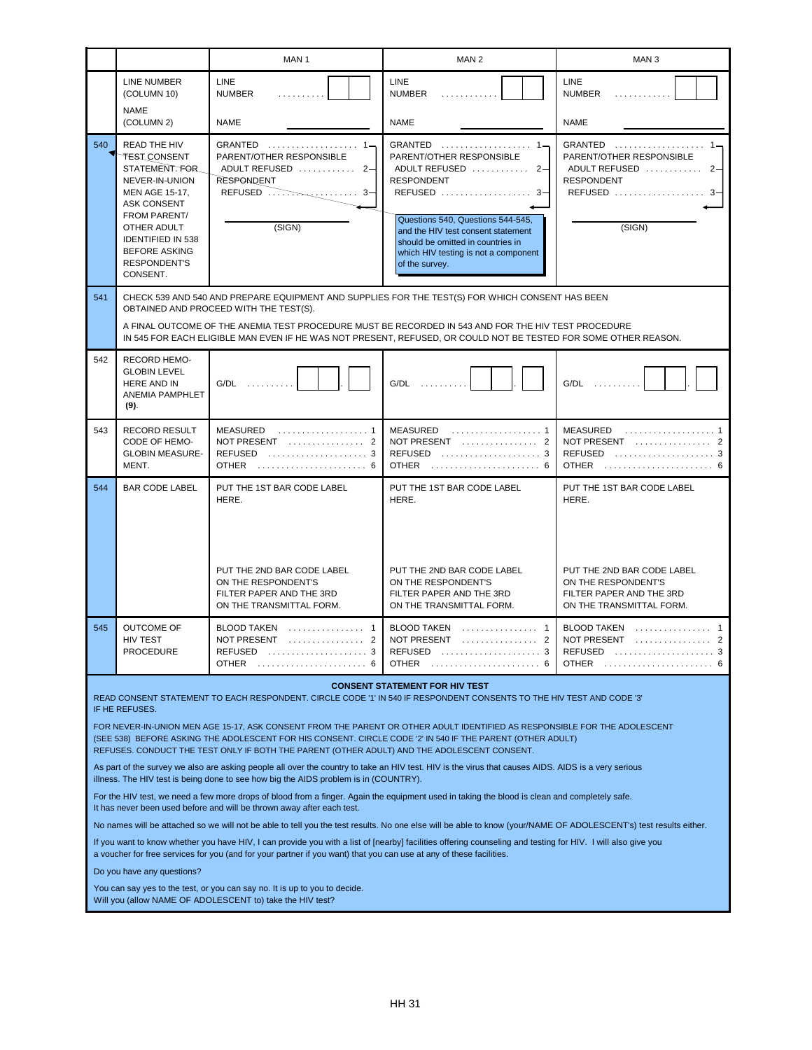|                                                                                                                                                                                                                                                                                                                                                                                                                                                                                                                                                                                                                                                                                                                                                                                                                                                                                                                                                                                                                                                                                                                                                                                                                                                                                                                                                                                                                                                                                                                                                                                                                                          |                                                                                                                                                                                                                                       | MAN <sub>1</sub>                                                                                                            | MAN <sub>2</sub>                                                                                                                                                                                                                                                                                | MAN <sub>3</sub>                                                                                                                                    |
|------------------------------------------------------------------------------------------------------------------------------------------------------------------------------------------------------------------------------------------------------------------------------------------------------------------------------------------------------------------------------------------------------------------------------------------------------------------------------------------------------------------------------------------------------------------------------------------------------------------------------------------------------------------------------------------------------------------------------------------------------------------------------------------------------------------------------------------------------------------------------------------------------------------------------------------------------------------------------------------------------------------------------------------------------------------------------------------------------------------------------------------------------------------------------------------------------------------------------------------------------------------------------------------------------------------------------------------------------------------------------------------------------------------------------------------------------------------------------------------------------------------------------------------------------------------------------------------------------------------------------------------|---------------------------------------------------------------------------------------------------------------------------------------------------------------------------------------------------------------------------------------|-----------------------------------------------------------------------------------------------------------------------------|-------------------------------------------------------------------------------------------------------------------------------------------------------------------------------------------------------------------------------------------------------------------------------------------------|-----------------------------------------------------------------------------------------------------------------------------------------------------|
|                                                                                                                                                                                                                                                                                                                                                                                                                                                                                                                                                                                                                                                                                                                                                                                                                                                                                                                                                                                                                                                                                                                                                                                                                                                                                                                                                                                                                                                                                                                                                                                                                                          | LINE NUMBER<br>(COLUMN 10)                                                                                                                                                                                                            | LINE<br><b>NUMBER</b><br>.                                                                                                  | <b>LINE</b><br><b>NUMBER</b><br>.                                                                                                                                                                                                                                                               | <b>LINE</b><br><b>NUMBER</b><br>.                                                                                                                   |
|                                                                                                                                                                                                                                                                                                                                                                                                                                                                                                                                                                                                                                                                                                                                                                                                                                                                                                                                                                                                                                                                                                                                                                                                                                                                                                                                                                                                                                                                                                                                                                                                                                          | <b>NAME</b><br>(COLUMN 2)                                                                                                                                                                                                             | <b>NAME</b>                                                                                                                 | <b>NAME</b>                                                                                                                                                                                                                                                                                     | <b>NAME</b>                                                                                                                                         |
| 540                                                                                                                                                                                                                                                                                                                                                                                                                                                                                                                                                                                                                                                                                                                                                                                                                                                                                                                                                                                                                                                                                                                                                                                                                                                                                                                                                                                                                                                                                                                                                                                                                                      | READ THE HIV<br><b>TEST CONSENT</b><br>STATEMENT. FOR<br>NEVER-IN-UNION<br>MEN AGE 15-17,<br>ASK CONSENT<br><b>FROM PARENT/</b><br>OTHER ADULT<br><b>IDENTIFIED IN 538</b><br><b>BEFORE ASKING</b><br><b>RESPONDENT'S</b><br>CONSENT. | PARENT/OTHER RESPONSIBLE<br>ADULT REFUSED  2-<br><b>RESPONDENT</b><br>REFUSED $\ldots$ $\ldots$ $\ldots$ $\cdots$<br>(SIGN) | PARENT/OTHER RESPONSIBLE<br>ADULT REFUSED  2-<br><b>RESPONDENT</b><br>REFUSED $\ldots \ldots \ldots \ldots \ldots 3-$<br>Questions 540, Questions 544-545,<br>and the HIV test consent statement<br>should be omitted in countries in<br>which HIV testing is not a component<br>of the survey. | GRANTED  1-<br>PARENT/OTHER RESPONSIBLE<br>ADULT REFUSED<br>$2 -$<br><b>RESPONDENT</b><br>REFUSED $\ldots \ldots \ldots \ldots \ldots 3-$<br>(SIGN) |
| 541                                                                                                                                                                                                                                                                                                                                                                                                                                                                                                                                                                                                                                                                                                                                                                                                                                                                                                                                                                                                                                                                                                                                                                                                                                                                                                                                                                                                                                                                                                                                                                                                                                      |                                                                                                                                                                                                                                       | OBTAINED AND PROCEED WITH THE TEST(S).                                                                                      | CHECK 539 AND 540 AND PREPARE EQUIPMENT AND SUPPLIES FOR THE TEST(S) FOR WHICH CONSENT HAS BEEN<br>A FINAL OUTCOME OF THE ANEMIA TEST PROCEDURE MUST BE RECORDED IN 543 AND FOR THE HIV TEST PROCEDURE                                                                                          |                                                                                                                                                     |
|                                                                                                                                                                                                                                                                                                                                                                                                                                                                                                                                                                                                                                                                                                                                                                                                                                                                                                                                                                                                                                                                                                                                                                                                                                                                                                                                                                                                                                                                                                                                                                                                                                          |                                                                                                                                                                                                                                       |                                                                                                                             | IN 545 FOR EACH ELIGIBLE MAN EVEN IF HE WAS NOT PRESENT, REFUSED, OR COULD NOT BE TESTED FOR SOME OTHER REASON.                                                                                                                                                                                 |                                                                                                                                                     |
| 542                                                                                                                                                                                                                                                                                                                                                                                                                                                                                                                                                                                                                                                                                                                                                                                                                                                                                                                                                                                                                                                                                                                                                                                                                                                                                                                                                                                                                                                                                                                                                                                                                                      | <b>RECORD HEMO-</b><br><b>GLOBIN LEVEL</b><br>HERE AND IN<br><b>ANEMIA PAMPHLET</b><br>$(9)$ .                                                                                                                                        | $G/DL$                                                                                                                      | G/DL                                                                                                                                                                                                                                                                                            | G/DL                                                                                                                                                |
| 543                                                                                                                                                                                                                                                                                                                                                                                                                                                                                                                                                                                                                                                                                                                                                                                                                                                                                                                                                                                                                                                                                                                                                                                                                                                                                                                                                                                                                                                                                                                                                                                                                                      | <b>RECORD RESULT</b><br>CODE OF HEMO-<br><b>GLOBIN MEASURE-</b><br>MENT.                                                                                                                                                              | NOT PRESENT  2<br>REFUSED $\ldots \ldots \ldots \ldots \ldots$<br>OTHER  6                                                  | NOT PRESENT  2<br>REFUSED $\ldots \ldots \ldots \ldots \ldots \ldots 3$<br>OTHER  6                                                                                                                                                                                                             | NOT PRESENT  2<br>REFUSED $\ldots, \ldots, \ldots, \ldots, \ldots, 3$<br>OTHER  6                                                                   |
| 544                                                                                                                                                                                                                                                                                                                                                                                                                                                                                                                                                                                                                                                                                                                                                                                                                                                                                                                                                                                                                                                                                                                                                                                                                                                                                                                                                                                                                                                                                                                                                                                                                                      | <b>BAR CODE LABEL</b>                                                                                                                                                                                                                 | PUT THE 1ST BAR CODE LABEL<br>HERE.                                                                                         | PUT THE 1ST BAR CODE LABEL<br>HERE.                                                                                                                                                                                                                                                             | PUT THE 1ST BAR CODE LABEL<br>HERE.                                                                                                                 |
|                                                                                                                                                                                                                                                                                                                                                                                                                                                                                                                                                                                                                                                                                                                                                                                                                                                                                                                                                                                                                                                                                                                                                                                                                                                                                                                                                                                                                                                                                                                                                                                                                                          |                                                                                                                                                                                                                                       | PUT THE 2ND BAR CODE LABEL<br>ON THE RESPONDENT'S<br>FILTER PAPER AND THE 3RD<br>ON THE TRANSMITTAL FORM.                   | PUT THE 2ND BAR CODE LABEL<br>ON THE RESPONDENT'S<br>FILTER PAPER AND THE 3RD<br>ON THE TRANSMITTAL FORM.                                                                                                                                                                                       | PUT THE 2ND BAR CODE LABEL<br>ON THE RESPONDENT'S<br>FILTER PAPER AND THE 3RD<br>ON THE TRANSMITTAL FORM.                                           |
| 545                                                                                                                                                                                                                                                                                                                                                                                                                                                                                                                                                                                                                                                                                                                                                                                                                                                                                                                                                                                                                                                                                                                                                                                                                                                                                                                                                                                                                                                                                                                                                                                                                                      | <b>OUTCOME OF</b><br><b>HIV TEST</b><br><b>PROCEDURE</b>                                                                                                                                                                              | BLOOD TAKEN  1<br>NOT PRESENT $\ldots \ldots \ldots \ldots$<br>2<br>REFUSED  3<br>OTHER<br>-6                               | $B$ LOOD TAKEN  1<br>NOT PRESENT $\ldots \ldots \ldots \ldots$<br>2<br>REFUSED  3                                                                                                                                                                                                               | $B$ LOOD TAKEN $\ldots \ldots \ldots \ldots$ 1<br>NOT PRESENT $\ldots \ldots \ldots \ldots$<br>REFUSED  3<br>-6                                     |
| <b>CONSENT STATEMENT FOR HIV TEST</b><br>READ CONSENT STATEMENT TO EACH RESPONDENT. CIRCLE CODE '1' IN 540 IF RESPONDENT CONSENTS TO THE HIV TEST AND CODE '3'<br>IF HE REFUSES.<br>FOR NEVER-IN-UNION MEN AGE 15-17, ASK CONSENT FROM THE PARENT OR OTHER ADULT IDENTIFIED AS RESPONSIBLE FOR THE ADOLESCENT<br>(SEE 538) BEFORE ASKING THE ADOLESCENT FOR HIS CONSENT. CIRCLE CODE '2' IN 540 IF THE PARENT (OTHER ADULT)<br>REFUSES. CONDUCT THE TEST ONLY IF BOTH THE PARENT (OTHER ADULT) AND THE ADOLESCENT CONSENT.<br>As part of the survey we also are asking people all over the country to take an HIV test. HIV is the virus that causes AIDS. AIDS is a very serious<br>illness. The HIV test is being done to see how big the AIDS problem is in (COUNTRY).<br>For the HIV test, we need a few more drops of blood from a finger. Again the equipment used in taking the blood is clean and completely safe.<br>It has never been used before and will be thrown away after each test.<br>No names will be attached so we will not be able to tell you the test results. No one else will be able to know (your/NAME OF ADOLESCENT's) test results either.<br>If you want to know whether you have HIV, I can provide you with a list of [nearby] facilities offering counseling and testing for HIV. I will also give you<br>a voucher for free services for you (and for your partner if you want) that you can use at any of these facilities.<br>Do you have any questions?<br>You can say yes to the test, or you can say no. It is up to you to decide.<br>Will you (allow NAME OF ADOLESCENT to) take the HIV test? |                                                                                                                                                                                                                                       |                                                                                                                             |                                                                                                                                                                                                                                                                                                 |                                                                                                                                                     |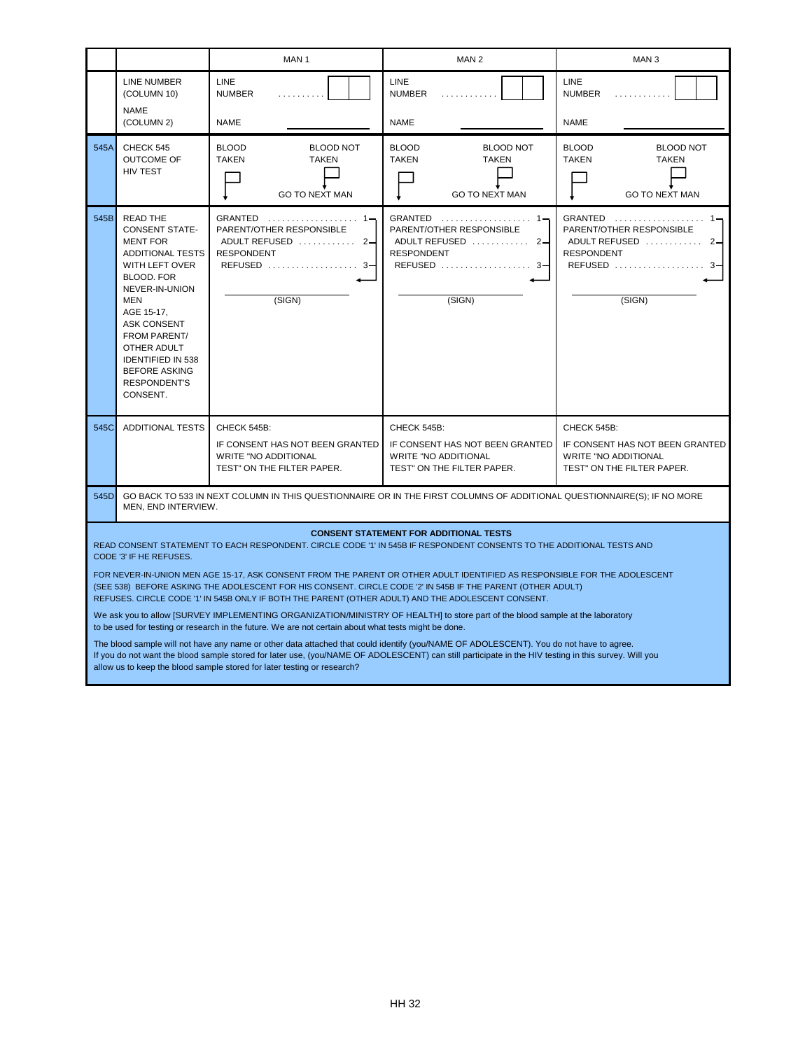|      |                                                                                                                                                                                                                                                                                                                                                                                                                                                                                                                                                                                                                                                                                                                                                                                                                                                                                                                                                                                                                                                                                                                                                                           | MAN <sub>1</sub>                                                                                                                       | MAN <sub>2</sub>                                                                                            | MAN <sub>3</sub>                                                                                            |  |
|------|---------------------------------------------------------------------------------------------------------------------------------------------------------------------------------------------------------------------------------------------------------------------------------------------------------------------------------------------------------------------------------------------------------------------------------------------------------------------------------------------------------------------------------------------------------------------------------------------------------------------------------------------------------------------------------------------------------------------------------------------------------------------------------------------------------------------------------------------------------------------------------------------------------------------------------------------------------------------------------------------------------------------------------------------------------------------------------------------------------------------------------------------------------------------------|----------------------------------------------------------------------------------------------------------------------------------------|-------------------------------------------------------------------------------------------------------------|-------------------------------------------------------------------------------------------------------------|--|
|      | LINE NUMBER<br>(COLUMN 10)                                                                                                                                                                                                                                                                                                                                                                                                                                                                                                                                                                                                                                                                                                                                                                                                                                                                                                                                                                                                                                                                                                                                                | <b>LINE</b><br><b>NUMBER</b><br>.                                                                                                      | <b>LINE</b><br><b>NUMBER</b><br>.                                                                           | LINE<br><b>NUMBER</b><br>.                                                                                  |  |
|      | <b>NAME</b><br>(COLUMN 2)                                                                                                                                                                                                                                                                                                                                                                                                                                                                                                                                                                                                                                                                                                                                                                                                                                                                                                                                                                                                                                                                                                                                                 | <b>NAME</b>                                                                                                                            | <b>NAME</b>                                                                                                 | NAME                                                                                                        |  |
| 545A | CHECK 545<br>OUTCOME OF<br><b>HIV TEST</b>                                                                                                                                                                                                                                                                                                                                                                                                                                                                                                                                                                                                                                                                                                                                                                                                                                                                                                                                                                                                                                                                                                                                | <b>BLOOD</b><br><b>BLOOD NOT</b><br><b>TAKEN</b><br>TAKEN<br><b>GO TO NEXT MAN</b>                                                     | <b>BLOOD</b><br><b>BLOOD NOT</b><br><b>TAKEN</b><br><b>TAKEN</b><br><b>GO TO NEXT MAN</b>                   | <b>BLOOD</b><br><b>BLOOD NOT</b><br><b>TAKEN</b><br><b>TAKEN</b><br><b>GO TO NEXT MAN</b>                   |  |
| 545B | <b>READ THE</b><br><b>CONSENT STATE-</b><br><b>MENT FOR</b><br>ADDITIONAL TESTS<br>WITH LEFT OVER<br><b>BLOOD. FOR</b><br>NEVER-IN-UNION<br>MEN<br>AGE 15-17,<br>ASK CONSENT<br><b>FROM PARENT/</b><br>OTHER ADULT<br><b>IDENTIFIED IN 538</b><br><b>BEFORE ASKING</b><br><b>RESPONDENT'S</b><br>CONSENT.                                                                                                                                                                                                                                                                                                                                                                                                                                                                                                                                                                                                                                                                                                                                                                                                                                                                 | GRANTED $\ldots \ldots \ldots \ldots \ldots 1$<br>PARENT/OTHER RESPONSIBLE<br>ADULT REFUSED  2-<br>RESPONDENT<br>REFUSED  3-<br>(SIGN) | PARENT/OTHER RESPONSIBLE<br>ADULT REFUSED  2-<br><b>RESPONDENT</b><br>(SIGN)                                | GRANTED<br>PARENT/OTHER RESPONSIBLE<br>ADULT REFUSED  2-<br><b>RESPONDENT</b><br>REFUSED  3-<br>(SIGN)      |  |
| 545C | <b>ADDITIONAL TESTS</b>                                                                                                                                                                                                                                                                                                                                                                                                                                                                                                                                                                                                                                                                                                                                                                                                                                                                                                                                                                                                                                                                                                                                                   | CHECK 545B:<br>IF CONSENT HAS NOT BEEN GRANTED<br><b>WRITE "NO ADDITIONAL</b><br>TEST" ON THE FILTER PAPER.                            | CHECK 545B:<br>IF CONSENT HAS NOT BEEN GRANTED<br><b>WRITE "NO ADDITIONAL</b><br>TEST" ON THE FILTER PAPER. | CHECK 545B:<br>IF CONSENT HAS NOT BEEN GRANTED<br><b>WRITE "NO ADDITIONAL</b><br>TEST" ON THE FILTER PAPER. |  |
| 545D | GO BACK TO 533 IN NEXT COLUMN IN THIS QUESTIONNAIRE OR IN THE FIRST COLUMNS OF ADDITIONAL QUESTIONNAIRE(S); IF NO MORE<br>MEN, END INTERVIEW.                                                                                                                                                                                                                                                                                                                                                                                                                                                                                                                                                                                                                                                                                                                                                                                                                                                                                                                                                                                                                             |                                                                                                                                        |                                                                                                             |                                                                                                             |  |
|      | <b>CONSENT STATEMENT FOR ADDITIONAL TESTS</b><br>READ CONSENT STATEMENT TO EACH RESPONDENT. CIRCLE CODE '1' IN 545B IF RESPONDENT CONSENTS TO THE ADDITIONAL TESTS AND<br>CODE '3' IF HE REFUSES.<br>FOR NEVER-IN-UNION MEN AGE 15-17, ASK CONSENT FROM THE PARENT OR OTHER ADULT IDENTIFIED AS RESPONSIBLE FOR THE ADOLESCENT<br>(SEE 538) BEFORE ASKING THE ADOLESCENT FOR HIS CONSENT. CIRCLE CODE '2' IN 545B IF THE PARENT (OTHER ADULT)<br>REFUSES. CIRCLE CODE '1' IN 545B ONLY IF BOTH THE PARENT (OTHER ADULT) AND THE ADOLESCENT CONSENT.<br>We ask you to allow [SURVEY IMPLEMENTING ORGANIZATION/MINISTRY OF HEALTH] to store part of the blood sample at the laboratory<br>to be used for testing or research in the future. We are not certain about what tests might be done.<br>The blood sample will not have any name or other data attached that could identify (you/NAME OF ADOLESCENT). You do not have to agree.<br>If you do not want the blood sample stored for later use, (you/NAME OF ADOLESCENT) can still participate in the HIV testing in this survey. Will you<br>allow us to keep the blood sample stored for later testing or research? |                                                                                                                                        |                                                                                                             |                                                                                                             |  |